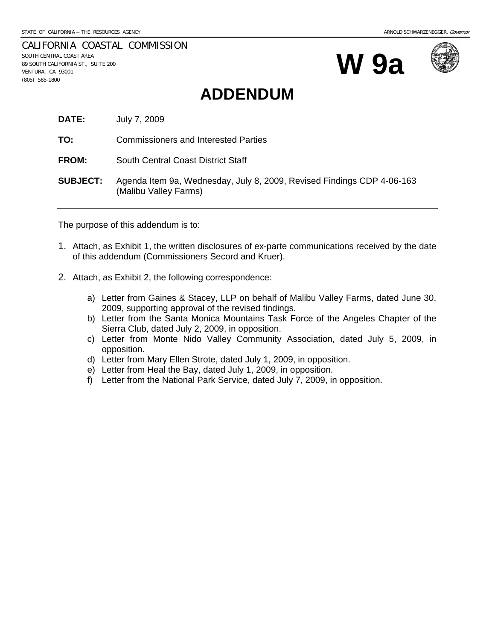CALIFORNIA COASTAL COMMISSION SOUTH CENTRAL COAST AREA 89 SOUTH CALIFORNIA ST., SUITE 200 VENTURA, CA 93001 (805) 585-1800





# **ADDENDUM**

**DATE:** July 7, 2009

**TO:** Commissioners and Interested Parties

**FROM:** South Central Coast District Staff

**SUBJECT:** Agenda Item 9a, Wednesday, July 8, 2009, Revised Findings CDP 4-06-163 (Malibu Valley Farms)

The purpose of this addendum is to:

- 1. Attach, as Exhibit 1, the written disclosures of ex-parte communications received by the date of this addendum (Commissioners Secord and Kruer).
- 2. Attach, as Exhibit 2, the following correspondence:
	- a) Letter from Gaines & Stacey, LLP on behalf of Malibu Valley Farms, dated June 30, 2009, supporting approval of the revised findings.
	- b) Letter from the Santa Monica Mountains Task Force of the Angeles Chapter of the Sierra Club, dated July 2, 2009, in opposition.
	- c) Letter from Monte Nido Valley Community Association, dated July 5, 2009, in opposition.
	- d) Letter from Mary Ellen Strote, dated July 1, 2009, in opposition.
	- e) Letter from Heal the Bay, dated July 1, 2009, in opposition.
	- f) Letter from the National Park Service, dated July 7, 2009, in opposition.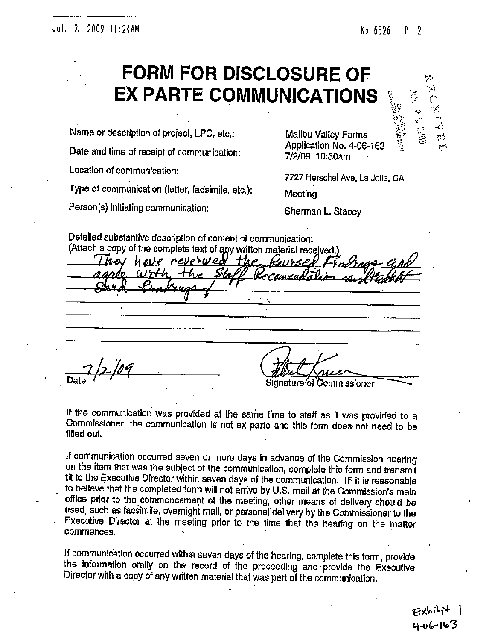### Jul. 2. 2009 11:24AM

#### No. 6326 P. 2

ΨĴ. ĐΔ,

 $\mathcal{L}_{\rm I}$ 

رې

# **FORM FOR DISCLOSURE OF EX PARTE COMMUNICATIONS**

Name or description of project, LPC, etc.:

Date and time of receipt of communication:

Location of communication:

Type of communication (letter, facsimile, etc.);

Person(s) initiating communication:

**Malibu Valley Farms** Application No. 4-06-163 7/2/09 10:30am

7727 Herschel Ave, La Jolia, CA

Meeting

Sherman L. Stacey

Detailed substantive description of content of communication: (Attach a copy of the complete text of any written material received.)

have reverwed the Kurse Date Signature*′*of Commissioner

If the communication was provided at the same time to staff as it was provided to a Commissioner, the communication is not ex parte and this form does not need to be filled out.

If communication occurred seven or more days in advance of the Commission hearing on the item that was the subject of the communication, complete this form and transmit tit to the Executive Director within seven days of the communication. IF it is reasonable to believe that the completed form will not arrive by U.S. mail at the Commission's main office prior to the commencement of the meeting, other means of delivery should be used, such as facsimile, overnight mail, or personal delivery by the Commissioner to the Executive Director at the meeting prior to the time that the hearing on the matter commences.

If communication occurred within seven days of the hearing, complete this form, provide the information orally on the record of the proceeding and provide the Executive Director with a copy of any written material that was part of the communication.

 $4 - 06 - 163$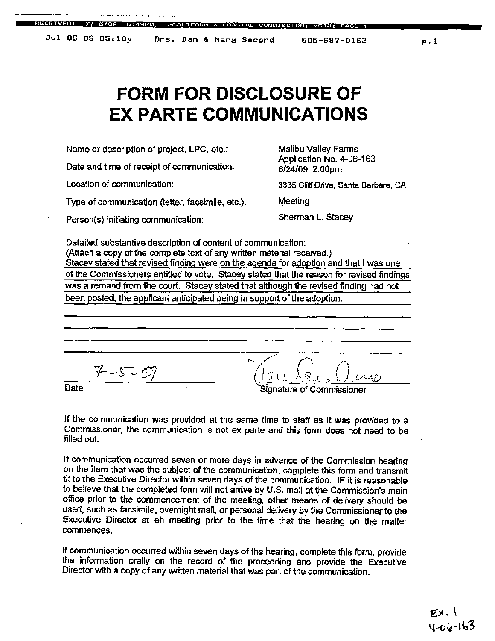IFORNIA COASTAL COMMISSI

805-687-0162

# **FORM FOR DISCLOSURE OF EX PARTE COMMUNICATIONS**

Name or description of project, LPC, etc.:

Date and time of receipt of communication:

Location of communication:

Type of communication (letter, facsimile, etc.):

Person(s) initiating communication:

Malibu Valley Farms Application No. 4-06-163 6/24/09 2:00pm

3335 Cliff Drive, Santa Barbara, CA

Meeting

Sherman L. Stacey

Detailed substantive description of content of communication: (Attach a copy of the complete text of any written material received.) Stacey stated that revised finding were on the agenda for adoption and that I was one of the Commissioners entitled to vote. Stacey stated that the reason for revised findings was a remand from the court. Stacey stated that although the revised finding had not been posted, the applicant anticipated being in support of the adoption.

 $7 - 5 - 09$ 

Date

ignature of Commissioner

If the communication was provided at the same time to staff as it was provided to a Commissioner, the communication is not ex parte and this form does not need to be filled out.

If communication occurred seven or more days in advance of the Commission hearing on the item that was the subject of the communication, complete this form and transmit tit to the Executive Director within seven days of the communication. IF it is reasonable to believe that the completed form will not arrive by U.S. mail at the Commission's main office prior to the commencement of the meeting, other means of delivery should be used, such as facsimile, overnight mail, or personal delivery by the Commissioner to the Executive Director at eh meeting prior to the time that the hearing on the matter commences.

If communication occurred within seven days of the hearing, complete this form, provide the information orally on the record of the proceeding and provide the Executive Director with a copy of any written material that was part of the communication.

> EX. I ง-ก๒-เ๒3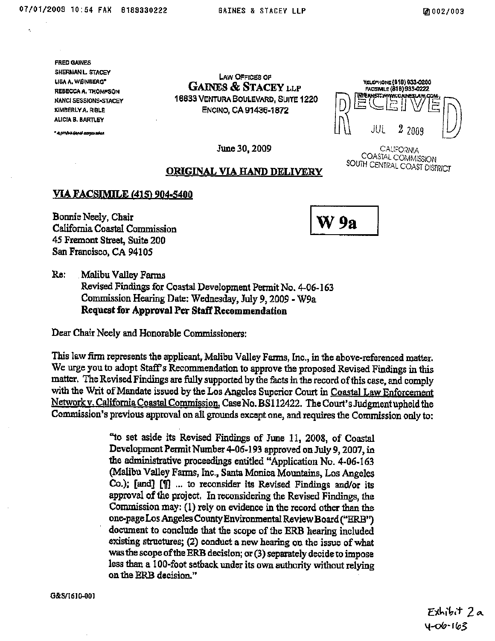**FRED GAINES** SHERMAN L STACEY **LISA A. WEINBERG"** REBECCA A. THOMPSON **NANCI SESSIONS-STACEY** KIMBERLY A. RIBLE ALICIA B. BARTLEY

a projektijojel ozgavatel

**LAW OFFICES OF GAINES & STACEY LLP** 16633 VENTURA BOULEVARD, SUITE 1220 ENCINO, CA 91436-1872

YELEPHONE (818) 933-0200 FACSIMILE (818) 933-0222 internet: www.cainesi.aw,c

June 30, 2009

CALIFORNIA COASTAL COMMISSION SOUTH CENTRAL COAST DISTRICT

#### ORIGINAL VIA HAND DELIVERY

#### **VIA FACSIMILE (415) 904-5400**

Bonnie Neely, Chair California Coastal Commission 45 Fremont Street, Suite 200 San Francisco, CA 94105

W 9a

 $Re:$ Malibu Valley Farms Revised Findings for Coastal Development Permit No. 4-06-163 Commission Hearing Date: Wednesday, July 9, 2009 - W9a Request for Approval Per Staff Recommendation

Dear Chair Neely and Honorable Commissioners:

This law firm represents the applicant, Malibu Valley Farms, Inc., in the above-referenced matter. We urge you to adopt Staff's Recommendation to approve the proposed Revised Findings in this matter. The Revised Findings are fully supported by the facts in the record of this case, and comply with the Writ of Mandate issued by the Los Angeles Superior Court in Coastal Law Enforcement Network v. California Coastal Commission, Case No. BS112422. The Court's Judgment upheld the Commission's previous approval on all grounds except one, and requires the Commission only to:

> "to set aside its Revised Findings of June 11, 2008, of Coastal Development Permit Number 4-06-193 approved on July 9, 2007, in the administrative proceedings entitled "Application No. 4-06-163 (Malibu Valley Farms, Inc., Santa Monica Mountains, Los Angeles Co.); [and] [1] ... to reconsider its Revised Findings and/or its approval of the project. In reconsidering the Revised Findings, the Commission may: (1) rely on evidence in the record other than the one-page Los Angeles County Environmental Review Board ("ERB") document to conclude that the scope of the ERB hearing included existing structures; (2) conduct a new hearing on the issue of what was the scope of the ERB decision; or (3) separately decide to impose less than a 100-foot setback under its own authority without relying on the ERB decision."

G&S/1610-001

Exhibit 2a 4-06-163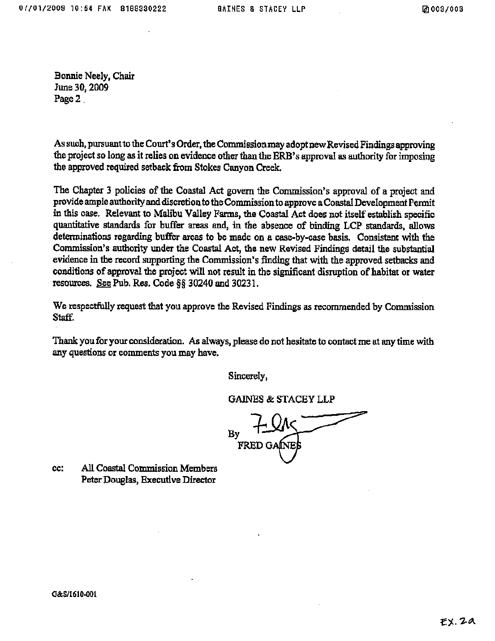Bonnie Neely, Chair June 30, 2009 Page 2

As such, pursuant to the Court's Order, the Commission may adopt new Revised Findings approving the project so long as it relies on evidence other than the ERB's approval as authority for imposing the approved required setback from Stokes Canyon Creek.

The Chapter 3 policies of the Coastal Act govern the Commission's approval of a project and provide ample authority and discretion to the Commission to approve a Coastal Development Permit in this case. Relevant to Malibu Valley Farms, the Coastal Act does not itself establish specific quantitative standards for buffer areas and, in the absence of binding LCP standards, allows determinations regarding buffer areas to be made on a case-by-case basis. Consistent with the Commission's authority under the Coastal Act, the new Revised Findings detail the substantial evidence in the record supporting the Commission's finding that with the approved setbacks and conditions of approval the project will not result in the significant disruption of habitat or water resources. See Pub. Res. Code §§ 30240 and 30231.

We respectfully request that you approve the Revised Findings as recommended by Commission Staff.

Thank you for your consideration. As always, please do not hesitate to contact me at any time with any questions or comments you may have.

Sincerely,

**GAINES & STACEY LLP** 

**FRED GA** 

cc: All Coastal Commission Members Peter Douglas, Executive Director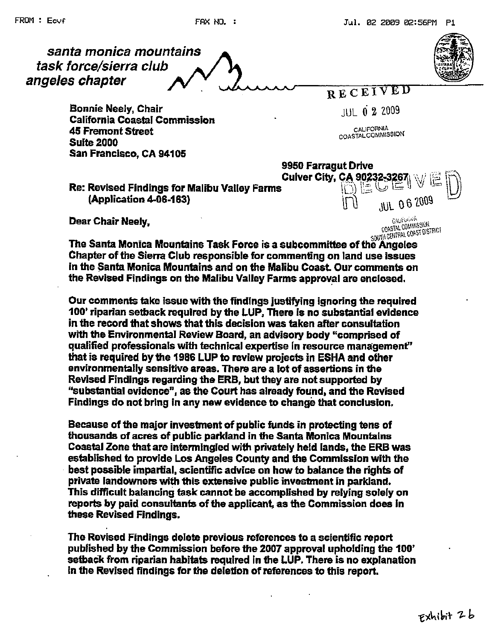

**Bonnie Neely, Chair California Coastal Commission 45 Fremont Street Suite 2000** San Francisco, CA 94105

**JUL 0 2 2009** 

CALIFORNIA COASTALCOMMISSION

Re: Revised Findings for Malibu Valley Farms (Application 4-06-163)

Dear Chair Neely,

9950 Farragut Drive Cuiver City, CA 90232-3267 کتا سا  $\Omega$  is the  $\Omega$ **JUL 06 2009** ١ſ **CALIFORNIA** COASTAL COMMISSION SOUTH CENTRAL COAST DISTRICT

The Santa Monica Mountains Task Force is a subcommittee of the Angeles Chapter of the Sierra Club responsible for commenting on land use issues in the Santa Monica Mountains and on the Malibu Coast. Our comments on the Revised Findings on the Malibu Valley Farms approval are enclosed.

Our comments take issue with the findings justifying ignoring the required 100' riparian setback required by the LUP, There is no substantial evidence in the record that shows that this decision was taken after consultation with the Environmental Review Board, an advisory body "comprised of qualified professionals with technical expertise in resource management" that is required by the 1986 LUP to review projects in ESHA and other environmentally sensitive areas. There are a lot of assertions in the Revised Findings regarding the ERB, but they are not supported by "substantial evidence", as the Court has already found, and the Revised Findings do not bring in any new evidence to change that conclusion.

Because of the major investment of public funds in protecting tens of thousands of acres of public parkland in the Santa Monica Mountains Coastal Zone that are intermingled with privately held lands, the ERB was established to provide Los Angeles County and the Commission with the best possible impartial, scientific advice on how to balance the rights of private landowners with this extensive public investment in parkland. This difficult balancing task cannot be accomplished by relying solely on reports by paid consultants of the applicant, as the Commission does in these Revised Findings.

The Revised Findings delete previous references to a scientific report published by the Commission before the 2007 approval upholding the 100' setback from riparian habitats required in the LUP. There is no explanation in the Revised findings for the deletion of references to this report.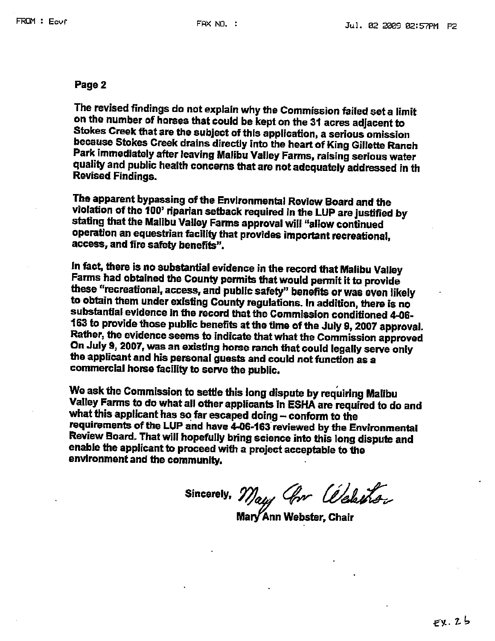#### Page 2

The revised findings do not explain why the Commission failed set a limit on the number of horses that could be kept on the 31 acres adjacent to Stokes Creek that are the subject of this application, a serious omission because Stokes Creek drains directly into the heart of King Gillette Ranch Park immediately after leaving Malibu Valley Farms, raising serious water quality and public health concerns that are not adequately addressed in th **Revised Findings.** 

The apparent bypassing of the Environmental Review Board and the violation of the 100' riparian setback required in the LUP are justified by stating that the Malibu Valley Farms approval will "allow continued operation an equestrian facility that provides important recreational, access, and fire safety benefits".

In fact, there is no substantial evidence in the record that Malibu Valley Farms had obtained the County permits that would permit it to provide these "recreational, access, and public safety" benefits or was even likely to obtain them under existing County regulations. In addition, there is no substantial evidence in the record that the Commission conditioned 4-06-163 to provide those public benefits at the time of the July 9, 2007 approval. Rather, the evidence seems to indicate that what the Commission approved On July 9, 2007, was an existing horse ranch that could legally serve only the applicant and his personal guests and could not function as a commercial horse facility to serve the public.

We ask the Commission to settle this long dispute by requiring Malibu Valley Farms to do what all other applicants in ESHA are required to do and what this applicant has so far escaped doing - conform to the requirements of the LUP and have 4-06-163 reviewed by the Environmental Review Board. That will hopefully bring science into this long dispute and enable the applicant to proceed with a project acceptable to the environment and the community.

Sincerely, May, Grr Websthan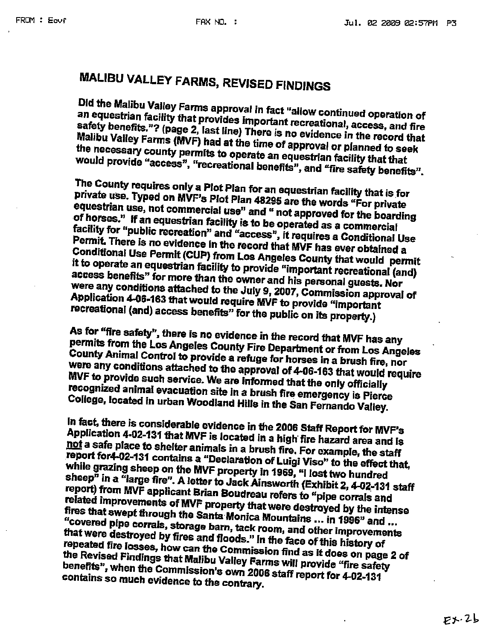# **MALIBU VALLEY FARMS, REVISED FINDINGS**

Did the Malibu Valley Farms approval in fact "allow continued operation of an equestrian facility that provides important recreational, access, and fire safety benefits."? (page 2, last line) There is no evidence in the record that Malibu Valley Farms (MVF) had at the time of approval or planned to seek the necessary county permits to operate an equestrian facility that that would provide "access", "recreational benefits", and "fire safety benefits".

The County requires only a Plot Plan for an equestrian facility that is for private use. Typed on MVF's Plot Plan 48295 are the words "For private equestrian use, not commercial use" and " not approved for the boarding of horses." If an equestrian facility is to be operated as a commercial facility for "public recreation" and "access", it requires a Conditional Use Permit. There is no evidence in the record that MVF has ever obtained a Conditional Use Permit (CUP) from Los Angeles County that would permit it to operate an equestrian facility to provide "important recreational (and) access benefits" for more than the owner and his personal guests. Nor were any conditions attached to the July 9, 2007, Commission approval of Application 4-06-163 that would require MVF to provide "important recreational (and) access benefits" for the public on its property.)

As for "fire safety", there is no evidence in the record that MVF has any permits from the Los Angeles County Fire Department or from Los Angeles County Animal Control to provide a refuge for horses in a brush fire, nor were any conditions attached to the approval of 4-06-163 that would require MVF to provide such service. We are informed that the only officially recognized animal evacuation site in a brush fire emergency is Pierce College, located in urban Woodland Hills in the San Fernando Valley.

In fact, there is considerable evidence in the 2006 Staff Report for MVF's Application 4-02-131 that MVF is located in a high fire hazard area and is not a safe place to shelter animals in a brush fire. For example, the staff report for4-02-131 contains a "Declaration of Luigi Viso" to the effect that, while grazing sheep on the MVF property in 1969, "I lost two hundred sheep" in a "large fire". A letter to Jack Ainsworth (Exhibit 2, 4-02-131 staff report) from MVF applicant Brian Boudreau refers to "pipe corrals and related improvements of MVF property that were destroyed by the intense fires that swept through the Santa Monica Mountains ... in 1996" and ... "covered pipe corrals, storage barn, tack room, and other improvements that were destroyed by fires and floods." In the face of this history of repeated fire losses, how can the Commission find as it does on page 2 of the Revised Findings that Malibu Valley Farms will provide "fire safety benefits", when the Commission's own 2006 staff report for 4-02-131 contains so much evidence to the contrary.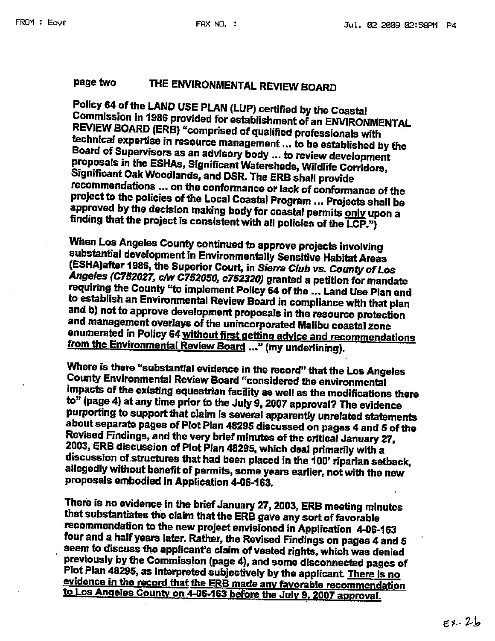#### page two THE ENVIRONMENTAL REVIEW BOARD

Policy 64 of the LAND USE PLAN (LUP) certified by the Coastal Commission in 1986 provided for establishment of an ENVIRONMENTAL REVIEW BOARD (ERB) "comprised of qualified professionals with technical expertise in resource management ... to be established by the Board of Supervisors as an advisory body ... to review development proposals in the ESHAs, Significant Watersheds, Wildlife Corridors, Significant Oak Woodlands, and DSR. The ERB shall provide recommendations ... on the conformance or lack of conformance of the project to the policies of the Local Coastal Program ... Projects shall be approved by the decision making body for coastal permits only upon a finding that the project is consistent with all policies of the LCP.")

When Los Angeles County continued to approve projects involving substantial development in Environmentally Sensitive Habitat Areas (ESHA)after 1986, the Superior Court, in Sierra Club vs. County of Los Angeles (C752027, c/w C752050, c752320) granted a petition for mandate requiring the County "to implement Policy 64 of the ... Land Use Plan and to establish an Environmental Review Board in compliance with that plan and b) not to approve development proposals in the resource protection and management overlays of the unincorporated Malibu coastal zone enumerated in Policy 64 without first getting advice and recommendations from the Environmental Review Board ..." (my underlining).

Where is there "substantial evidence in the record" that the Los Angeles County Environmental Review Board "considered the environmental impacts of the existing equestrian facility as well as the modifications there to" (page 4) at any time prior to the July 9, 2007 approval? The evidence purporting to support that claim is several apparently unrelated statements about separate pages of Plot Plan 48295 discussed on pages 4 and 5 of the Revised Findings, and the very brief minutes of the critical January 27, 2003, ERB discussion of Plot Plan 48295, which deal primarily with a discussion of structures that had been placed in the 100' riparian setback, allegedly without benefit of permits, some years earlier, not with the new proposals embodied in Application 4-06-163.

There is no evidence in the brief January 27, 2003, ERB meeting minutes that substantiates the claim that the ERB gave any sort of favorable recommendation to the new project envisioned in Application 4-06-163 four and a half years later. Rather, the Revised Findings on pages 4 and 5 seem to discuss the applicant's claim of vested rights, which was denied previously by the Commission (page 4), and some disconnected pages of Plot Plan 48295, as interpreted subjectively by the applicant. There is no evidence in the record that the ERB made any favorable recommendation to Los Angeles County on 4-06-163 before the July 9, 2007 approval.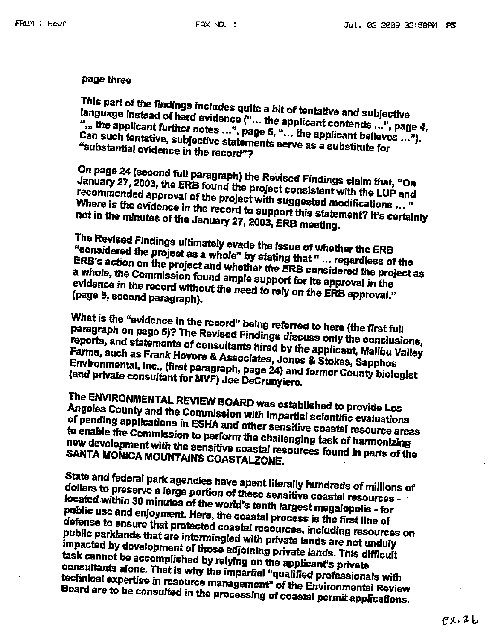### page three

This part of the findings includes quite a bit of tentative and subjective language instead of hard evidence ("... the applicant contends ...", page 4, ",,, the applicant further notes ...", page 5, "... the applicant believes ..."). Can such tentative, subjective statements serve as a substitute for "substantial evidence in the record"?

On page 24 (second full paragraph) the Revised Findings claim that, "On January 27, 2003, the ERB found the project consistent with the LUP and recommended approval of the project with suggested modifications ... " Where is the evidence in the record to support this statement? It's certainly not in the minutes of the January 27, 2003, ERB meeting.

The Revised Findings ultimately evade the issue of whether the ERB "considered the project as a whole" by stating that " ... regardless of the ERB's action on the project and whether the ERB considered the project as a whole, the Commission found ample support for its approval in the evidence in the record without the need to rely on the ERB approval." (page 5, second paragraph).

What is the "evidence in the record" being referred to here (the first full paragraph on page 5)? The Revised Findings discuss only the conclusions, reports, and statements of consultants hired by the applicant, Malibu Valley Farms, such as Frank Hovore & Associates, Jones & Stokes, Sapphos Environmental, Inc., (first paragraph, page 24) and former County biologist (and private consultant for MVF) Joe DeCrunyiere.

The ENVIRONMENTAL REVIEW BOARD was established to provide Los Angeles County and the Commission with impartial scientific evaluations of pending applications in ESHA and other sensitive coastal resource areas to enable the Commission to perform the challenging task of harmonizing new development with the sensitive coastal resources found in parts of the SANTA MONICA MOUNTAINS COASTALZONE.

State and federal park agencies have spent literally hundreds of millions of dollars to preserve a large portion of these sensitive coastal resources located within 30 minutes of the world's tenth largest megalopolis - for public use and enjoyment. Here, the coastal process is the first line of defense to ensure that protected coastal resources, including resources on public parklands that are intermingled with private lands are not unduly impacted by development of those adjoining private lands. This difficult task cannot be accomplished by relying on the applicant's private consultants alone. That is why the impartial "qualified professionals with technical expertise in resource management" of the Environmental Review Board are to be consulted in the processing of coastal permit applications.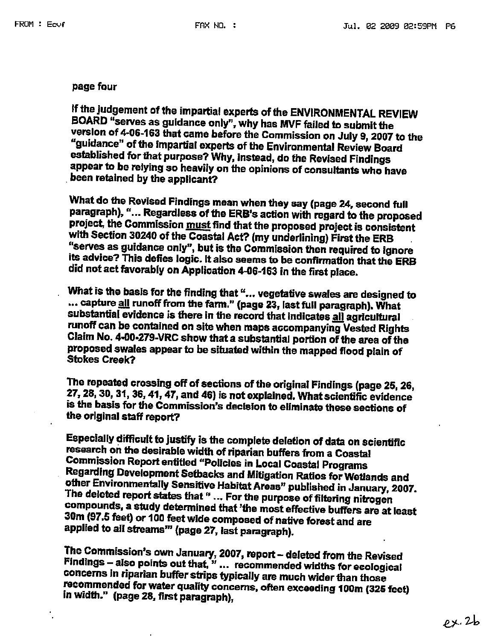### page four

If the judgement of the impartial experts of the ENVIRONMENTAL REVIEW BOARD "serves as guidance only", why has MVF failed to submit the version of 4-06-163 that came before the Commission on July 9, 2007 to the "guidance" of the impartial experts of the Environmental Review Board established for that purpose? Why, instead, do the Revised Findings appear to be relying so heavily on the opinions of consultants who have been retained by the applicant?

What do the Revised Findings mean when they say (page 24, second full paragraph), "... Regardless of the ERB's action with regard to the proposed project, the Commission must find that the proposed project is consistent with Section 30240 of the Coastal Act? (my underlining) First the ERB "serves as guidance only", but is the Commission then required to ignore its advice? This defies logic. It also seems to be confirmation that the ERB did not act favorably on Application 4-06-163 in the first place.

What is the basis for the finding that "... vegetative swales are designed to ... capture all runoff from the farm." (page 23, last full paragraph). What substantial evidence is there in the record that indicates all agricultural runoff can be contained on site when maps accompanying Vested Rights Claim No. 4-00-279-VRC show that a substantial portion of the area of the proposed swales appear to be situated within the mapped flood plain of **Stokes Creak?** 

The repeated crossing off of sections of the original Findings (page 25, 26, 27, 28, 30, 31, 36, 41, 47, and 46) is not explained. What scientific evidence is the basis for the Commission's decision to eliminate these sections of the original staff report?

Especially difficult to justify is the complete deletion of data on scientific research on the desirable width of riparian buffers from a Coastal **Commission Report entitled "Policies in Local Coastal Programs** Regarding Development Setbacks and Mitigation Ratios for Wetlands and other Environmentally Sensitive Habitat Areas" published in January, 2007. The deleted report states that " ... For the purpose of filtering nitrogen compounds, a study determined that 'the most effective buffers are at least 30m (97.5 feet) or 100 feet wide composed of native forest and are applied to all streams"" (page 27, last paragraph).

The Commission's own January, 2007, report - deleted from the Revised Findings - also points out that," ... recommended widths for ecological concerns in riparian buffer strips typically are much wider than those recommended for water quality concerns, often exceeding 100m (325 feet) in width." (page 28, first paragraph),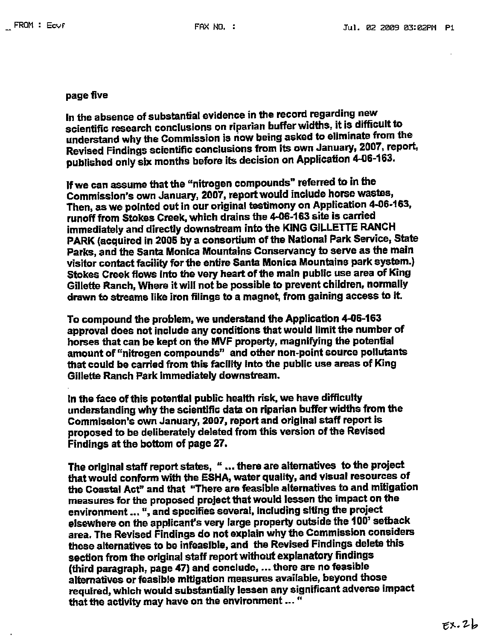### page five

In the absence of substantial evidence in the record regarding new scientific research conclusions on riparian buffer widths, it is difficult to understand why the Commission is now being asked to eliminate from the Revised Findings scientific conclusions from its own January, 2007, report, published only six months before its decision on Application 4-06-163.

If we can assume that the "nitrogen compounds" referred to in the Commission's own January, 2007, report would include horse wastes, Then, as we pointed out in our original testimony on Application 4-06-163, runoff from Stokes Creek, which drains the 4-06-163 site is carried immediately and directly downstream into the KING GILLETTE RANCH PARK (acquired in 2005 by a consortium of the National Park Service, State Parks, and the Santa Monica Mountains Conservancy to serve as the main visitor contact facility for the entire Santa Monica Mountains park system.) Stokes Creek flows into the very heart of the main public use area of King Gillette Ranch, Where it will not be possible to prevent children, normally drawn to streams like iron filings to a magnet, from gaining access to it.

To compound the problem, we understand the Application 4-06-163 approval does not include any conditions that would limit the number of horses that can be kept on the MVF property, magnifying the potential amount of "nitrogen compounds" and other non-point source pollutants that could be carried from this facility into the public use areas of King Gillette Ranch Park immediately downstream.

In the face of this potential public health risk, we have difficulty understanding why the scientific data on riparian buffer widths from the Commission's own January, 2007, report and original staff report is proposed to be deliberately deleted from this version of the Revised Findings at the bottom of page 27.

The original staff report states, " ... there are alternatives to the project that would conform with the ESHA, water quality, and visual resources of the Coastal Act" and that "There are feasible alternatives to and mitigation measures for the proposed project that would lessen the impact on the environment ... ", and specifies several, including siting the project elsewhere on the applicant's very large property outside the 100' setback area. The Revised Findings do not explain why the Commission considers these alternatives to be infeasible, and the Revised Findings delete this section from the original staff report without explanatory findings (third paragraph, page 47) and conclude, ... there are no feasible alternatives or feasible mitigation measures available, beyond those required, which would substantially lessen any significant adverse impact that the activity may have on the environment ... "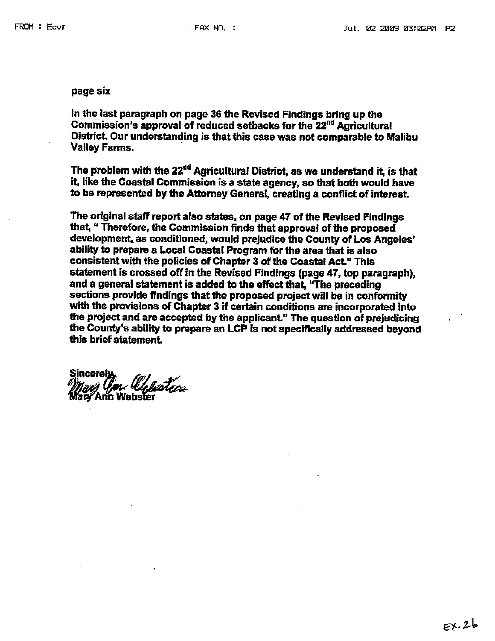#### page six

In the last paragraph on page 36 the Revised Findings bring up the Commission's approval of reduced setbacks for the 22<sup>nd</sup> Agricultural District. Our understanding is that this case was not comparable to Malibu **Valley Farms,** 

The problem with the 22<sup>nd</sup> Agricultural District, as we understand it, is that it, like the Coastal Commission is a state agency, so that both would have to be represented by the Attorney General, creating a conflict of interest.

The original staff report also states, on page 47 of the Revised Findings that, " Therefore, the Commission finds that approval of the proposed development, as conditioned, would prejudice the County of Los Angeles' ability to prepare a Local Coastal Program for the area that is also consistent with the policies of Chapter 3 of the Coastal Act." This statement is crossed off in the Revised Findings (page 47, top paragraph), and a general statement is added to the effect that, "The preceding sections provide findings that the proposed project will be in conformity with the provisions of Chapter 3 if certain conditions are incorporated into the project and are accepted by the applicant." The question of prejudicing the County's ability to prepare an LCP is not specifically addressed beyond this brief statement.

n Ochsters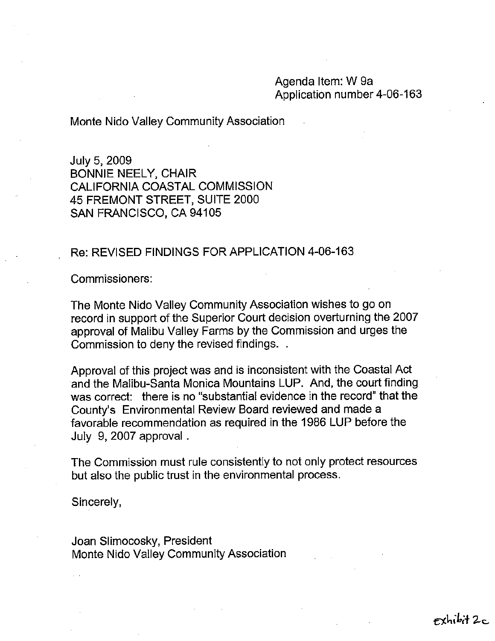### Agenda Item: W 9a Application number 4-06-163

Monte Nido Valley Community Association

July 5, 2009 **BONNIE NEELY, CHAIR** CALIFORNIA COASTAL COMMISSION 45 FREMONT STREET, SUITE 2000 SAN FRANCISCO, CA 94105

### Re: REVISED FINDINGS FOR APPLICATION 4-06-163

Commissioners:

The Monte Nido Valley Community Association wishes to go on record in support of the Superior Court decision overturning the 2007 approval of Malibu Valley Farms by the Commission and urges the Commission to deny the revised findings...

Approval of this project was and is inconsistent with the Coastal Act and the Malibu-Santa Monica Mountains LUP. And, the court finding was correct: there is no "substantial evidence in the record" that the County's Environmental Review Board reviewed and made a favorable recommendation as required in the 1986 LUP before the July 9, 2007 approval.

The Commission must rule consistently to not only protect resources but also the public trust in the environmental process.

Sincerely,

Joan Slimocosky, President Monte Nido Valley Community Association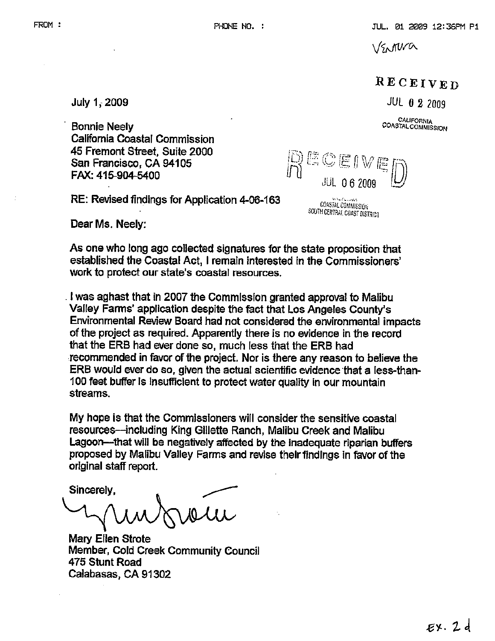**VSNIVA** 

# RECEIVED

JUL 0 2 2009

CALIFORNIA **COASTAL COMMISSION** 

**Bonnie Neely** California Coastal Commission 45 Fremont Street. Suite 2000 San Francisco, CA 94105 FAX: 415-904-5400

RE: Revised findings for Application 4-06-163

COASTAL COMMISSION<br>SOUTH CENTRAL COAST DISTRICT

ECEIVE

Dear Ms, Neely:

July 1, 2009

As one who long ago collected signatures for the state proposition that established the Coastal Act, I remain interested in the Commissioners' work to protect our state's coastal resources.

I was aghast that in 2007 the Commission granted approval to Malibu Valley Farms' application despite the fact that Los Angeles County's Environmental Review Board had not considered the environmental impacts of the project as required. Apparently there is no evidence in the record that the ERB had ever done so, much less that the ERB had recommended in favor of the project. Nor is there any reason to believe the ERB would ever do so, given the actual scientific evidence that a less-than-100 feet buffer is insufficient to protect water quality in our mountain streams.

My hope is that the Commissioners will consider the sensitive coastal resources—including King Gillette Ranch, Malibu Creek and Malibu Lagoon-that will be negatively affected by the inadequate riparian buffers proposed by Malibu Valley Farms and revise their findings in favor of the original staff report.

Sincerely,

**Mary Ellen Strote** Member, Cold Creek Community Council 475 Stunt Road Calabasas, CA 91302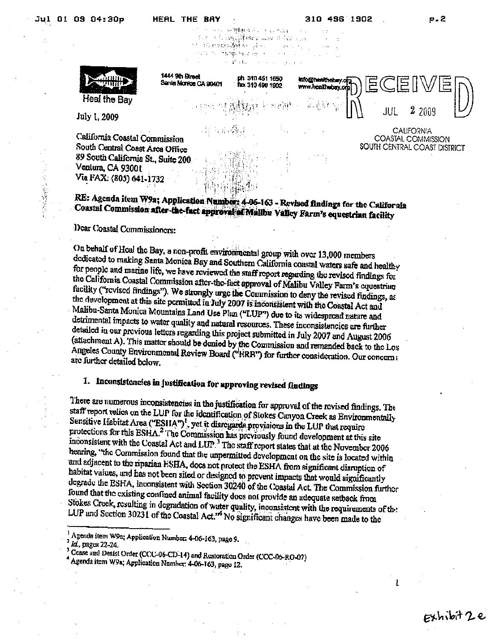310 496 1902

so where a consistence ਹੋਰ ਦੇ ਪਾਰਟੀ ਨੇ ਇਸ ਸ਼੍ਰੋਮੀ ਦੇ ਸ਼ਾਮਲ ਸ਼੍ਰੋਮ ਦੇ ਸ਼੍ਰੋਮ ਦੇ ਸ਼੍ਰੋਮ ਦੇ ਸ਼੍ਰੋਮ ਦੇ ਸ਼੍ਰੋਮ ਦੇ ਸ਼੍ਰੋਮ ਦੇ ਸ਼੍ਰੋਮ ਦੇ ਸ਼੍ਰ ે માં **તમારા પરિસ્થિતિ** અને દૂરી કરવા માં માં સાર કર્યું. The South Association of the South Association

Heal the Bay

1444 9th Street ph 310 451 1550 info@healthobay.o Senia Monice CA 90401 fax 310 496 1902 www.healthubay.or 2 2009 JUL **CALIFORNIA** 

COASTAL COMMISSION SOUTH CENTRAL COAST DISTRICT

July 1, 2009

○ 全国の (の)

California Coastal Commission South Central Coast Area Office 89 South California St., Suite 200 Ventura, CA 93001 Via FAX: (805) 641-1732

RE: Agenda item W9a; Application Number: 4-06-163 - Revised findings for the California Coastal Commission after-the-fact approval of Malibu Valley Farm's equestrian facility

Dear Coastal Commissioners:

On behalf of Heal the Bay, a non-profit environmental group with over 13,000 members dedicated to making Santa Monica Bay and Southern California coastal waters safe and healthy for people and marine life, we have reviewed the staff report regarding the revised findings for the California Coastal Commission after-the-fact approval of Malibu Valley Farm's equestrian facility ("revised findings"). We strongly arge the Commission to deny the revised findings, as the development at this site permitted in July 2007 is inconsistent with the Coastal Act and Malibu-Santa Monica Mountains Land Use Plan ("LUP") due to its widespread nature and detrimental impacts to water quality and natural resources. These inconsistencies are further detailed in our previous letters regarding this project submitted in July 2007 and August 2006 (attachment A). This matter should be denied by the Commission and remanded back to the Los Angeles County Environmental Review Board ("HRB") for further consideration. Our concern: are further detailed below.

# 1. Inconsistencies in Justification for approving revised fludings

There are numerous inconsistencies in the justification for approval of the revised findings. The staff report relics on the LUP for the identification of Stokes Canyon Creek as Environmentally Sensitive Habitat Area ("ESHA")<sup>1</sup>, yet it disregards provisions in the LUP that require protections for this ESHA.<sup>2</sup> The Commission has previously found development at this site inconsistent with the Coastal Act and LUP.<sup>3</sup> The staff report states that at the November 2006 hearing, "the Commission found that the unpermitted development on the site is located within and adjacent to the riparian ESHA, does not protect the ESHA from significant disruption of habitat values, and has not been sited or designed to prevent impacts that would significantly degrade the ESHA, inconsistent with Section 30240 of the Coastal Act. The Commission further found that the existing confined animal facility does not provide an adequate setback from Stokes Creek, resulting in degradation of water quality, inconsistent with the requirements of the LUP and Section 30231 of the Coastal Act."<sup>4</sup> No significant changes have been made to the

Id., pages 22-24.

Agenda item W9a; Application Number, 4-06-163, page 9.

Cease and Desist Order (CCC-06-CD-14) and Restoration Order (CCC-06-RO-07)

Agenda itom W9a; Application Number: 4-06-163, page 12.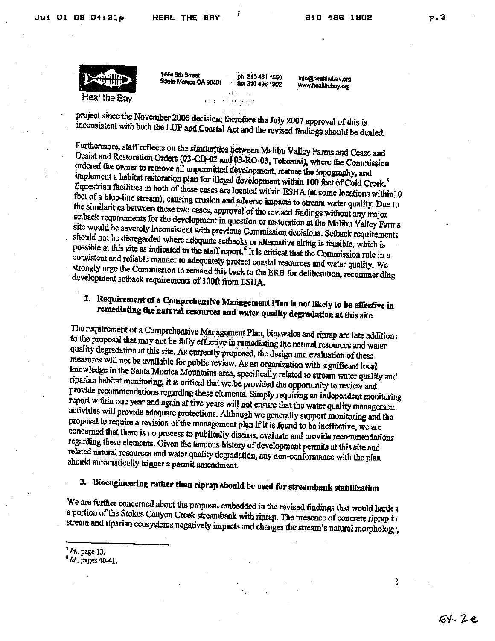

1444 9th Street Sania Monica CA 90401

ph 310 451 1550 fax 310 496 1902

Info@healthobay.org www.hoalthebay.org

project since the November 2006 decision; therefore the July 2007 approval of this is inconsistent with both the I.UP and Coastal Act and the revised findings should be denied.

**SERVICE** 

Furthermore, staff reflects on the similarities between Malibu Valley Farms and Cease and Desist and Restoration Orders (03-CD-02 and 03-RO 03, Teherani), where the Commission ordered the owner to remove all unpermitted development, restore the topography, and implement a habitat restoration plan for illegal development within 100 feet of Cold Creek.<sup>5</sup> Equestrian facilities in both of these cases are located within ESHA (at some locations within) 0 fect of a blue-line stream), causing crosion and adverse impacts to stream water quality. Due to the similarities between these two cases, approval of the revised findings without any major setback requirements for the development in question or restoration at the Malihu Valley Farn s site would be severely inconsistent with previous Commission decisions. Setback requirement; should not be disregarded where adequate setbacks or alternative siting is feasible, which is possible at this site as indicated in the staff report.<sup>6</sup> It is critical that the Commission rule in a consistent and reliable manner to adequately protect coastal resources and water quality. We strongly urge the Commission to remand this back to the ERB for deliberation, recommending development setback requirements of 100ft from ESHA.

# 2. Requirement of a Comprehensive Management Plan is not likely to be effective in remediating the natural resources and water quality degradation at this site

The requirement of a Comprehensive Management Plan, bioswales and riprap are late addition a to the proposal that may not be fully effective in remediating the natural resources and water quality degradation at this site. As currently proposed, the design and evaluation of these measures will not be available for public review. As an organization with significant local knowledge in the Santa Monica Mountains area, specifically related to stream water quality and riparian habitat monitoring, it is critical that we be provided the opportunity to review and provide recommendations regarding these elements. Simply requiring an independent monitoring report within one year and again at five years will not ensure that the water quality managemen: activities will provide adcquate protections. Although we generally support monitoring and the proposal to require a revision of the management plan if it is found to be ineffective, we are concerned that there is no process to publically discuss, evaluate and provide recommendations regarding these elements. Given the tenuous history of development permits at this site and related natural resources and water quality degradation, any non-conformance with the plan should automatically trigger a permit amendment.

# 3. Biocagincering rather than riprap should be used for streambank stabilization

We are further concerned about the proposal embedded in the revised findings that would harde a a portion of the Stokes Canyon Creek streambank with riprap. The presence of concrete riprap in stream and riparian ecosystems negatively impacts and changes the stream's natural morphology,

 $^{\circ}$  Id., page 13.

 $<sup>6</sup>$  Id., pages 40-41.</sup>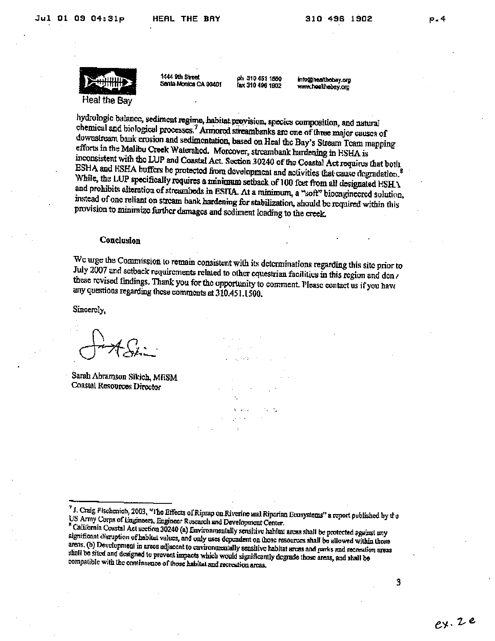

1444 9th Street Sania Monica CA 90401

ph 310 451 1550 Tax 310 496 1902 info@healthobay.org www.hoalthebay.org

hydrologic balance, sediment regime, habitat provision, species composition, and natural chemical and biological processes.<sup>7</sup> Armored streambanks are one of three major causes of downstream bank erosion and sedimentation, based on Heal the Bay's Stream Team mapping efforts in the Malibu Creek Watershod. Morcover, streambank hardening in ESHA is inconsistent with the LUP and Coastal Act. Section 30240 of the Coastal Act requires that boils ESHA and ESHA buffers be protected from development and activities that cause degradation.<sup>8</sup> While, the LUP specifically requires a minimum setback of 100 feet from all designated ESH \ and prohibits alteration of streambeds in ESITA. At a minimum, a "soft" biocngineered solution, instead of one reliant on stream bank hardening for stabilization, should be required within this provision to minimize further damages and sediment loading to the creek.

#### Conclusion

We urge the Commission to remain consistent with its determinations regarding this site prior to July 2007 and setback requirements related to other equestrian facilities in this region and den . these revised findings. Thank you for the opportunity to comment. Please contact us if you have any questions regarding these comments at 310.451.1500.

0.00000

Sincerely,

Sarah Abramson Sikich, MESM Coastal Resources Director

<sup>7</sup> J. Craig Fischenich, 2003, "The Effects of Riprap on Riverine and Riparian Ecosystems" a report published by the US Army Corps of Engineers, Engineer Research and Development Center.

" California Coastal Act section 30240 (a) Environmentally sensitive habitat areas shall be protected against any significant disruption of habital values, and only uses dependent on those resources shall be allowed within those areas. (b) Development in areas adjacent to cuvironmentally sensitive habitat areas and parks and recreation areas shall be sited and designed to prevent impacts which would significantly degrade those areas, and shall be compatible with the continuance of those habitat and recreation areas.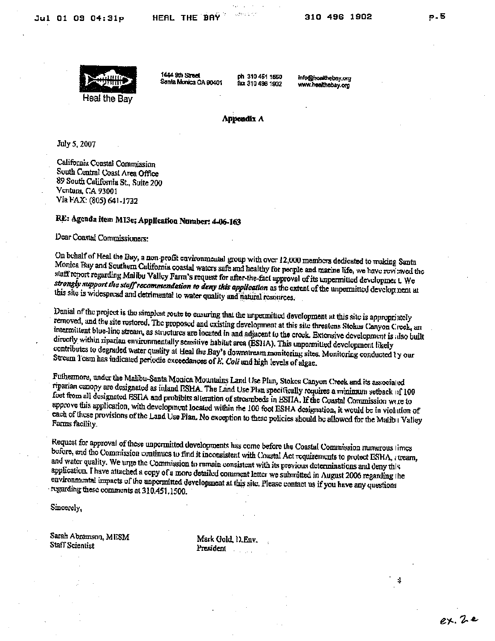

1444 9th Street Santa Monica CA 90401

ph 310 461 1550 fax 310 496 1902 info@hoalthebay.org www.healthebay.org

#### Appendix A

July 5, 2007

California Coastal Commission South Central Coast Area Office 89 South California St., Suite 200 Ventura, CA 93001 Via FAX: (805) 641-1732

## RE: Agenda item MI3e; Application Number: 4-06-163

Dear Coastal Commissioners:

On behalf of Heal the Bay, a non-profit cavironmental group with over 12,000 members dedicated to making Santa Monica Bay and Southern California coastal waters safe and healthy for people and marine life, we have reviewed the staff report regarding Mallbu Valley Farm's request for after-the-fact approval of its unpermitted developmer t. We strongly support the staff recommendation to deny this application as the extent of the unpermitted development at this site is widespread and detrimental to water quality and natural resources.

Denial of the project is the simplest route to ensuring that the unpermitted development at this site is appropriately removed, and the site restored. The proposed and existing development at this site threatens Stokes Canyon Creek, an intermittent blue-line stream, as structures are located in and adjacent to the creek. Extensive development is also built directly within riparian environmentally sensitive habitat area (ESHA). This unpermitted development likely contributes to degraded water quality at Heal the Bay's downstream monitoring sites. Monitoring conducted ty our Stream I cam has indicated periodic exceedances of E. Coli and high levels of algae.

Futhermore, under the Malibu-Santa Monica Mountains Land Use Plan, Stokes Canyon Creek and its associated riparian canopy are designated as inland FSHA. The Land Use Plan specifically requires a minimum setback of 100 feet from all designated ESI1A and prohibits alteration of streambeds in ESIIA. If the Coastal Commission were to approve this application, with development located within the 100 foot ESHA designation, it would be in violation of each of these provisions of the Land Use Plan. No exception to these policies should be allowed for the Malibu Valley Farms facility.

Request for approval of these unpermitted developments has come before the Coastal Commission numerous times before, and the Commission continues to find it inconsistent with Coastal Act requirements to protect ESHA, recam, and water quality. We urge the Commission to remain consistent with its previous determinations and deny this application. I have attached a copy of a more detailed comment letter we submitted in August 2006 regarding the environmental impacts of the unpermitted development at this site. Please contact us if you have any questions regarding these comments at 310.451.1500.

Sincerely,

Sarah Abramson, MESM Staff Scientist

Mark Gold, 1), Env. President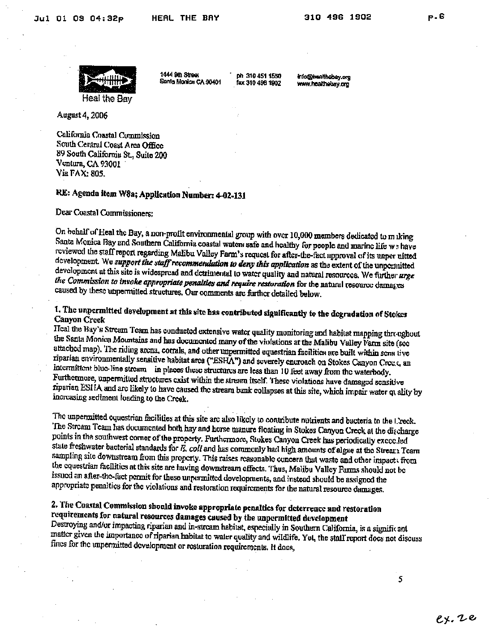p.6



1444 9th Street Sanla Monica CA 90401

ph 310 451 1550 fax 310 496 1902

info@healthobey.org www.healthebay.org

August 4, 2006

California Coastal Commission South Central Coast Area Office 89 South California St., Suite 200 Ventura, CA 93001 Via FAX: 805.

### RE: Agenda item W8a; Application Number: 4-02-131

Dear Coastal Commissioners:

On behalf of Heal the Bay, a non-profit environmental group with over 10,000 members dedicated to m iking Santa Monica Bay and Southern California coastal waters safe and healthy for people and marine life w: have reviewed the staff report regarding Malibu Valley Farm's request for after-the-fact approval of its unper uitted development. We support the staff recommendation to deny this application as the extent of the unpermitted development at this site is widespread and detrimental to water quality and natural resources. We further urge the Commission to invoke appropriate penalties and require restoration for the natural resource damages caused by these unpermitted structures. Our comments are further detailed below.

1. The unpermitted development at this site has contributed significantly to the degradation of Stokes Canyon Creek

Heal the Bay's Stream Team has conducted extensive water quality monitoring and habitat mapping threughout the Santa Monica Mountains and has documented many of the violations at the Malibu Valley l'arm site (see attached map). The riding arena, corrals, and other unpermitted equestrian facilities are built within sens tive riparian environmentally sensitive habitat area ("ESHA") and severely entroach on Stokes Canyon Crees, an intermittent blue line stream in places these structures are less than 10 feet away from the waterbody. Furthermore, unpermitted structures exist within the stream itself. These violations have damaged sensitive riparian ESHA and are likely to have caused the stream bank collapses at this site, which impair water quality by increasing sediment loading to the Creek.

The unpermitted equestrian facilities at this site are also likely to contribute nutrients and bacteria to the Creek. The Stream Team has documented both hay and horse manure floating in Stokes Canyon Creck at the discharge points in the southwest corner of the property. Furthermore, Stokes Canyon Creek has periodically excecded state freshwater bacterial standards for E. coli and has commonly had high amounts of algue at the Stream Team sampling site downstream from this property. This raises reasonable concern that waste and other impacts from the equestrian facilities at this site are having downstream effects. Thus, Malibu Valley Farms should not be issued an after-the-fact permit for these unpermitted developments, and instead should be assigned the appropriate penalties for the violations and restoration requirements for the natural resource dumages.

### 2. The Coastal Commission should invoke appropriate penalties for deterrence and restoration requirements for natural resources damages caused by the unpermitted development

Destroying and/or impacting riparian and in-stream habitat, especially in Southern California, is a signific ant matter given the importance of riparian habitat to water quality and wildlife. Yet, the stall report does not discuss fines for the unpermitted development or restoration requirements. It does,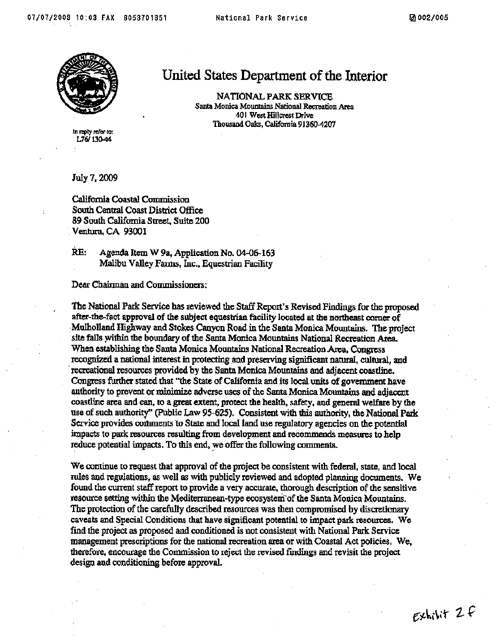

United States Department of the Interior

NATIONAL PARK SERVICE Santa Monica Mountains National Recreation Area 401 West Hillcrest Drive Thousand Oaks, California 91360-4207

In reply refor to: L76/130-44

July 7, 2009

California Coastal Commission South Central Coast District Office 89 South California Street, Suite 200 Ventura, CA 93001

RE: Agenda Item W 9a, Application No. 04-06-163 Malibu Valley Fanns, Inc., Equestrian Facility

Dear Chairman and Commissioners:

The National Park Service has reviewed the Staff Report's Revised Findings for the proposed after-the-fact approval of the subject equestrian facility located at the northeast corner of Mulholland Highway and Stokes Canyon Road in the Santa Monica Mountains. The project site falls within the boundary of the Santa Monica Mountains National Recreation Area. When establishing the Santa Monica Mountains National Recreation Area, Congress recognized a national interest in protecting and preserving significant natural, cultural, and recreational resources provided by the Santa Monica Mountains and adjacent coastline. Congress further stated that "the State of California and its local units of government have authority to prevent or minimize adverse uses of the Santa Monica Mountains and adjacent coastline area and can, to a great extent, protect the health, safety, and general welfare by the use of such authority" (Public Law 95-625). Consistent with this authority, the National Park Service provides comments to State and local land use regulatory agencies on the potential impacts to park resources resulting from development and recommends measures to help reduce potential impacts. To this end, we offer the following comments.

We continue to request that approval of the project be consistent with federal, state, and local rules and regulations, as well as with publicly reviewed and adopted planning documents. We found the current staff report to provide a very accurate, thorough description of the sensitive resource setting within the Mediterranean-type ecosystem of the Santa Monica Mountains. The protection of the carefully described resources was then compromised by discretionary caveats and Special Conditions that have significant potential to impact park resources. We find the project as proposed and conditioned is not consistent with National Park Service management prescriptions for the national recreation area or with Coastal Act policies. We, therefore, encourage the Commission to reject the revised findings and revisit the project design and conditioning before approval.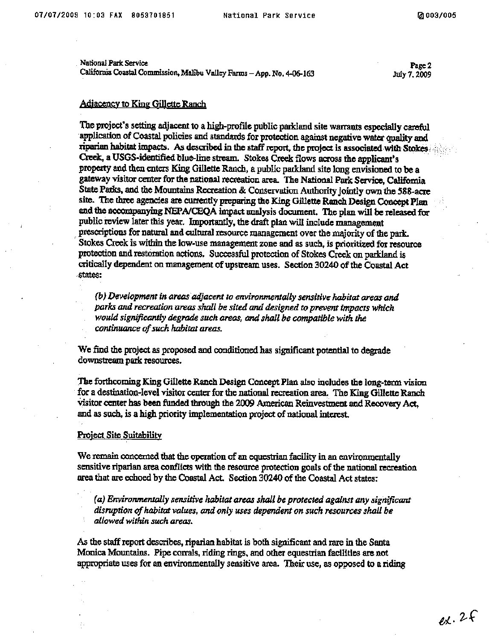National Park Service California Coastal Commission, Malibu Valley Farms - App. No. 4-06-163

Page 2 July 7, 2009

#### **Adiacency to King Gillette Ranch**

The project's setting adjacent to a high-profile public parkland site warrants especially careful application of Coastal policies and standards for protection against negative water quality and riparian habitat impacts. As described in the staff report, the project is associated with Stokes Creek, a USGS-identified blue-line stream. Stokes Creek flows across the applicant's property and then enters King Gillette Ranch, a public parkland site long envisioned to be a gateway visitor center for the national recreation area. The National Park Service, California State Parks, and the Mountains Recreation & Conservation Authority jointly own the 588-acre site. The three agencies are currently preparing the King Gillette Ranch Design Concept Plan and the accompanying NEPA/CEQA impact analysis document. The plan will be released for public review later this year. Importantly, the draft plan will include management prescriptions for natural and cultural resource management over the majority of the park. Stokes Creek is within the low-use management zone and as such, is prioritized for resource protection and restoration actions. Successful protection of Stokes Creek on parkland is critically dependent on management of upstream uses. Section 30240 of the Coastal Act states:

(b) Development in areas adjacent to environmentally sensitive habitat areas and parks and recreation areas shall be sited and designed to prevent impacts which would significantly degrade such areas, and shall be compatible with the continuance of such habitat areas.

We find the project as proposed and conditioned has significant potential to degrade downstream park resources.

The forthcoming King Gillette Ranch Design Concept Plan also includes the long-term vision for a destination-level visitor center for the national recreation area. The King Gillette Ranch visitor center has been funded through the 2009 American Reinvestment and Recovery Act. and as such, is a high priority implementation project of national interest.

#### **Project Site Suitability**

We remain concerned that the operation of an equestrian facility in an environmentally sensitive riparian area conflicts with the resource protection goals of the national recreation area that are echoed by the Coastal Act. Section 30240 of the Coastal Act states:

(a) Environmentally sensitive habitat areas shall be protected against any significant disruption of habitat values, and only uses dependent on such resources shall be allowed within such areas.

As the staff report describes, riparian habitat is both significant and rare in the Santa Monica Mountains. Pipe corrals, riding rings, and other equestrian facilities are not appropriate uses for an environmentally sensitive area. Their use, as opposed to a riding

 $ex.2f$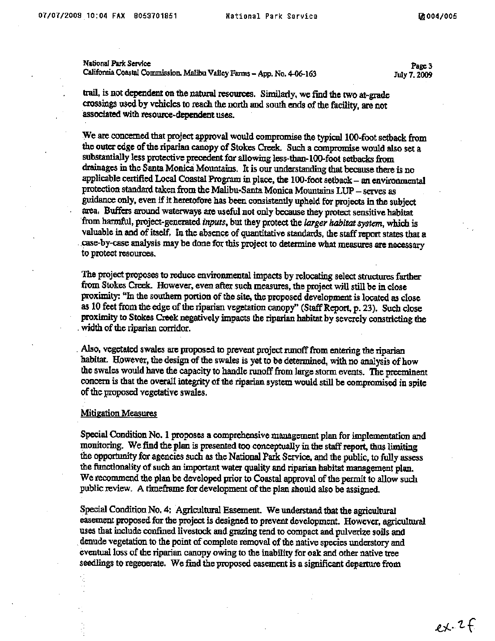National Park Service California Coastal Commission. Malibu Valley Farms - App. No. 4-06-163

Page 3 July 7, 2009

trail, is not dependent on the natural resources. Similarly, we find the two at-grade crossings used by vehicles to reach the north and south ends of the facility, are not associated with resource-dependent uses.

We are concerned that project approval would compromise the typical 100-foot setback from the outer edge of the riparian canopy of Stokes Creek. Such a compromise would also set a substantially less protective precedent for allowing less-than-100-foot setbacks from drainages in the Santa Monica Mountains. It is our understanding that because there is no applicable certified Local Coastal Program in place, the 100-foot setback - an environmental protection standard taken from the Malibu-Santa Monica Mountains LUP - serves as guidance only, even if it heretofore has been consistently upheld for projects in the subject area. Buffers around waterways are useful not only because they protect sensitive habitat from harmful, project-generated inputs, but they protect the larger habitat system, which is valuable in and of itself. In the absence of quantitative standards, the staff report states that a case-by-case analysis may be done for this project to determine what measures are necessary to protect resources.

The project proposes to reduce environmental impacts by relocating select structures farther from Stokes Creek. However, even after such measures, the project will still be in close proximity: "In the southern portion of the site, the proposed development is located as close as 10 feet from the edge of the riparian vegetation canopy" (Staff Report, p. 23). Such close proximity to Stokes Creek negatively impacts the riparian habitat by severely constricting the width of the riparian corridor.

Also, vegetated swales are proposed to prevent project runoff from entering the riparian habitat. However, the design of the swales is yet to be determined, with no analysis of how the swales would have the capacity to handle runoff from large storm events. The preeminent concern is that the overall integrity of the riparian system would still be compromised in spite of the proposed vegetative swales.

#### **Mitigation Measures**

Special Condition No. 1 proposes a comprehensive management plan for implementation and monitoring. We find the plan is presented too conceptually in the staff report, thus limiting the opportunity for agencies such as the National Park Service, and the public, to fully assess the functionality of such an important water quality and riparian habitat management plan. We recommend the plan be developed prior to Coastal approval of the permit to allow such public review. A timeframe for development of the plan should also be assigned.

Special Condition No. 4: Agricultural Easement. We understand that the agricultural easement proposed for the project is designed to prevent development. However, agricultural uses that include confined livestock and grazing tend to compact and pulverize soils and denude vegetation to the point of complete removal of the native species understory and eventual loss of the riparian canopy owing to the inability for oak and other native tree seedlings to regenerate. We find the proposed easement is a significant departure from

 $ex.2f$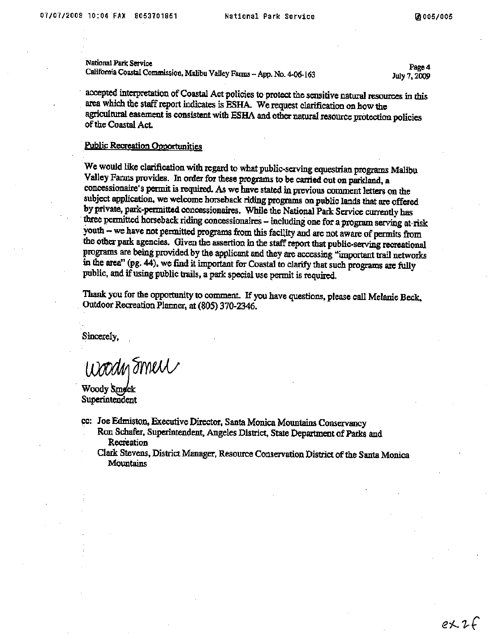National Park Service California Coastal Commission, Malibu Valley Farms - App. No. 4-06-163

Page 4 July 7, 2009

accepted interpretation of Coastal Act policies to protect the sensitive natural resources in this area which the staff report indicates is ESHA. We request clarification on how the agricultural easement is consistent with ESHA and other natural resource protection policies of the Coastal Act.

#### **Public Recreation Opportunities**

We would like clarification with regard to what public-serving equestrian programs Malibu Valley Farms provides. In order for these programs to be carried out on parkland, a concessionaire's permit is required. As we have stated in previous comment letters on the subject application, we welcome horseback riding programs on public lands that are offered by private, park-permitted concessionaires. While the National Park Service currently has three permitted horseback riding concessionaires - including one for a program serving at-risk youth - we have not permitted programs from this facility and are not aware of permits from the other park agencies. Given the assertion in the staff report that public-serving recreational programs are being provided by the applicant and they are accessing "important trail networks in the area" (pg. 44), we find it important for Coastal to clarify that such programs are fully public, and if using public trails, a park special use permit is required.

Thank you for the opportunity to comment. If you have questions, please call Melanie Beck, Outdoor Recreation Planner, at (805) 370-2346.

Sincerely,

Woody Smell

Woody Smeck Superintendent

cc: Joe Edmiston, Executive Director, Santa Monica Mountains Conservancy Ron Schafer, Superintendent, Angeles District, State Department of Parks and Recreation

Clark Stevens, District Manager, Resource Conservation District of the Santa Monica **Mountains** 

 $ex.2f$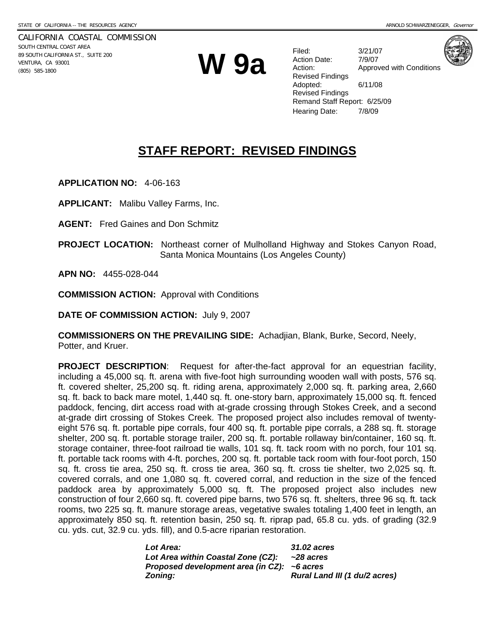CALIFORNIA COASTAL COMMISSION SOUTH CENTRAL COAST AREA 89 SOUTH CALIFORNIA ST., SUITE 200 VENTURA, CA 93001 **EDENTURA, CA 93001**<br>VENTURA, CA 93001<br>(805) 585-1800

Filed: 3/21/07 Action Date: 7/9/07 Action: **Approved with Conditions** Revised Findings Adopted: 6/11/08 Revised Findings Remand Staff Report: 6/25/09 Hearing Date: 7/8/09



# **STAFF REPORT: REVISED FINDINGS**

**APPLICATION NO:** 4-06-163

**APPLICANT:** Malibu Valley Farms, Inc.

**AGENT:** Fred Gaines and Don Schmitz

**PROJECT LOCATION:** Northeast corner of Mulholland Highway and Stokes Canyon Road, Santa Monica Mountains (Los Angeles County)

**APN NO:** 4455-028-044

**COMMISSION ACTION:** Approval with Conditions

**DATE OF COMMISSION ACTION:** July 9, 2007

**COMMISSIONERS ON THE PREVAILING SIDE:** Achadjian, Blank, Burke, Secord, Neely, Potter, and Kruer.

**PROJECT DESCRIPTION**: Request for after-the-fact approval for an equestrian facility, including a 45,000 sq. ft. arena with five-foot high surrounding wooden wall with posts, 576 sq. ft. covered shelter, 25,200 sq. ft. riding arena, approximately 2,000 sq. ft. parking area, 2,660 sq. ft. back to back mare motel, 1,440 sq. ft. one-story barn, approximately 15,000 sq. ft. fenced paddock, fencing, dirt access road with at-grade crossing through Stokes Creek, and a second at-grade dirt crossing of Stokes Creek. The proposed project also includes removal of twentyeight 576 sq. ft. portable pipe corrals, four 400 sq. ft. portable pipe corrals, a 288 sq. ft. storage shelter, 200 sq. ft. portable storage trailer, 200 sq. ft. portable rollaway bin/container, 160 sq. ft. storage container, three-foot railroad tie walls, 101 sq. ft. tack room with no porch, four 101 sq. ft. portable tack rooms with 4-ft. porches, 200 sq. ft. portable tack room with four-foot porch, 150 sq. ft. cross tie area, 250 sq. ft. cross tie area, 360 sq. ft. cross tie shelter, two 2,025 sq. ft. covered corrals, and one 1,080 sq. ft. covered corral, and reduction in the size of the fenced paddock area by approximately 5,000 sq. ft. The proposed project also includes new construction of four 2,660 sq. ft. covered pipe barns, two 576 sq. ft. shelters, three 96 sq. ft. tack rooms, two 225 sq. ft. manure storage areas, vegetative swales totaling 1,400 feet in length, an approximately 850 sq. ft. retention basin, 250 sq. ft. riprap pad, 65.8 cu. yds. of grading (32.9 cu. yds. cut, 32.9 cu. yds. fill), and 0.5-acre riparian restoration.

| <b>Lot Area:</b>                                     | <b>31.02 acres</b>            |
|------------------------------------------------------|-------------------------------|
| Lot Area within Coastal Zone (CZ):                   | ~28 acres                     |
| Proposed development area (in $CZ$ ): $\sim$ 6 acres |                               |
| Zoning:                                              | Rural Land III (1 du/2 acres) |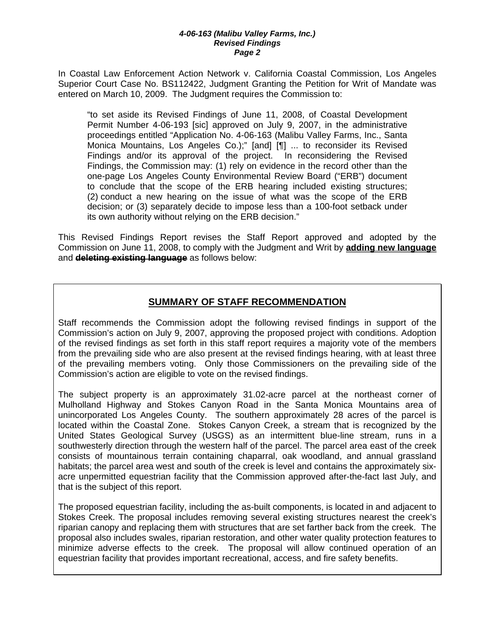In Coastal Law Enforcement Action Network v. California Coastal Commission, Los Angeles Superior Court Case No. BS112422, Judgment Granting the Petition for Writ of Mandate was entered on March 10, 2009. The Judgment requires the Commission to:

"to set aside its Revised Findings of June 11, 2008, of Coastal Development Permit Number 4-06-193 [sic] approved on July 9, 2007, in the administrative proceedings entitled "Application No. 4-06-163 (Malibu Valley Farms, Inc., Santa Monica Mountains, Los Angeles Co.);" [and] [¶] ... to reconsider its Revised Findings and/or its approval of the project. In reconsidering the Revised Findings, the Commission may: (1) rely on evidence in the record other than the one-page Los Angeles County Environmental Review Board ("ERB") document to conclude that the scope of the ERB hearing included existing structures; (2) conduct a new hearing on the issue of what was the scope of the ERB decision; or (3) separately decide to impose less than a 100-foot setback under its own authority without relying on the ERB decision."

This Revised Findings Report revises the Staff Report approved and adopted by the Commission on June 11, 2008, to comply with the Judgment and Writ by **adding new language** and **deleting existing language** as follows below:

### **SUMMARY OF STAFF RECOMMENDATION**

Staff recommends the Commission adopt the following revised findings in support of the Commission's action on July 9, 2007, approving the proposed project with conditions. Adoption of the revised findings as set forth in this staff report requires a majority vote of the members from the prevailing side who are also present at the revised findings hearing, with at least three of the prevailing members voting. Only those Commissioners on the prevailing side of the Commission's action are eligible to vote on the revised findings.

The subject property is an approximately 31.02-acre parcel at the northeast corner of Mulholland Highway and Stokes Canyon Road in the Santa Monica Mountains area of unincorporated Los Angeles County. The southern approximately 28 acres of the parcel is located within the Coastal Zone. Stokes Canyon Creek, a stream that is recognized by the United States Geological Survey (USGS) as an intermittent blue-line stream, runs in a southwesterly direction through the western half of the parcel. The parcel area east of the creek consists of mountainous terrain containing chaparral, oak woodland, and annual grassland habitats; the parcel area west and south of the creek is level and contains the approximately sixacre unpermitted equestrian facility that the Commission approved after-the-fact last July, and that is the subject of this report.

The proposed equestrian facility, including the as-built components, is located in and adjacent to Stokes Creek. The proposal includes removing several existing structures nearest the creek's riparian canopy and replacing them with structures that are set farther back from the creek. The proposal also includes swales, riparian restoration, and other water quality protection features to minimize adverse effects to the creek. The proposal will allow continued operation of an equestrian facility that provides important recreational, access, and fire safety benefits.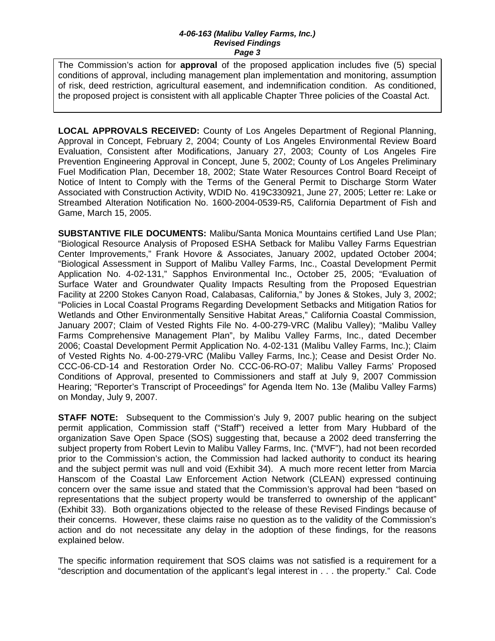The Commission's action for **approval** of the proposed application includes five (5) special conditions of approval, including management plan implementation and monitoring, assumption of risk, deed restriction, agricultural easement, and indemnification condition. As conditioned, the proposed project is consistent with all applicable Chapter Three policies of the Coastal Act.

**LOCAL APPROVALS RECEIVED:** County of Los Angeles Department of Regional Planning, Approval in Concept, February 2, 2004; County of Los Angeles Environmental Review Board Evaluation, Consistent after Modifications, January 27, 2003; County of Los Angeles Fire Prevention Engineering Approval in Concept, June 5, 2002; County of Los Angeles Preliminary Fuel Modification Plan, December 18, 2002; State Water Resources Control Board Receipt of Notice of Intent to Comply with the Terms of the General Permit to Discharge Storm Water Associated with Construction Activity, WDID No. 419C330921, June 27, 2005; Letter re: Lake or Streambed Alteration Notification No. 1600-2004-0539-R5, California Department of Fish and Game, March 15, 2005.

**SUBSTANTIVE FILE DOCUMENTS:** Malibu/Santa Monica Mountains certified Land Use Plan; "Biological Resource Analysis of Proposed ESHA Setback for Malibu Valley Farms Equestrian Center Improvements," Frank Hovore & Associates, January 2002, updated October 2004; "Biological Assessment in Support of Malibu Valley Farms, Inc., Coastal Development Permit Application No. 4-02-131," Sapphos Environmental Inc., October 25, 2005; "Evaluation of Surface Water and Groundwater Quality Impacts Resulting from the Proposed Equestrian Facility at 2200 Stokes Canyon Road, Calabasas, California," by Jones & Stokes, July 3, 2002; "Policies in Local Coastal Programs Regarding Development Setbacks and Mitigation Ratios for Wetlands and Other Environmentally Sensitive Habitat Areas," California Coastal Commission, January 2007; Claim of Vested Rights File No. 4-00-279-VRC (Malibu Valley); "Malibu Valley Farms Comprehensive Management Plan", by Malibu Valley Farms, Inc., dated December 2006; Coastal Development Permit Application No. 4-02-131 (Malibu Valley Farms, Inc.); Claim of Vested Rights No. 4-00-279-VRC (Malibu Valley Farms, Inc.); Cease and Desist Order No. CCC-06-CD-14 and Restoration Order No. CCC-06-RO-07; Malibu Valley Farms' Proposed Conditions of Approval, presented to Commissioners and staff at July 9, 2007 Commission Hearing; "Reporter's Transcript of Proceedings" for Agenda Item No. 13e (Malibu Valley Farms) on Monday, July 9, 2007.

**STAFF NOTE:** Subsequent to the Commission's July 9, 2007 public hearing on the subject permit application, Commission staff ("Staff") received a letter from Mary Hubbard of the organization Save Open Space (SOS) suggesting that, because a 2002 deed transferring the subject property from Robert Levin to Malibu Valley Farms, Inc. ("MVF"), had not been recorded prior to the Commission's action, the Commission had lacked authority to conduct its hearing and the subject permit was null and void (Exhibit 34). A much more recent letter from Marcia Hanscom of the Coastal Law Enforcement Action Network (CLEAN) expressed continuing concern over the same issue and stated that the Commission's approval had been "based on representations that the subject property would be transferred to ownership of the applicant" (Exhibit 33). Both organizations objected to the release of these Revised Findings because of their concerns. However, these claims raise no question as to the validity of the Commission's action and do not necessitate any delay in the adoption of these findings, for the reasons explained below.

The specific information requirement that SOS claims was not satisfied is a requirement for a "description and documentation of the applicant's legal interest in . . . the property." Cal. Code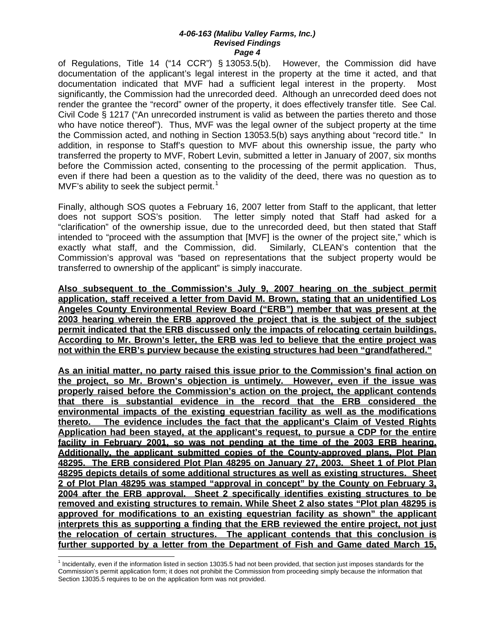of Regulations, Title 14 ("14 CCR") § 13053.5(b). However, the Commission did have documentation of the applicant's legal interest in the property at the time it acted, and that documentation indicated that MVF had a sufficient legal interest in the property. Most significantly, the Commission had the unrecorded deed. Although an unrecorded deed does not render the grantee the "record" owner of the property, it does effectively transfer title. See Cal. Civil Code § 1217 ("An unrecorded instrument is valid as between the parties thereto and those who have notice thereof"). Thus, MVF was the legal owner of the subject property at the time the Commission acted, and nothing in Section 13053.5(b) says anything about "record title." In addition, in response to Staff's question to MVF about this ownership issue, the party who transferred the property to MVF, Robert Levin, submitted a letter in January of 2007, six months before the Commission acted, consenting to the processing of the permit application. Thus, even if there had been a question as to the validity of the deed, there was no question as to MVF's ability to seek the subject permit.<sup>[1](#page-27-0)</sup>

Finally, although SOS quotes a February 16, 2007 letter from Staff to the applicant, that letter does not support SOS's position. The letter simply noted that Staff had asked for a "clarification" of the ownership issue, due to the unrecorded deed, but then stated that Staff intended to "proceed with the assumption that [MVF] is the owner of the project site," which is exactly what staff, and the Commission, did. Similarly, CLEAN's contention that the Commission's approval was "based on representations that the subject property would be transferred to ownership of the applicant" is simply inaccurate.

**Also subsequent to the Commission's July 9, 2007 hearing on the subject permit application, staff received a letter from David M. Brown, stating that an unidentified Los Angeles County Environmental Review Board ("ERB") member that was present at the 2003 hearing wherein the ERB approved the project that is the subject of the subject permit indicated that the ERB discussed only the impacts of relocating certain buildings. According to Mr. Brown's letter, the ERB was led to believe that the entire project was not within the ERB's purview because the existing structures had been "grandfathered."** 

**As an initial matter, no party raised this issue prior to the Commission's final action on the project, so Mr. Brown's objection is untimely. However, even if the issue was properly raised before the Commission's action on the project, the applicant contends that there is substantial evidence in the record that the ERB considered the environmental impacts of the existing equestrian facility as well as the modifications thereto. The evidence includes the fact that the applicant's Claim of Vested Rights Application had been stayed, at the applicant's request, to pursue a CDP for the entire facility in February 2001, so was not pending at the time of the 2003 ERB hearing. Additionally, the applicant submitted copies of the County-approved plans, Plot Plan 48295. The ERB considered Plot Plan 48295 on January 27, 2003. Sheet 1 of Plot Plan 48295 depicts details of some additional structures as well as existing structures. Sheet 2 of Plot Plan 48295 was stamped "approval in concept" by the County on February 3, 2004 after the ERB approval. Sheet 2 specifically identifies existing structures to be removed and existing structures to remain. While Sheet 2 also states "Plot plan 48295 is approved for modifications to an existing equestrian facility as shown" the applicant interprets this as supporting a finding that the ERB reviewed the entire project, not just the relocation of certain structures. The applicant contends that this conclusion is further supported by a letter from the Department of Fish and Game dated March 15,** 

 $\overline{a}$ 

<span id="page-27-0"></span><sup>&</sup>lt;sup>1</sup> Incidentally, even if the information listed in section 13035.5 had not been provided, that section just imposes standards for the Commission's permit application form; it does not prohibit the Commission from proceeding simply because the information that Section 13035.5 requires to be on the application form was not provided.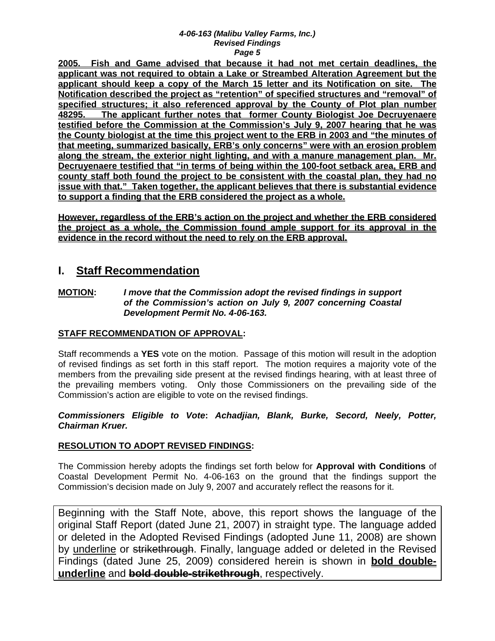**2005. Fish and Game advised that because it had not met certain deadlines, the applicant was not required to obtain a Lake or Streambed Alteration Agreement but the applicant should keep a copy of the March 15 letter and its Notification on site. The Notification described the project as "retention" of specified structures and "removal" of specified structures; it also referenced approval by the County of Plot plan number 48295. The applicant further notes that former County Biologist Joe Decruyenaere testified before the Commission at the Commission's July 9, 2007 hearing that he was the County biologist at the time this project went to the ERB in 2003 and "the minutes of that meeting, summarized basically, ERB's only concerns" were with an erosion problem along the stream, the exterior night lighting, and with a manure management plan. Mr. Decruyenaere testified that "in terms of being within the 100-foot setback area, ERB and county staff both found the project to be consistent with the coastal plan, they had no issue with that." Taken together, the applicant believes that there is substantial evidence to support a finding that the ERB considered the project as a whole.** 

**However, regardless of the ERB's action on the project and whether the ERB considered the project as a whole, the Commission found ample support for its approval in the evidence in the record without the need to rely on the ERB approval.**

### **I. Staff Recommendation**

#### **MOTION:** *I move that the Commission adopt the revised findings in support of the Commission's action on July 9, 2007 concerning Coastal Development Permit No. 4-06-163.*

### **STAFF RECOMMENDATION OF APPROVAL:**

Staff recommends a **YES** vote on the motion. Passage of this motion will result in the adoption of revised findings as set forth in this staff report. The motion requires a majority vote of the members from the prevailing side present at the revised findings hearing, with at least three of the prevailing members voting. Only those Commissioners on the prevailing side of the Commission's action are eligible to vote on the revised findings.

### *Commissioners Eligible to Vote***:** *Achadjian, Blank, Burke, Secord, Neely, Potter, Chairman Kruer.*

### **RESOLUTION TO ADOPT REVISED FINDINGS:**

The Commission hereby adopts the findings set forth below for **Approval with Conditions** of Coastal Development Permit No. 4-06-163 on the ground that the findings support the Commission's decision made on July 9, 2007 and accurately reflect the reasons for it.

Beginning with the Staff Note, above, this report shows the language of the original Staff Report (dated June 21, 2007) in straight type. The language added or deleted in the Adopted Revised Findings (adopted June 11, 2008) are shown by underline or strikethrough. Finally, language added or deleted in the Revised Findings (dated June 25, 2009) considered herein is shown in **bold doubleunderline** and **bold double-strikethrough**, respectively.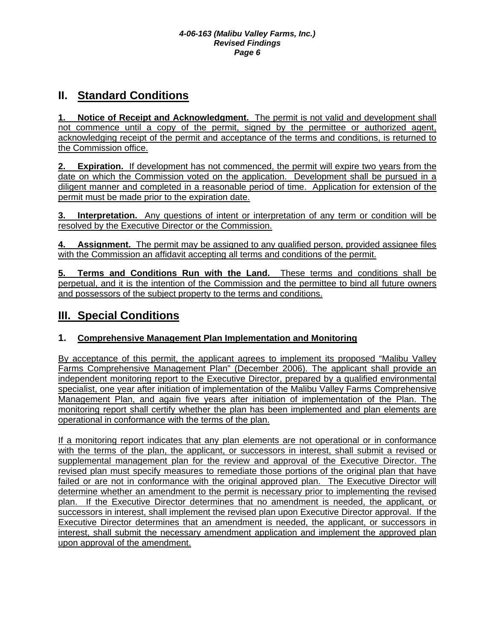# **II. Standard Conditions**

**Notice of Receipt and Acknowledgment.** The permit is not valid and development shall not commence until a copy of the permit, signed by the permittee or authorized agent, acknowledging receipt of the permit and acceptance of the terms and conditions, is returned to the Commission office.

**Expiration.** If development has not commenced, the permit will expire two years from the date on which the Commission voted on the application. Development shall be pursued in a diligent manner and completed in a reasonable period of time. Application for extension of the permit must be made prior to the expiration date.

**Interpretation.** Any questions of intent or interpretation of any term or condition will be resolved by the Executive Director or the Commission.

**4. Assignment.** The permit may be assigned to any qualified person, provided assignee files with the Commission an affidavit accepting all terms and conditions of the permit.

**5. Terms and Conditions Run with the Land.** These terms and conditions shall be perpetual, and it is the intention of the Commission and the permittee to bind all future owners and possessors of the subject property to the terms and conditions.

# **III. Special Conditions**

### **1. Comprehensive Management Plan Implementation and Monitoring**

By acceptance of this permit, the applicant agrees to implement its proposed "Malibu Valley Farms Comprehensive Management Plan" (December 2006). The applicant shall provide an independent monitoring report to the Executive Director, prepared by a qualified environmental specialist, one year after initiation of implementation of the Malibu Valley Farms Comprehensive Management Plan, and again five years after initiation of implementation of the Plan. The monitoring report shall certify whether the plan has been implemented and plan elements are operational in conformance with the terms of the plan.

If a monitoring report indicates that any plan elements are not operational or in conformance with the terms of the plan, the applicant, or successors in interest, shall submit a revised or supplemental management plan for the review and approval of the Executive Director. The revised plan must specify measures to remediate those portions of the original plan that have failed or are not in conformance with the original approved plan. The Executive Director will determine whether an amendment to the permit is necessary prior to implementing the revised plan. If the Executive Director determines that no amendment is needed, the applicant, or successors in interest, shall implement the revised plan upon Executive Director approval. If the Executive Director determines that an amendment is needed, the applicant, or successors in interest, shall submit the necessary amendment application and implement the approved plan upon approval of the amendment.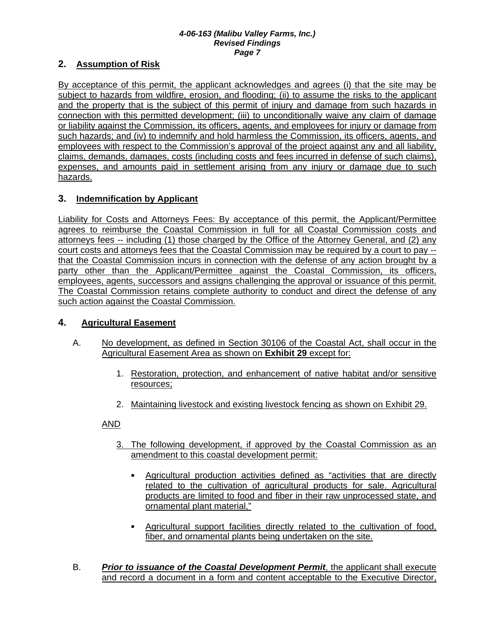### **2. Assumption of Risk**

By acceptance of this permit, the applicant acknowledges and agrees (i) that the site may be subject to hazards from wildfire, erosion, and flooding; (ii) to assume the risks to the applicant and the property that is the subject of this permit of injury and damage from such hazards in connection with this permitted development; (iii) to unconditionally waive any claim of damage or liability against the Commission, its officers, agents, and employees for injury or damage from such hazards; and (iv) to indemnify and hold harmless the Commission, its officers, agents, and employees with respect to the Commission's approval of the project against any and all liability, claims, demands, damages, costs (including costs and fees incurred in defense of such claims), expenses, and amounts paid in settlement arising from any injury or damage due to such hazards.

### **3. Indemnification by Applicant**

Liability for Costs and Attorneys Fees: By acceptance of this permit, the Applicant/Permittee agrees to reimburse the Coastal Commission in full for all Coastal Commission costs and attorneys fees -- including (1) those charged by the Office of the Attorney General, and (2) any court costs and attorneys fees that the Coastal Commission may be required by a court to pay - that the Coastal Commission incurs in connection with the defense of any action brought by a party other than the Applicant/Permittee against the Coastal Commission, its officers, employees, agents, successors and assigns challenging the approval or issuance of this permit. The Coastal Commission retains complete authority to conduct and direct the defense of any such action against the Coastal Commission.

### **4. Agricultural Easement**

- A. No development, as defined in Section 30106 of the Coastal Act, shall occur in the Agricultural Easement Area as shown on **Exhibit 29** except for:
	- 1. Restoration, protection, and enhancement of native habitat and/or sensitive resources;
	- 2. Maintaining livestock and existing livestock fencing as shown on Exhibit 29.

### AND

- 3. The following development, if approved by the Coastal Commission as an amendment to this coastal development permit:
	- Agricultural production activities defined as "activities that are directly related to the cultivation of agricultural products for sale. Agricultural products are limited to food and fiber in their raw unprocessed state, and ornamental plant material,"
	- Agricultural support facilities directly related to the cultivation of food, fiber, and ornamental plants being undertaken on the site.
- B. *Prior to issuance of the Coastal Development Permit*, the applicant shall execute and record a document in a form and content acceptable to the Executive Director,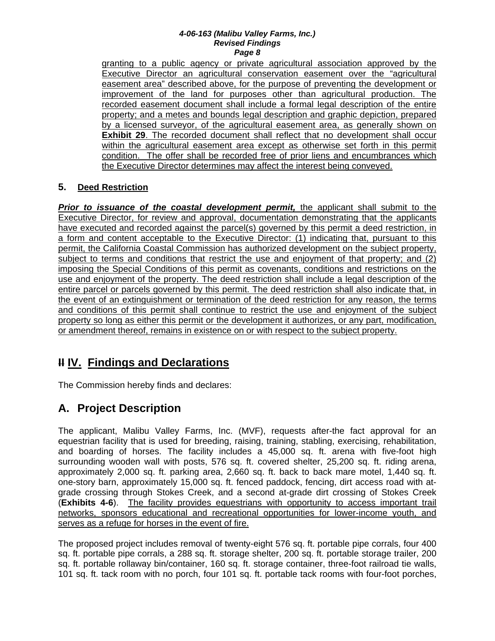granting to a public agency or private agricultural association approved by the Executive Director an agricultural conservation easement over the "agricultural easement area" described above, for the purpose of preventing the development or improvement of the land for purposes other than agricultural production. The recorded easement document shall include a formal legal description of the entire property; and a metes and bounds legal description and graphic depiction, prepared by a licensed surveyor, of the agricultural easement area, as generally shown on **Exhibit 29**. The recorded document shall reflect that no development shall occur within the agricultural easement area except as otherwise set forth in this permit condition. The offer shall be recorded free of prior liens and encumbrances which the Executive Director determines may affect the interest being conveyed.

### **5. Deed Restriction**

*Prior to issuance of the coastal development permit,* the applicant shall submit to the Executive Director, for review and approval, documentation demonstrating that the applicants have executed and recorded against the parcel(s) governed by this permit a deed restriction, in a form and content acceptable to the Executive Director: (1) indicating that, pursuant to this permit, the California Coastal Commission has authorized development on the subject property, subject to terms and conditions that restrict the use and enjoyment of that property; and (2) imposing the Special Conditions of this permit as covenants, conditions and restrictions on the use and enjoyment of the property. The deed restriction shall include a legal description of the entire parcel or parcels governed by this permit. The deed restriction shall also indicate that, in the event of an extinguishment or termination of the deed restriction for any reason, the terms and conditions of this permit shall continue to restrict the use and enjoyment of the subject property so long as either this permit or the development it authorizes, or any part, modification, or amendment thereof, remains in existence on or with respect to the subject property.

# **II IV. Findings and Declarations**

The Commission hereby finds and declares:

# **A. Project Description**

The applicant, Malibu Valley Farms, Inc. (MVF), requests after-the fact approval for an equestrian facility that is used for breeding, raising, training, stabling, exercising, rehabilitation, and boarding of horses. The facility includes a 45,000 sq. ft. arena with five-foot high surrounding wooden wall with posts, 576 sq. ft. covered shelter, 25,200 sq. ft. riding arena, approximately 2,000 sq. ft. parking area, 2,660 sq. ft. back to back mare motel, 1,440 sq. ft. one-story barn, approximately 15,000 sq. ft. fenced paddock, fencing, dirt access road with atgrade crossing through Stokes Creek, and a second at-grade dirt crossing of Stokes Creek (**Exhibits 4-6**). The facility provides equestrians with opportunity to access important trail networks, sponsors educational and recreational opportunities for lower-income youth, and serves as a refuge for horses in the event of fire.

The proposed project includes removal of twenty-eight 576 sq. ft. portable pipe corrals, four 400 sq. ft. portable pipe corrals, a 288 sq. ft. storage shelter, 200 sq. ft. portable storage trailer, 200 sq. ft. portable rollaway bin/container, 160 sq. ft. storage container, three-foot railroad tie walls, 101 sq. ft. tack room with no porch, four 101 sq. ft. portable tack rooms with four-foot porches,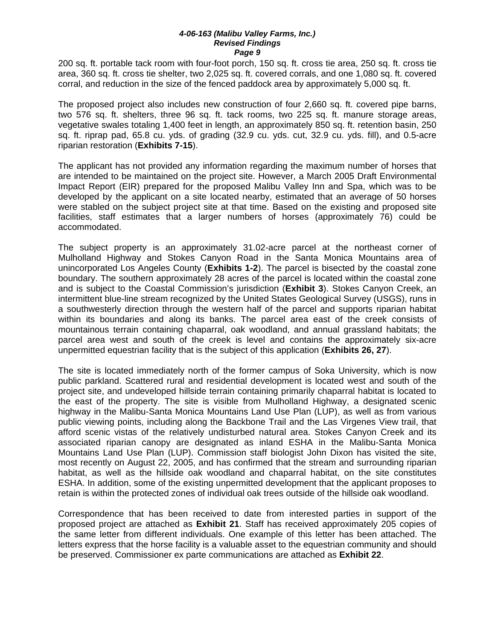200 sq. ft. portable tack room with four-foot porch, 150 sq. ft. cross tie area, 250 sq. ft. cross tie area, 360 sq. ft. cross tie shelter, two 2,025 sq. ft. covered corrals, and one 1,080 sq. ft. covered corral, and reduction in the size of the fenced paddock area by approximately 5,000 sq. ft.

The proposed project also includes new construction of four 2,660 sq. ft. covered pipe barns, two 576 sq. ft. shelters, three 96 sq. ft. tack rooms, two 225 sq. ft. manure storage areas, vegetative swales totaling 1,400 feet in length, an approximately 850 sq. ft. retention basin, 250 sq. ft. riprap pad, 65.8 cu. yds. of grading (32.9 cu. yds. cut, 32.9 cu. yds. fill), and 0.5-acre riparian restoration (**Exhibits 7-15**).

The applicant has not provided any information regarding the maximum number of horses that are intended to be maintained on the project site. However, a March 2005 Draft Environmental Impact Report (EIR) prepared for the proposed Malibu Valley Inn and Spa, which was to be developed by the applicant on a site located nearby, estimated that an average of 50 horses were stabled on the subject project site at that time. Based on the existing and proposed site facilities, staff estimates that a larger numbers of horses (approximately 76) could be accommodated.

The subject property is an approximately 31.02-acre parcel at the northeast corner of Mulholland Highway and Stokes Canyon Road in the Santa Monica Mountains area of unincorporated Los Angeles County (**Exhibits 1-2**). The parcel is bisected by the coastal zone boundary. The southern approximately 28 acres of the parcel is located within the coastal zone and is subject to the Coastal Commission's jurisdiction (**Exhibit 3**). Stokes Canyon Creek, an intermittent blue-line stream recognized by the United States Geological Survey (USGS), runs in a southwesterly direction through the western half of the parcel and supports riparian habitat within its boundaries and along its banks. The parcel area east of the creek consists of mountainous terrain containing chaparral, oak woodland, and annual grassland habitats; the parcel area west and south of the creek is level and contains the approximately six-acre unpermitted equestrian facility that is the subject of this application (**Exhibits 26, 27**).

The site is located immediately north of the former campus of Soka University, which is now public parkland. Scattered rural and residential development is located west and south of the project site, and undeveloped hillside terrain containing primarily chaparral habitat is located to the east of the property. The site is visible from Mulholland Highway, a designated scenic highway in the Malibu-Santa Monica Mountains Land Use Plan (LUP), as well as from various public viewing points, including along the Backbone Trail and the Las Virgenes View trail, that afford scenic vistas of the relatively undisturbed natural area. Stokes Canyon Creek and its associated riparian canopy are designated as inland ESHA in the Malibu-Santa Monica Mountains Land Use Plan (LUP). Commission staff biologist John Dixon has visited the site, most recently on August 22, 2005, and has confirmed that the stream and surrounding riparian habitat, as well as the hillside oak woodland and chaparral habitat, on the site constitutes ESHA. In addition, some of the existing unpermitted development that the applicant proposes to retain is within the protected zones of individual oak trees outside of the hillside oak woodland.

Correspondence that has been received to date from interested parties in support of the proposed project are attached as **Exhibit 21**. Staff has received approximately 205 copies of the same letter from different individuals. One example of this letter has been attached. The letters express that the horse facility is a valuable asset to the equestrian community and should be preserved. Commissioner ex parte communications are attached as **Exhibit 22**.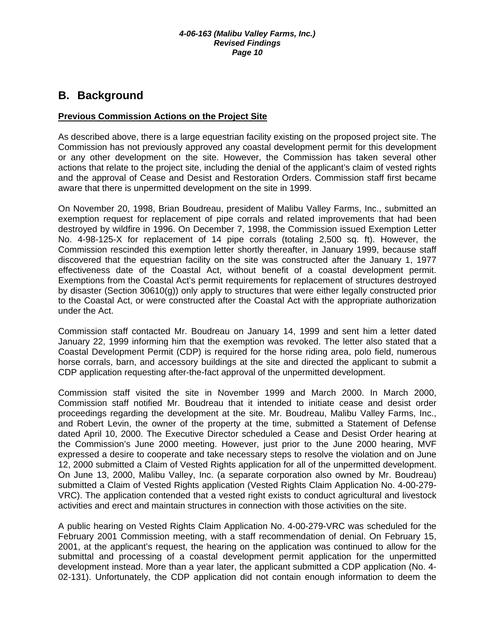## **B. Background**

### **Previous Commission Actions on the Project Site**

As described above, there is a large equestrian facility existing on the proposed project site. The Commission has not previously approved any coastal development permit for this development or any other development on the site. However, the Commission has taken several other actions that relate to the project site, including the denial of the applicant's claim of vested rights and the approval of Cease and Desist and Restoration Orders. Commission staff first became aware that there is unpermitted development on the site in 1999.

On November 20, 1998, Brian Boudreau, president of Malibu Valley Farms, Inc., submitted an exemption request for replacement of pipe corrals and related improvements that had been destroyed by wildfire in 1996. On December 7, 1998, the Commission issued Exemption Letter No. 4-98-125-X for replacement of 14 pipe corrals (totaling 2,500 sq. ft). However, the Commission rescinded this exemption letter shortly thereafter, in January 1999, because staff discovered that the equestrian facility on the site was constructed after the January 1, 1977 effectiveness date of the Coastal Act, without benefit of a coastal development permit. Exemptions from the Coastal Act's permit requirements for replacement of structures destroyed by disaster (Section 30610(g)) only apply to structures that were either legally constructed prior to the Coastal Act, or were constructed after the Coastal Act with the appropriate authorization under the Act.

Commission staff contacted Mr. Boudreau on January 14, 1999 and sent him a letter dated January 22, 1999 informing him that the exemption was revoked. The letter also stated that a Coastal Development Permit (CDP) is required for the horse riding area, polo field, numerous horse corrals, barn, and accessory buildings at the site and directed the applicant to submit a CDP application requesting after-the-fact approval of the unpermitted development.

Commission staff visited the site in November 1999 and March 2000. In March 2000, Commission staff notified Mr. Boudreau that it intended to initiate cease and desist order proceedings regarding the development at the site. Mr. Boudreau, Malibu Valley Farms, Inc., and Robert Levin, the owner of the property at the time, submitted a Statement of Defense dated April 10, 2000. The Executive Director scheduled a Cease and Desist Order hearing at the Commission's June 2000 meeting. However, just prior to the June 2000 hearing, MVF expressed a desire to cooperate and take necessary steps to resolve the violation and on June 12, 2000 submitted a Claim of Vested Rights application for all of the unpermitted development. On June 13, 2000, Malibu Valley, Inc. (a separate corporation also owned by Mr. Boudreau) submitted a Claim of Vested Rights application (Vested Rights Claim Application No. 4-00-279- VRC). The application contended that a vested right exists to conduct agricultural and livestock activities and erect and maintain structures in connection with those activities on the site.

A public hearing on Vested Rights Claim Application No. 4-00-279-VRC was scheduled for the February 2001 Commission meeting, with a staff recommendation of denial. On February 15, 2001, at the applicant's request, the hearing on the application was continued to allow for the submittal and processing of a coastal development permit application for the unpermitted development instead. More than a year later, the applicant submitted a CDP application (No. 4- 02-131). Unfortunately, the CDP application did not contain enough information to deem the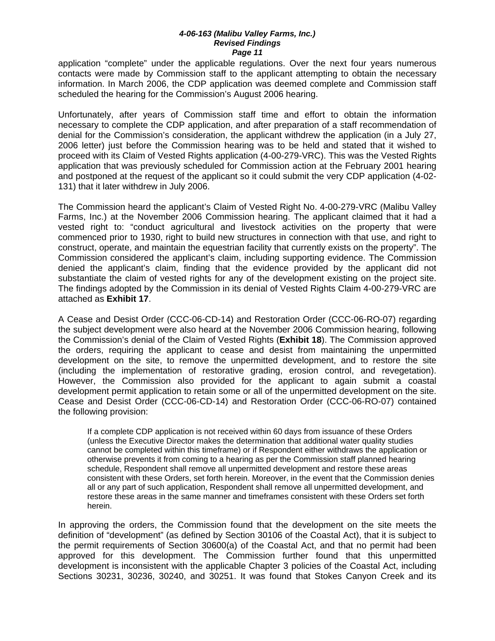application "complete" under the applicable regulations. Over the next four years numerous contacts were made by Commission staff to the applicant attempting to obtain the necessary information. In March 2006, the CDP application was deemed complete and Commission staff scheduled the hearing for the Commission's August 2006 hearing.

Unfortunately, after years of Commission staff time and effort to obtain the information necessary to complete the CDP application, and after preparation of a staff recommendation of denial for the Commission's consideration, the applicant withdrew the application (in a July 27, 2006 letter) just before the Commission hearing was to be held and stated that it wished to proceed with its Claim of Vested Rights application (4-00-279-VRC). This was the Vested Rights application that was previously scheduled for Commission action at the February 2001 hearing and postponed at the request of the applicant so it could submit the very CDP application (4-02- 131) that it later withdrew in July 2006.

The Commission heard the applicant's Claim of Vested Right No. 4-00-279-VRC (Malibu Valley Farms, Inc.) at the November 2006 Commission hearing. The applicant claimed that it had a vested right to: "conduct agricultural and livestock activities on the property that were commenced prior to 1930, right to build new structures in connection with that use, and right to construct, operate, and maintain the equestrian facility that currently exists on the property". The Commission considered the applicant's claim, including supporting evidence. The Commission denied the applicant's claim, finding that the evidence provided by the applicant did not substantiate the claim of vested rights for any of the development existing on the project site. The findings adopted by the Commission in its denial of Vested Rights Claim 4-00-279-VRC are attached as **Exhibit 17**.

A Cease and Desist Order (CCC-06-CD-14) and Restoration Order (CCC-06-RO-07) regarding the subject development were also heard at the November 2006 Commission hearing, following the Commission's denial of the Claim of Vested Rights (**Exhibit 18**). The Commission approved the orders, requiring the applicant to cease and desist from maintaining the unpermitted development on the site, to remove the unpermitted development, and to restore the site (including the implementation of restorative grading, erosion control, and revegetation). However, the Commission also provided for the applicant to again submit a coastal development permit application to retain some or all of the unpermitted development on the site. Cease and Desist Order (CCC-06-CD-14) and Restoration Order (CCC-06-RO-07) contained the following provision:

 If a complete CDP application is not received within 60 days from issuance of these Orders (unless the Executive Director makes the determination that additional water quality studies cannot be completed within this timeframe) or if Respondent either withdraws the application or otherwise prevents it from coming to a hearing as per the Commission staff planned hearing schedule, Respondent shall remove all unpermitted development and restore these areas consistent with these Orders, set forth herein. Moreover, in the event that the Commission denies all or any part of such application, Respondent shall remove all unpermitted development, and restore these areas in the same manner and timeframes consistent with these Orders set forth herein.

In approving the orders, the Commission found that the development on the site meets the definition of "development" (as defined by Section 30106 of the Coastal Act), that it is subject to the permit requirements of Section 30600(a) of the Coastal Act, and that no permit had been approved for this development. The Commission further found that this unpermitted development is inconsistent with the applicable Chapter 3 policies of the Coastal Act, including Sections 30231, 30236, 30240, and 30251. It was found that Stokes Canyon Creek and its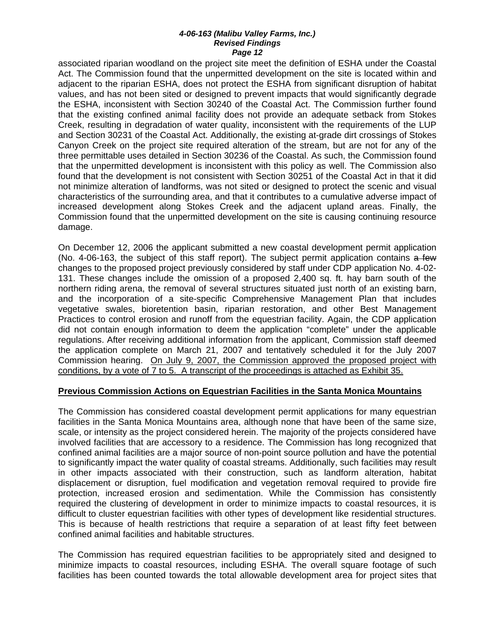associated riparian woodland on the project site meet the definition of ESHA under the Coastal Act. The Commission found that the unpermitted development on the site is located within and adjacent to the riparian ESHA, does not protect the ESHA from significant disruption of habitat values, and has not been sited or designed to prevent impacts that would significantly degrade the ESHA, inconsistent with Section 30240 of the Coastal Act. The Commission further found that the existing confined animal facility does not provide an adequate setback from Stokes Creek, resulting in degradation of water quality, inconsistent with the requirements of the LUP and Section 30231 of the Coastal Act. Additionally, the existing at-grade dirt crossings of Stokes Canyon Creek on the project site required alteration of the stream, but are not for any of the three permittable uses detailed in Section 30236 of the Coastal. As such, the Commission found that the unpermitted development is inconsistent with this policy as well. The Commission also found that the development is not consistent with Section 30251 of the Coastal Act in that it did not minimize alteration of landforms, was not sited or designed to protect the scenic and visual characteristics of the surrounding area, and that it contributes to a cumulative adverse impact of increased development along Stokes Creek and the adjacent upland areas. Finally, the Commission found that the unpermitted development on the site is causing continuing resource damage.

On December 12, 2006 the applicant submitted a new coastal development permit application (No. 4-06-163, the subject of this staff report). The subject permit application contains  $a$  few changes to the proposed project previously considered by staff under CDP application No. 4-02- 131. These changes include the omission of a proposed 2,400 sq. ft. hay barn south of the northern riding arena, the removal of several structures situated just north of an existing barn, and the incorporation of a site-specific Comprehensive Management Plan that includes vegetative swales, bioretention basin, riparian restoration, and other Best Management Practices to control erosion and runoff from the equestrian facility. Again, the CDP application did not contain enough information to deem the application "complete" under the applicable regulations. After receiving additional information from the applicant, Commission staff deemed the application complete on March 21, 2007 and tentatively scheduled it for the July 2007 Commission hearing. On July 9, 2007, the Commission approved the proposed project with conditions, by a vote of 7 to 5. A transcript of the proceedings is attached as Exhibit 35.

#### **Previous Commission Actions on Equestrian Facilities in the Santa Monica Mountains**

The Commission has considered coastal development permit applications for many equestrian facilities in the Santa Monica Mountains area, although none that have been of the same size, scale, or intensity as the project considered herein. The majority of the projects considered have involved facilities that are accessory to a residence. The Commission has long recognized that confined animal facilities are a major source of non-point source pollution and have the potential to significantly impact the water quality of coastal streams. Additionally, such facilities may result in other impacts associated with their construction, such as landform alteration, habitat displacement or disruption, fuel modification and vegetation removal required to provide fire protection, increased erosion and sedimentation. While the Commission has consistently required the clustering of development in order to minimize impacts to coastal resources, it is difficult to cluster equestrian facilities with other types of development like residential structures. This is because of health restrictions that require a separation of at least fifty feet between confined animal facilities and habitable structures.

The Commission has required equestrian facilities to be appropriately sited and designed to minimize impacts to coastal resources, including ESHA. The overall square footage of such facilities has been counted towards the total allowable development area for project sites that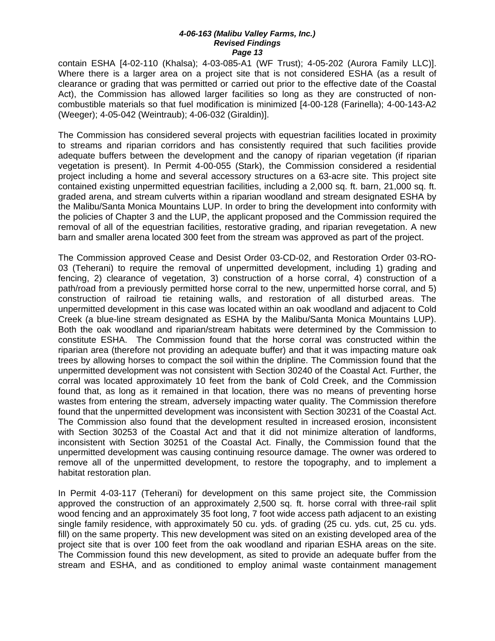contain ESHA [4-02-110 (Khalsa); 4-03-085-A1 (WF Trust); 4-05-202 (Aurora Family LLC)]. Where there is a larger area on a project site that is not considered ESHA (as a result of clearance or grading that was permitted or carried out prior to the effective date of the Coastal Act), the Commission has allowed larger facilities so long as they are constructed of noncombustible materials so that fuel modification is minimized [4-00-128 (Farinella); 4-00-143-A2 (Weeger); 4-05-042 (Weintraub); 4-06-032 (Giraldin)].

The Commission has considered several projects with equestrian facilities located in proximity to streams and riparian corridors and has consistently required that such facilities provide adequate buffers between the development and the canopy of riparian vegetation (if riparian vegetation is present). In Permit 4-00-055 (Stark), the Commission considered a residential project including a home and several accessory structures on a 63-acre site. This project site contained existing unpermitted equestrian facilities, including a 2,000 sq. ft. barn, 21,000 sq. ft. graded arena, and stream culverts within a riparian woodland and stream designated ESHA by the Malibu/Santa Monica Mountains LUP. In order to bring the development into conformity with the policies of Chapter 3 and the LUP, the applicant proposed and the Commission required the removal of all of the equestrian facilities, restorative grading, and riparian revegetation. A new barn and smaller arena located 300 feet from the stream was approved as part of the project.

The Commission approved Cease and Desist Order 03-CD-02, and Restoration Order 03-RO-03 (Teherani) to require the removal of unpermitted development, including 1) grading and fencing, 2) clearance of vegetation, 3) construction of a horse corral, 4) construction of a path/road from a previously permitted horse corral to the new, unpermitted horse corral, and 5) construction of railroad tie retaining walls, and restoration of all disturbed areas. The unpermitted development in this case was located within an oak woodland and adjacent to Cold Creek (a blue-line stream designated as ESHA by the Malibu/Santa Monica Mountains LUP). Both the oak woodland and riparian/stream habitats were determined by the Commission to constitute ESHA. The Commission found that the horse corral was constructed within the riparian area (therefore not providing an adequate buffer) and that it was impacting mature oak trees by allowing horses to compact the soil within the dripline. The Commission found that the unpermitted development was not consistent with Section 30240 of the Coastal Act. Further, the corral was located approximately 10 feet from the bank of Cold Creek, and the Commission found that, as long as it remained in that location, there was no means of preventing horse wastes from entering the stream, adversely impacting water quality. The Commission therefore found that the unpermitted development was inconsistent with Section 30231 of the Coastal Act. The Commission also found that the development resulted in increased erosion, inconsistent with Section 30253 of the Coastal Act and that it did not minimize alteration of landforms, inconsistent with Section 30251 of the Coastal Act. Finally, the Commission found that the unpermitted development was causing continuing resource damage. The owner was ordered to remove all of the unpermitted development, to restore the topography, and to implement a habitat restoration plan.

In Permit 4-03-117 (Teherani) for development on this same project site, the Commission approved the construction of an approximately 2,500 sq. ft. horse corral with three-rail split wood fencing and an approximately 35 foot long, 7 foot wide access path adjacent to an existing single family residence, with approximately 50 cu. yds. of grading (25 cu. yds. cut, 25 cu. yds. fill) on the same property. This new development was sited on an existing developed area of the project site that is over 100 feet from the oak woodland and riparian ESHA areas on the site. The Commission found this new development, as sited to provide an adequate buffer from the stream and ESHA, and as conditioned to employ animal waste containment management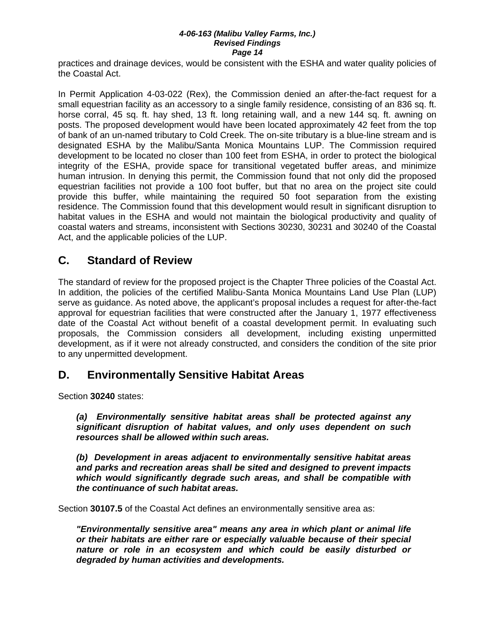practices and drainage devices, would be consistent with the ESHA and water quality policies of the Coastal Act.

In Permit Application 4-03-022 (Rex), the Commission denied an after-the-fact request for a small equestrian facility as an accessory to a single family residence, consisting of an 836 sq. ft. horse corral, 45 sq. ft. hay shed, 13 ft. long retaining wall, and a new 144 sq. ft. awning on posts. The proposed development would have been located approximately 42 feet from the top of bank of an un-named tributary to Cold Creek. The on-site tributary is a blue-line stream and is designated ESHA by the Malibu/Santa Monica Mountains LUP. The Commission required development to be located no closer than 100 feet from ESHA, in order to protect the biological integrity of the ESHA, provide space for transitional vegetated buffer areas, and minimize human intrusion. In denying this permit, the Commission found that not only did the proposed equestrian facilities not provide a 100 foot buffer, but that no area on the project site could provide this buffer, while maintaining the required 50 foot separation from the existing residence. The Commission found that this development would result in significant disruption to habitat values in the ESHA and would not maintain the biological productivity and quality of coastal waters and streams, inconsistent with Sections 30230, 30231 and 30240 of the Coastal Act, and the applicable policies of the LUP.

## **C. Standard of Review**

The standard of review for the proposed project is the Chapter Three policies of the Coastal Act. In addition, the policies of the certified Malibu-Santa Monica Mountains Land Use Plan (LUP) serve as guidance. As noted above, the applicant's proposal includes a request for after-the-fact approval for equestrian facilities that were constructed after the January 1, 1977 effectiveness date of the Coastal Act without benefit of a coastal development permit. In evaluating such proposals, the Commission considers all development, including existing unpermitted development, as if it were not already constructed, and considers the condition of the site prior to any unpermitted development.

### **D. Environmentally Sensitive Habitat Areas**

Section **30240** states:

 *(a) Environmentally sensitive habitat areas shall be protected against any significant disruption of habitat values, and only uses dependent on such resources shall be allowed within such areas.* 

 *(b) Development in areas adjacent to environmentally sensitive habitat areas and parks and recreation areas shall be sited and designed to prevent impacts which would significantly degrade such areas, and shall be compatible with the continuance of such habitat areas.* 

Section **30107.5** of the Coastal Act defines an environmentally sensitive area as:

*"Environmentally sensitive area" means any area in which plant or animal life or their habitats are either rare or especially valuable because of their special nature or role in an ecosystem and which could be easily disturbed or degraded by human activities and developments.*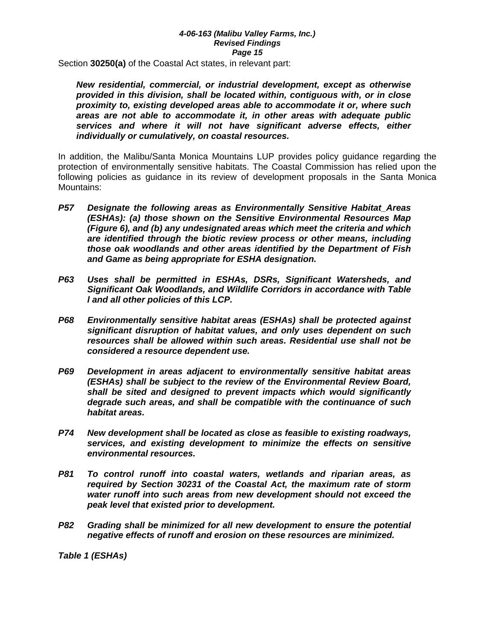Section **30250(a)** of the Coastal Act states, in relevant part:

*New residential, commercial, or industrial development, except as otherwise provided in this division, shall be located within, contiguous with, or in close proximity to, existing developed areas able to accommodate it or, where such areas are not able to accommodate it, in other areas with adequate public services and where it will not have significant adverse effects, either individually or cumulatively, on coastal resources.*

In addition, the Malibu/Santa Monica Mountains LUP provides policy guidance regarding the protection of environmentally sensitive habitats. The Coastal Commission has relied upon the following policies as guidance in its review of development proposals in the Santa Monica Mountains:

- *P57 Designate the following areas as Environmentally Sensitive Habitat\_Areas (ESHAs): (a) those shown on the Sensitive Environmental Resources Map (Figure 6), and (b) any undesignated areas which meet the criteria and which are identified through the biotic review process or other means, including those oak woodlands and other areas identified by the Department of Fish and Game as being appropriate for ESHA designation.*
- *P63 Uses shall be permitted in ESHAs, DSRs, Significant Watersheds, and Significant Oak Woodlands, and Wildlife Corridors in accordance with Table l and all other policies of this LCP.*
- *P68 Environmentally sensitive habitat areas (ESHAs) shall be protected against significant disruption of habitat values, and only uses dependent on such resources shall be allowed within such areas. Residential use shall not be considered a resource dependent use.*
- *P69 Development in areas adjacent to environmentally sensitive habitat areas (ESHAs) shall be subject to the review of the Environmental Review Board, shall be sited and designed to prevent impacts which would significantly degrade such areas, and shall be compatible with the continuance of such habitat areas.*
- *P74 New development shall be located as close as feasible to existing roadways, services, and existing development to minimize the effects on sensitive environmental resources.*
- *P81 To control runoff into coastal waters, wetlands and riparian areas, as required by Section 30231 of the Coastal Act, the maximum rate of storm water runoff into such areas from new development should not exceed the peak level that existed prior to development.*
- *P82 Grading shall be minimized for all new development to ensure the potential negative effects of runoff and erosion on these resources are minimized.*

*Table 1 (ESHAs)*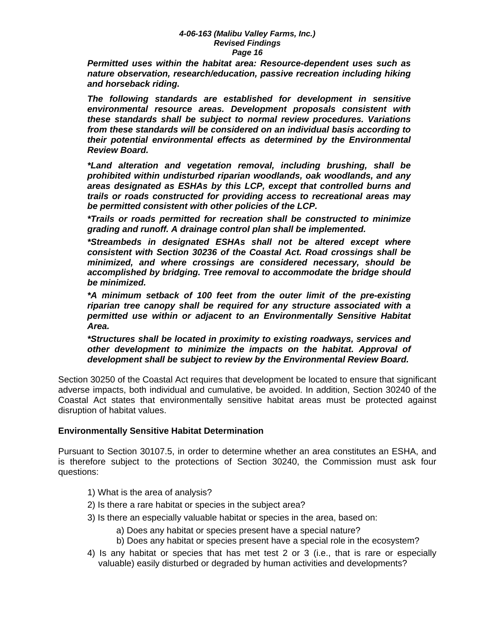*Permitted uses within the habitat area: Resource-dependent uses such as nature observation, research/education, passive recreation including hiking and horseback riding.* 

 *The following standards are established for development in sensitive environmental resource areas. Development proposals consistent with these standards shall be subject to normal review procedures. Variations from these standards will be considered on an individual basis according to their potential environmental effects as determined by the Environmental Review Board.* 

 *\*Land alteration and vegetation removal, including brushing, shall be prohibited within undisturbed riparian woodlands, oak woodlands, and any areas designated as ESHAs by this LCP, except that controlled burns and trails or roads constructed for providing access to recreational areas may be permitted consistent with other policies of the LCP.* 

*\*Trails or roads permitted for recreation shall be constructed to minimize grading and runoff. A drainage control plan shall be implemented.* 

*\*Streambeds in designated ESHAs shall not be altered except where consistent with Section 30236 of the Coastal Act. Road crossings shall be minimized, and where crossings are considered necessary, should be accomplished by bridging. Tree removal to accommodate the bridge should be minimized.* 

*\*A minimum setback of 100 feet from the outer limit of the pre-existing riparian tree canopy shall be required for any structure associated with a permitted use within or adjacent to an Environmentally Sensitive Habitat Area.* 

*\*Structures shall be located in proximity to existing roadways, services and other development to minimize the impacts on the habitat. Approval of development shall be subject to review by the Environmental Review Board.* 

Section 30250 of the Coastal Act requires that development be located to ensure that significant adverse impacts, both individual and cumulative, be avoided. In addition, Section 30240 of the Coastal Act states that environmentally sensitive habitat areas must be protected against disruption of habitat values.

### **Environmentally Sensitive Habitat Determination**

Pursuant to Section 30107.5, in order to determine whether an area constitutes an ESHA, and is therefore subject to the protections of Section 30240, the Commission must ask four questions:

- 1) What is the area of analysis?
- 2) Is there a rare habitat or species in the subject area?
- 3) Is there an especially valuable habitat or species in the area, based on:
	- a) Does any habitat or species present have a special nature?
	- b) Does any habitat or species present have a special role in the ecosystem?
- 4) Is any habitat or species that has met test 2 or 3 (i.e., that is rare or especially valuable) easily disturbed or degraded by human activities and developments?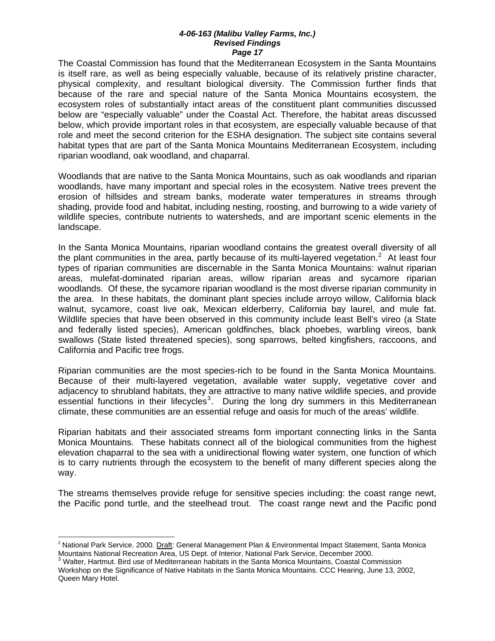The Coastal Commission has found that the Mediterranean Ecosystem in the Santa Mountains is itself rare, as well as being especially valuable, because of its relatively pristine character, physical complexity, and resultant biological diversity. The Commission further finds that because of the rare and special nature of the Santa Monica Mountains ecosystem, the ecosystem roles of substantially intact areas of the constituent plant communities discussed below are "especially valuable" under the Coastal Act. Therefore, the habitat areas discussed below, which provide important roles in that ecosystem, are especially valuable because of that role and meet the second criterion for the ESHA designation. The subject site contains several habitat types that are part of the Santa Monica Mountains Mediterranean Ecosystem, including riparian woodland, oak woodland, and chaparral.

Woodlands that are native to the Santa Monica Mountains, such as oak woodlands and riparian woodlands, have many important and special roles in the ecosystem. Native trees prevent the erosion of hillsides and stream banks, moderate water temperatures in streams through shading, provide food and habitat, including nesting, roosting, and burrowing to a wide variety of wildlife species, contribute nutrients to watersheds, and are important scenic elements in the landscape.

In the Santa Monica Mountains, riparian woodland contains the greatest overall diversity of all the plant communities in the area, partly because of its multi-layered vegetation.<sup>[2](#page-40-0)</sup> At least four types of riparian communities are discernable in the Santa Monica Mountains: walnut riparian areas, mulefat-dominated riparian areas, willow riparian areas and sycamore riparian woodlands. Of these, the sycamore riparian woodland is the most diverse riparian community in the area. In these habitats, the dominant plant species include arroyo willow, California black walnut, sycamore, coast live oak, Mexican elderberry, California bay laurel, and mule fat. Wildlife species that have been observed in this community include least Bell's vireo (a State and federally listed species), American goldfinches, black phoebes, warbling vireos, bank swallows (State listed threatened species), song sparrows, belted kingfishers, raccoons, and California and Pacific tree frogs.

Riparian communities are the most species-rich to be found in the Santa Monica Mountains. Because of their multi-layered vegetation, available water supply, vegetative cover and adjacency to shrubland habitats, they are attractive to many native wildlife species, and provide essential functions in their lifecycles<sup>[3](#page-40-1)</sup>. During the long dry summers in this Mediterranean climate, these communities are an essential refuge and oasis for much of the areas' wildlife.

Riparian habitats and their associated streams form important connecting links in the Santa Monica Mountains. These habitats connect all of the biological communities from the highest elevation chaparral to the sea with a unidirectional flowing water system, one function of which is to carry nutrients through the ecosystem to the benefit of many different species along the way.

The streams themselves provide refuge for sensitive species including: the coast range newt, the Pacific pond turtle, and the steelhead trout. The coast range newt and the Pacific pond

<span id="page-40-0"></span> $\overline{\phantom{a}}$ <sup>2</sup> National Park Service. 2000. Draft: General Management Plan & Environmental Impact Statement, Santa Monica Mountains National Recreation Area, US Dept. of Interior, National Park Service, December 2000. 3

<span id="page-40-1"></span> $3$  Walter, Hartmut. Bird use of Mediterranean habitats in the Santa Monica Mountains, Coastal Commission Workshop on the Significance of Native Habitats in the Santa Monica Mountains. CCC Hearing, June 13, 2002, Queen Mary Hotel.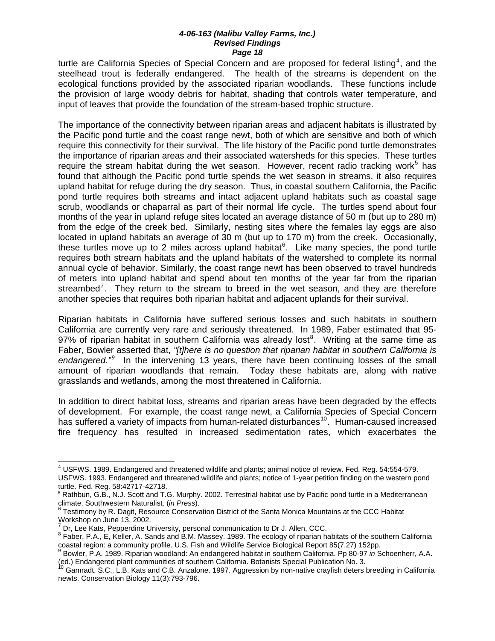turtle are California Species of Special Concern and are proposed for federal listing<sup>[4](#page-41-0)</sup>, and the steelhead trout is federally endangered. The health of the streams is dependent on the ecological functions provided by the associated riparian woodlands. These functions include the provision of large woody debris for habitat, shading that controls water temperature, and input of leaves that provide the foundation of the stream-based trophic structure.

The importance of the connectivity between riparian areas and adjacent habitats is illustrated by the Pacific pond turtle and the coast range newt, both of which are sensitive and both of which require this connectivity for their survival. The life history of the Pacific pond turtle demonstrates the importance of riparian areas and their associated watersheds for this species. These turtles require the stream habitat during the wet season. However, recent radio tracking work<sup>[5](#page-41-1)</sup> has found that although the Pacific pond turtle spends the wet season in streams, it also requires upland habitat for refuge during the dry season. Thus, in coastal southern California, the Pacific pond turtle requires both streams and intact adjacent upland habitats such as coastal sage scrub, woodlands or chaparral as part of their normal life cycle. The turtles spend about four months of the year in upland refuge sites located an average distance of 50 m (but up to 280 m) from the edge of the creek bed. Similarly, nesting sites where the females lay eggs are also located in upland habitats an average of 30 m (but up to 170 m) from the creek. Occasionally, these turtles move up to 2 miles across upland habitat $6$ . Like many species, the pond turtle requires both stream habitats and the upland habitats of the watershed to complete its normal annual cycle of behavior. Similarly, the coast range newt has been observed to travel hundreds of meters into upland habitat and spend about ten months of the year far from the riparian streambed<sup>[7](#page-41-3)</sup>. They return to the stream to breed in the wet season, and they are therefore another species that requires both riparian habitat and adjacent uplands for their survival.

Riparian habitats in California have suffered serious losses and such habitats in southern California are currently very rare and seriously threatened. In 1989, Faber estimated that 95- 97% of riparian habitat in southern California was already lost<sup>[8](#page-41-4)</sup>. Writing at the same time as Faber, Bowler asserted that, *"[t]here is no question that riparian habitat in southern California is*  endangered.<sup>"[9](#page-41-5)</sup> In the intervening 13 years, there have been continuing losses of the small amount of riparian woodlands that remain. Today these habitats are, along with native grasslands and wetlands, among the most threatened in California.

In addition to direct habitat loss, streams and riparian areas have been degraded by the effects of development. For example, the coast range newt, a California Species of Special Concern has suffered a variety of impacts from human-related disturbances<sup>[10](#page-41-6)</sup>. Human-caused increased fire frequency has resulted in increased sedimentation rates, which exacerbates the

<span id="page-41-0"></span> 4 USFWS. 1989. Endangered and threatened wildlife and plants; animal notice of review. Fed. Reg. 54:554-579. USFWS. 1993. Endangered and threatened wildlife and plants; notice of 1-year petition finding on the western pond turtle. Fed. Reg. 58:42717-42718.

<span id="page-41-1"></span><sup>&</sup>lt;sup>5</sup> Rathbun, G.B., N.J. Scott and T.G. Murphy. 2002. Terrestrial habitat use by Pacific pond turtle in a Mediterranean

<span id="page-41-2"></span>climate. Southwestern Naturalist. (*in Press*).<br><sup>6</sup> Testimony by R. Dagit, Resource Conservation District of the Santa Monica Mountains at the CCC Habitat

<span id="page-41-3"></span>Workshop on June 13, 2002.<br><sup>7</sup> Dr, Lee Kats, Pepperdine University, personal communication to Dr J. Allen, CCC.

<span id="page-41-4"></span><sup>&</sup>lt;sup>8</sup> Faber, P.A., E, Keller, A. Sands and B.M. Massey. 1989. The ecology of riparian habitats of the southern California coastal region: a community profile. U.S. Fish and Wildlife Service Biological Report 85(7.27) 152pp.<br><sup>9</sup> Bowler, P.A. 1989. Riparian woodland: An endangered habitat in southern California. Pp 80-97 *in* Schoenherr, A.A.

<span id="page-41-5"></span><sup>(</sup>ed.) Endangered plant communities of southern California. Botanists Special Publication No. 3.<br><sup>10</sup> Gamradt, S.C., L.B. Kats and C.B. Anzalone. 1997. Aggression by non-native crayfish deters breeding in California

<span id="page-41-6"></span>newts. Conservation Biology 11(3):793-796.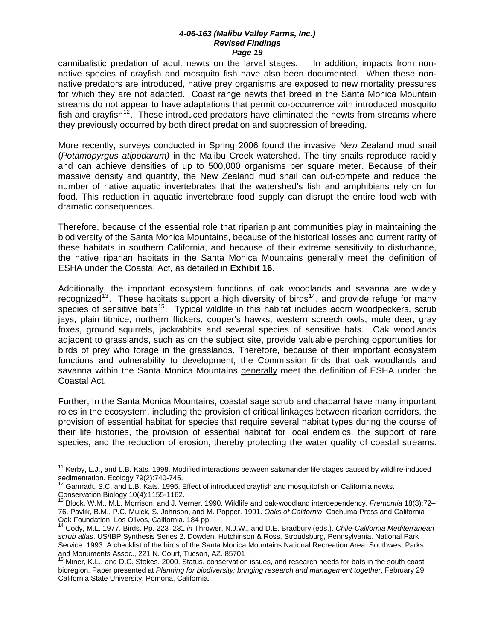cannibalistic predation of adult newts on the larval stages.<sup>[11](#page-42-0)</sup> In addition, impacts from nonnative species of crayfish and mosquito fish have also been documented. When these nonnative predators are introduced, native prey organisms are exposed to new mortality pressures for which they are not adapted. Coast range newts that breed in the Santa Monica Mountain streams do not appear to have adaptations that permit co-occurrence with introduced mosquito fish and crayfish<sup>[12](#page-42-1)</sup>. These introduced predators have eliminated the newts from streams where they previously occurred by both direct predation and suppression of breeding.

More recently, surveys conducted in Spring 2006 found the invasive New Zealand mud snail (*Potamopyrgus atipodarum)* in the Malibu Creek watershed. The tiny snails reproduce rapidly and can achieve densities of up to 500,000 organisms per square meter. Because of their massive density and quantity, the New Zealand mud snail can out-compete and reduce the number of native aquatic invertebrates that the watershed's fish and amphibians rely on for food. This reduction in aquatic invertebrate food supply can disrupt the entire food web with dramatic consequences.

Therefore, because of the essential role that riparian plant communities play in maintaining the biodiversity of the Santa Monica Mountains, because of the historical losses and current rarity of these habitats in southern California, and because of their extreme sensitivity to disturbance, the native riparian habitats in the Santa Monica Mountains generally meet the definition of ESHA under the Coastal Act, as detailed in **Exhibit 16**.

Additionally, the important ecosystem functions of oak woodlands and savanna are widely recognized<sup>[13](#page-42-2)</sup>. These habitats support a high diversity of birds<sup>[14](#page-42-3)</sup>, and provide refuge for many species of sensitive bats<sup>[15](#page-42-4)</sup>. Typical wildlife in this habitat includes acorn woodpeckers, scrub jays, plain titmice, northern flickers, cooper's hawks, western screech owls, mule deer, gray foxes, ground squirrels, jackrabbits and several species of sensitive bats. Oak woodlands adjacent to grasslands, such as on the subject site, provide valuable perching opportunities for birds of prey who forage in the grasslands. Therefore, because of their important ecosystem functions and vulnerability to development, the Commission finds that oak woodlands and savanna within the Santa Monica Mountains generally meet the definition of ESHA under the Coastal Act.

Further, In the Santa Monica Mountains, coastal sage scrub and chaparral have many important roles in the ecosystem, including the provision of critical linkages between riparian corridors, the provision of essential habitat for species that require several habitat types during the course of their life histories, the provision of essential habitat for local endemics, the support of rare species, and the reduction of erosion, thereby protecting the water quality of coastal streams.

 $\overline{a}$ 

<span id="page-42-0"></span><sup>&</sup>lt;sup>11</sup> Kerby, L.J., and L.B. Kats. 1998. Modified interactions between salamander life stages caused by wildfire-induced sedimentation. Ecology 79(2):740-745.<br><sup>12</sup> Gamradt, S.C. and L.B. Kats. 1996. Effect of introduced crayfish and mosquitofish on California newts.

<span id="page-42-1"></span>Conservation Biology 10(4):1155-1162.

<span id="page-42-2"></span><sup>13</sup> Block, W.M., M.L. Morrison, and J. Verner. 1990. Wildlife and oak-woodland interdependency. *Fremontia* 18(3):72– 76. Pavlik, B.M., P.C. Muick, S. Johnson, and M. Popper. 1991. *Oaks of California*. Cachuma Press and California Oak Foundation, Los Olivos, California. 184 pp.

<span id="page-42-3"></span><sup>14</sup> Cody, M.L. 1977. Birds. Pp. 223–231 *in* Thrower, N.J.W., and D.E. Bradbury (eds.). *Chile-California Mediterranean scrub atlas*. US/IBP Synthesis Series 2. Dowden, Hutchinson & Ross, Stroudsburg, Pennsylvania. National Park Service. 1993. A checklist of the birds of the Santa Monica Mountains National Recreation Area. Southwest Parks and Monuments Assoc., 221 N. Court, Tucson, AZ. 85701

<span id="page-42-4"></span><sup>&</sup>lt;sup>15</sup> Miner, K.L., and D.C. Stokes. 2000. Status, conservation issues, and research needs for bats in the south coast bioregion. Paper presented at *Planning for biodiversity: bringing research and management together*, February 29, California State University, Pomona, California.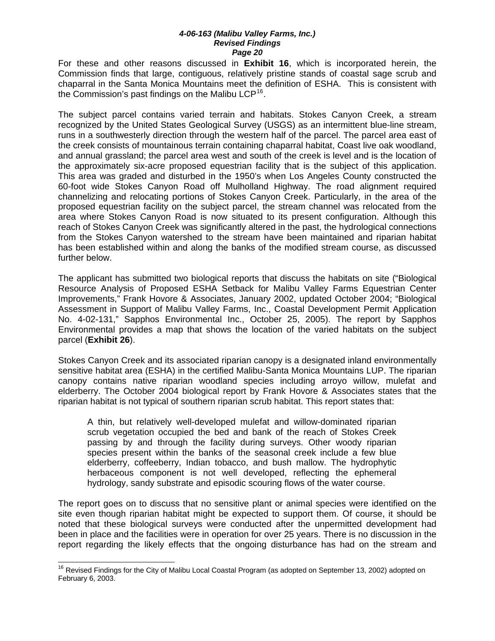For these and other reasons discussed in **Exhibit 16**, which is incorporated herein, the Commission finds that large, contiguous, relatively pristine stands of coastal sage scrub and chaparral in the Santa Monica Mountains meet the definition of ESHA. This is consistent with the Commission's past findings on the Malibu LCP<sup>[16](#page-43-0)</sup>.

The subject parcel contains varied terrain and habitats. Stokes Canyon Creek, a stream recognized by the United States Geological Survey (USGS) as an intermittent blue-line stream, runs in a southwesterly direction through the western half of the parcel. The parcel area east of the creek consists of mountainous terrain containing chaparral habitat, Coast live oak woodland, and annual grassland; the parcel area west and south of the creek is level and is the location of the approximately six-acre proposed equestrian facility that is the subject of this application. This area was graded and disturbed in the 1950's when Los Angeles County constructed the 60-foot wide Stokes Canyon Road off Mulholland Highway. The road alignment required channelizing and relocating portions of Stokes Canyon Creek. Particularly, in the area of the proposed equestrian facility on the subject parcel, the stream channel was relocated from the area where Stokes Canyon Road is now situated to its present configuration. Although this reach of Stokes Canyon Creek was significantly altered in the past, the hydrological connections from the Stokes Canyon watershed to the stream have been maintained and riparian habitat has been established within and along the banks of the modified stream course, as discussed further below.

The applicant has submitted two biological reports that discuss the habitats on site ("Biological Resource Analysis of Proposed ESHA Setback for Malibu Valley Farms Equestrian Center Improvements," Frank Hovore & Associates, January 2002, updated October 2004; "Biological Assessment in Support of Malibu Valley Farms, Inc., Coastal Development Permit Application No. 4-02-131," Sapphos Environmental Inc., October 25, 2005). The report by Sapphos Environmental provides a map that shows the location of the varied habitats on the subject parcel (**Exhibit 26**).

Stokes Canyon Creek and its associated riparian canopy is a designated inland environmentally sensitive habitat area (ESHA) in the certified Malibu-Santa Monica Mountains LUP. The riparian canopy contains native riparian woodland species including arroyo willow, mulefat and elderberry. The October 2004 biological report by Frank Hovore & Associates states that the riparian habitat is not typical of southern riparian scrub habitat. This report states that:

A thin, but relatively well-developed mulefat and willow-dominated riparian scrub vegetation occupied the bed and bank of the reach of Stokes Creek passing by and through the facility during surveys. Other woody riparian species present within the banks of the seasonal creek include a few blue elderberry, coffeeberry, Indian tobacco, and bush mallow. The hydrophytic herbaceous component is not well developed, reflecting the ephemeral hydrology, sandy substrate and episodic scouring flows of the water course.

The report goes on to discuss that no sensitive plant or animal species were identified on the site even though riparian habitat might be expected to support them. Of course, it should be noted that these biological surveys were conducted after the unpermitted development had been in place and the facilities were in operation for over 25 years. There is no discussion in the report regarding the likely effects that the ongoing disturbance has had on the stream and

 $\overline{a}$ 

<span id="page-43-0"></span><sup>&</sup>lt;sup>16</sup> Revised Findings for the City of Malibu Local Coastal Program (as adopted on September 13, 2002) adopted on February 6, 2003.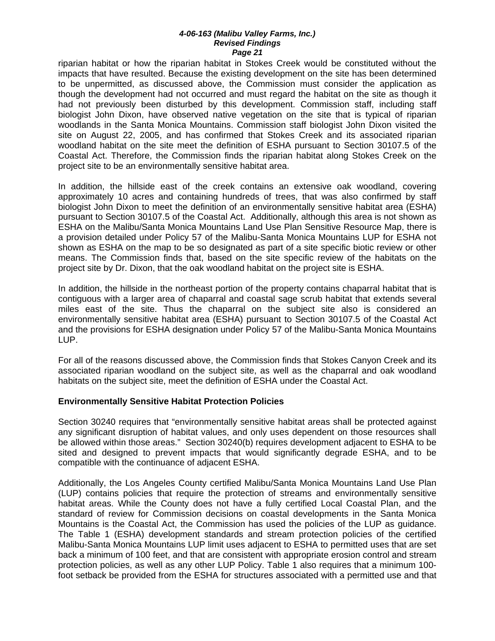riparian habitat or how the riparian habitat in Stokes Creek would be constituted without the impacts that have resulted. Because the existing development on the site has been determined to be unpermitted, as discussed above, the Commission must consider the application as though the development had not occurred and must regard the habitat on the site as though it had not previously been disturbed by this development. Commission staff, including staff biologist John Dixon, have observed native vegetation on the site that is typical of riparian woodlands in the Santa Monica Mountains. Commission staff biologist John Dixon visited the site on August 22, 2005, and has confirmed that Stokes Creek and its associated riparian woodland habitat on the site meet the definition of ESHA pursuant to Section 30107.5 of the Coastal Act. Therefore, the Commission finds the riparian habitat along Stokes Creek on the project site to be an environmentally sensitive habitat area.

In addition, the hillside east of the creek contains an extensive oak woodland, covering approximately 10 acres and containing hundreds of trees, that was also confirmed by staff biologist John Dixon to meet the definition of an environmentally sensitive habitat area (ESHA) pursuant to Section 30107.5 of the Coastal Act. Additionally, although this area is not shown as ESHA on the Malibu/Santa Monica Mountains Land Use Plan Sensitive Resource Map, there is a provision detailed under Policy 57 of the Malibu-Santa Monica Mountains LUP for ESHA not shown as ESHA on the map to be so designated as part of a site specific biotic review or other means. The Commission finds that, based on the site specific review of the habitats on the project site by Dr. Dixon, that the oak woodland habitat on the project site is ESHA.

In addition, the hillside in the northeast portion of the property contains chaparral habitat that is contiguous with a larger area of chaparral and coastal sage scrub habitat that extends several miles east of the site. Thus the chaparral on the subject site also is considered an environmentally sensitive habitat area (ESHA) pursuant to Section 30107.5 of the Coastal Act and the provisions for ESHA designation under Policy 57 of the Malibu-Santa Monica Mountains LUP.

For all of the reasons discussed above, the Commission finds that Stokes Canyon Creek and its associated riparian woodland on the subject site, as well as the chaparral and oak woodland habitats on the subject site, meet the definition of ESHA under the Coastal Act.

### **Environmentally Sensitive Habitat Protection Policies**

Section 30240 requires that "environmentally sensitive habitat areas shall be protected against any significant disruption of habitat values, and only uses dependent on those resources shall be allowed within those areas." Section 30240(b) requires development adjacent to ESHA to be sited and designed to prevent impacts that would significantly degrade ESHA, and to be compatible with the continuance of adjacent ESHA.

Additionally, the Los Angeles County certified Malibu/Santa Monica Mountains Land Use Plan (LUP) contains policies that require the protection of streams and environmentally sensitive habitat areas. While the County does not have a fully certified Local Coastal Plan, and the standard of review for Commission decisions on coastal developments in the Santa Monica Mountains is the Coastal Act, the Commission has used the policies of the LUP as guidance. The Table 1 (ESHA) development standards and stream protection policies of the certified Malibu-Santa Monica Mountains LUP limit uses adjacent to ESHA to permitted uses that are set back a minimum of 100 feet, and that are consistent with appropriate erosion control and stream protection policies, as well as any other LUP Policy. Table 1 also requires that a minimum 100 foot setback be provided from the ESHA for structures associated with a permitted use and that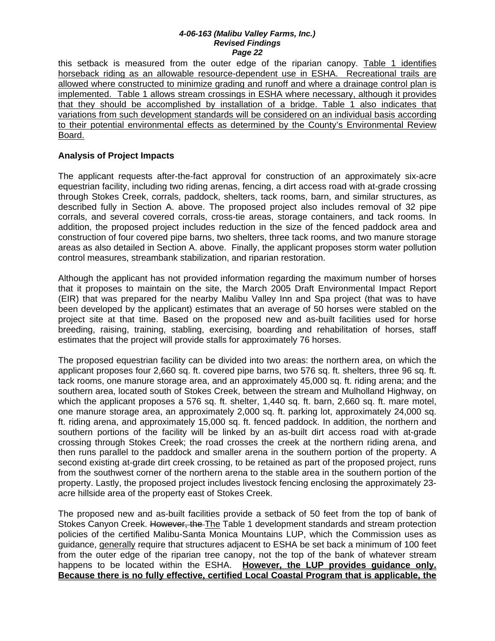this setback is measured from the outer edge of the riparian canopy. Table 1 identifies horseback riding as an allowable resource-dependent use in ESHA. Recreational trails are allowed where constructed to minimize grading and runoff and where a drainage control plan is implemented. Table 1 allows stream crossings in ESHA where necessary, although it provides that they should be accomplished by installation of a bridge. Table 1 also indicates that variations from such development standards will be considered on an individual basis according to their potential environmental effects as determined by the County's Environmental Review Board.

### **Analysis of Project Impacts**

The applicant requests after-the-fact approval for construction of an approximately six-acre equestrian facility, including two riding arenas, fencing, a dirt access road with at-grade crossing through Stokes Creek, corrals, paddock, shelters, tack rooms, barn, and similar structures, as described fully in Section A. above. The proposed project also includes removal of 32 pipe corrals, and several covered corrals, cross-tie areas, storage containers, and tack rooms. In addition, the proposed project includes reduction in the size of the fenced paddock area and construction of four covered pipe barns, two shelters, three tack rooms, and two manure storage areas as also detailed in Section A. above. Finally, the applicant proposes storm water pollution control measures, streambank stabilization, and riparian restoration.

Although the applicant has not provided information regarding the maximum number of horses that it proposes to maintain on the site, the March 2005 Draft Environmental Impact Report (EIR) that was prepared for the nearby Malibu Valley Inn and Spa project (that was to have been developed by the applicant) estimates that an average of 50 horses were stabled on the project site at that time. Based on the proposed new and as-built facilities used for horse breeding, raising, training, stabling, exercising, boarding and rehabilitation of horses, staff estimates that the project will provide stalls for approximately 76 horses.

The proposed equestrian facility can be divided into two areas: the northern area, on which the applicant proposes four 2,660 sq. ft. covered pipe barns, two 576 sq. ft. shelters, three 96 sq. ft. tack rooms, one manure storage area, and an approximately 45,000 sq. ft. riding arena; and the southern area, located south of Stokes Creek, between the stream and Mulholland Highway, on which the applicant proposes a 576 sq. ft. shelter, 1,440 sq. ft. barn, 2,660 sq. ft. mare motel, one manure storage area, an approximately 2,000 sq. ft. parking lot, approximately 24,000 sq. ft. riding arena, and approximately 15,000 sq. ft. fenced paddock. In addition, the northern and southern portions of the facility will be linked by an as-built dirt access road with at-grade crossing through Stokes Creek; the road crosses the creek at the northern riding arena, and then runs parallel to the paddock and smaller arena in the southern portion of the property. A second existing at-grade dirt creek crossing, to be retained as part of the proposed project, runs from the southwest corner of the northern arena to the stable area in the southern portion of the property. Lastly, the proposed project includes livestock fencing enclosing the approximately 23 acre hillside area of the property east of Stokes Creek.

The proposed new and as-built facilities provide a setback of 50 feet from the top of bank of Stokes Canyon Creek. However, the The Table 1 development standards and stream protection policies of the certified Malibu-Santa Monica Mountains LUP, which the Commission uses as guidance, generally require that structures adjacent to ESHA be set back a minimum of 100 feet from the outer edge of the riparian tree canopy, not the top of the bank of whatever stream happens to be located within the ESHA. **However, the LUP provides guidance only. Because there is no fully effective, certified Local Coastal Program that is applicable, the**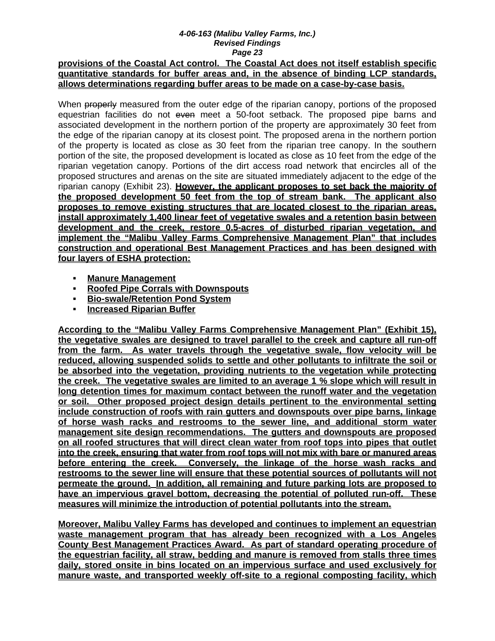### **provisions of the Coastal Act control. The Coastal Act does not itself establish specific quantitative standards for buffer areas and, in the absence of binding LCP standards, allows determinations regarding buffer areas to be made on a case-by-case basis.**

When properly measured from the outer edge of the riparian canopy, portions of the proposed equestrian facilities do not even meet a 50-foot setback. The proposed pipe barns and associated development in the northern portion of the property are approximately 30 feet from the edge of the riparian canopy at its closest point. The proposed arena in the northern portion of the property is located as close as 30 feet from the riparian tree canopy. In the southern portion of the site, the proposed development is located as close as 10 feet from the edge of the riparian vegetation canopy. Portions of the dirt access road network that encircles all of the proposed structures and arenas on the site are situated immediately adjacent to the edge of the riparian canopy (Exhibit 23). **However, the applicant proposes to set back the majority of the proposed development 50 feet from the top of stream bank. The applicant also proposes to remove existing structures that are located closest to the riparian areas, install approximately 1,400 linear feet of vegetative swales and a retention basin between development and the creek, restore 0.5-acres of disturbed riparian vegetation, and implement the "Malibu Valley Farms Comprehensive Management Plan" that includes construction and operational Best Management Practices and has been designed with four layers of ESHA protection:**

- **Manure Management**
- **Roofed Pipe Corrals with Downspouts**
- **Bio-swale/Retention Pond System**
- **Increased Riparian Buffer**

**According to the "Malibu Valley Farms Comprehensive Management Plan" (Exhibit 15), the vegetative swales are designed to travel parallel to the creek and capture all run-off from the farm. As water travels through the vegetative swale, flow velocity will be reduced, allowing suspended solids to settle and other pollutants to infiltrate the soil or be absorbed into the vegetation, providing nutrients to the vegetation while protecting the creek. The vegetative swales are limited to an average 1 % slope which will result in long detention times for maximum contact between the runoff water and the vegetation or soil. Other proposed project design details pertinent to the environmental setting include construction of roofs with rain gutters and downspouts over pipe barns, linkage of horse wash racks and restrooms to the sewer line, and additional storm water management site design recommendations. The gutters and downspouts are proposed on all roofed structures that will direct clean water from roof tops into pipes that outlet into the creek, ensuring that water from roof tops will not mix with bare or manured areas before entering the creek. Conversely, the linkage of the horse wash racks and restrooms to the sewer line will ensure that these potential sources of pollutants will not permeate the ground. In addition, all remaining and future parking lots are proposed to have an impervious gravel bottom, decreasing the potential of polluted run-off. These measures will minimize the introduction of potential pollutants into the stream.** 

**Moreover, Malibu Valley Farms has developed and continues to implement an equestrian waste management program that has already been recognized with a Los Angeles County Best Management Practices Award. As part of standard operating procedure of the equestrian facility, all straw, bedding and manure is removed from stalls three times daily, stored onsite in bins located on an impervious surface and used exclusively for manure waste, and transported weekly off-site to a regional composting facility, which**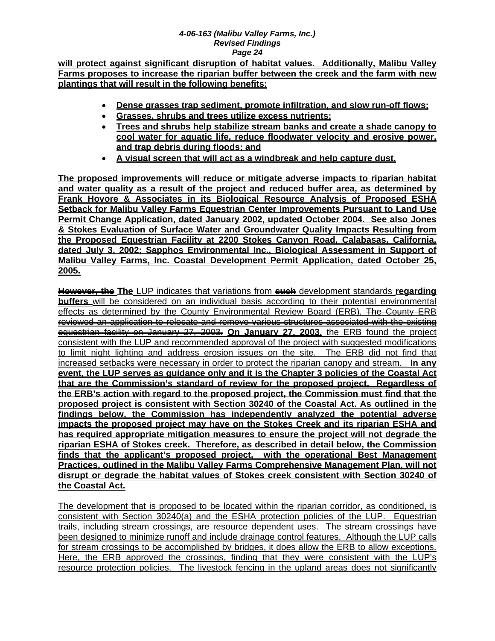**will protect against significant disruption of habitat values. Additionally, Malibu Valley Farms proposes to increase the riparian buffer between the creek and the farm with new plantings that will result in the following benefits:**

- **Dense grasses trap sediment, promote infiltration, and slow run-off flows;**
- **Grasses, shrubs and trees utilize excess nutrients;**
- **Trees and shrubs help stabilize stream banks and create a shade canopy to cool water for aquatic life, reduce floodwater velocity and erosive power, and trap debris during floods; and**
- **A visual screen that will act as a windbreak and help capture dust.**

**The proposed improvements will reduce or mitigate adverse impacts to riparian habitat and water quality as a result of the project and reduced buffer area, as determined by Frank Hovore & Associates in its Biological Resource Analysis of Proposed ESHA Setback for Malibu Valley Farms Equestrian Center Improvements Pursuant to Land Use Permit Change Application, dated January 2002, updated October 2004. See also Jones & Stokes Evaluation of Surface Water and Groundwater Quality Impacts Resulting from the Proposed Equestrian Facility at 2200 Stokes Canyon Road, Calabasas, California, dated July 3, 2002; Sapphos Environmental Inc., Biological Assessment in Support of Malibu Valley Farms, Inc. Coastal Development Permit Application, dated October 25, 2005.**

**However, the The** LUP indicates that variations from **such** development standards **regarding buffers** will be considered on an individual basis according to their potential environmental effects as determined by the County Environmental Review Board (ERB). The County ERB reviewed an application to relocate and remove various structures associated with the existing equestrian facility on January 27, 2003. **On January 27, 2003,** the ERB found the project consistent with the LUP and recommended approval of the project with suggested modifications to limit night lighting and address erosion issues on the site. The ERB did not find that increased setbacks were necessary in order to protect the riparian canopy and stream. **In any event, the LUP serves as guidance only and it is the Chapter 3 policies of the Coastal Act that are the Commission's standard of review for the proposed project. Regardless of the ERB's action with regard to the proposed project, the Commission must find that the proposed project is consistent with Section 30240 of the Coastal Act. As outlined in the findings below, the Commission has independently analyzed the potential adverse impacts the proposed project may have on the Stokes Creek and its riparian ESHA and has required appropriate mitigation measures to ensure the project will not degrade the riparian ESHA of Stokes creek. Therefore, as described in detail below, the Commission finds that the applicant's proposed project, with the operational Best Management Practices, outlined in the Malibu Valley Farms Comprehensive Management Plan, will not disrupt or degrade the habitat values of Stokes creek consistent with Section 30240 of the Coastal Act.** 

The development that is proposed to be located within the riparian corridor, as conditioned, is consistent with Section 30240(a) and the ESHA protection policies of the LUP. Equestrian trails, including stream crossings, are resource dependent uses. The stream crossings have been designed to minimize runoff and include drainage control features. Although the LUP calls for stream crossings to be accomplished by bridges, it does allow the ERB to allow exceptions. Here, the ERB approved the crossings, finding that they were consistent with the LUP's resource protection policies. The livestock fencing in the upland areas does not significantly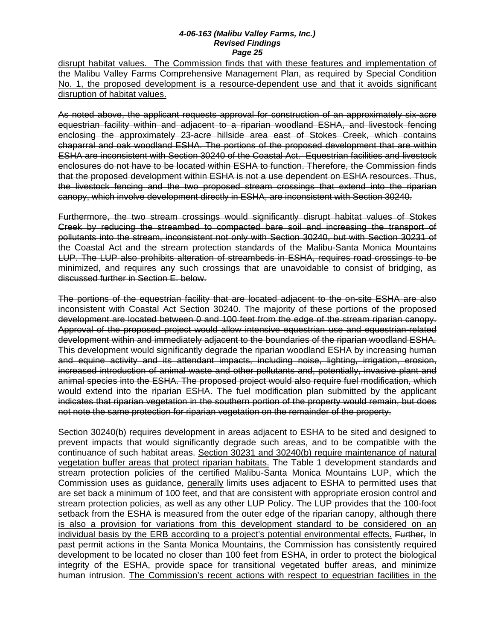disrupt habitat values. The Commission finds that with these features and implementation of the Malibu Valley Farms Comprehensive Management Plan, as required by Special Condition No. 1, the proposed development is a resource-dependent use and that it avoids significant disruption of habitat values.

As noted above, the applicant requests approval for construction of an approximately six-acre equestrian facility within and adjacent to a riparian woodland ESHA, and livestock fencing enclosing the approximately 23-acre hillside area east of Stokes Creek, which contains chaparral and oak woodland ESHA. The portions of the proposed development that are within ESHA are inconsistent with Section 30240 of the Coastal Act. Equestrian facilities and livestock enclosures do not have to be located within ESHA to function. Therefore, the Commission finds that the proposed development within ESHA is not a use dependent on ESHA resources. Thus, the livestock fencing and the two proposed stream crossings that extend into the riparian canopy, which involve development directly in ESHA, are inconsistent with Section 30240.

Furthermore, the two stream crossings would significantly disrupt habitat values of Stokes Creek by reducing the streambed to compacted bare soil and increasing the transport of pollutants into the stream, inconsistent not only with Section 30240, but with Section 30231 of the Coastal Act and the stream protection standards of the Malibu-Santa Monica Mountains LUP. The LUP also prohibits alteration of streambeds in ESHA, requires road crossings to be minimized, and requires any such crossings that are unavoidable to consist of bridging, as discussed further in Section E. below.

The portions of the equestrian facility that are located adjacent to the on-site ESHA are also inconsistent with Coastal Act Section 30240. The majority of these portions of the proposed development are located between 0 and 100 feet from the edge of the stream riparian canopy. Approval of the proposed project would allow intensive equestrian use and equestrian-related development within and immediately adjacent to the boundaries of the riparian woodland ESHA. This development would significantly degrade the riparian woodland ESHA by increasing human and equine activity and its attendant impacts, including noise, lighting, irrigation, erosion, increased introduction of animal waste and other pollutants and, potentially, invasive plant and animal species into the ESHA. The proposed project would also require fuel modification, which would extend into the riparian ESHA. The fuel modification plan submitted by the applicant indicates that riparian vegetation in the southern portion of the property would remain, but does not note the same protection for riparian vegetation on the remainder of the property.

Section 30240(b) requires development in areas adjacent to ESHA to be sited and designed to prevent impacts that would significantly degrade such areas, and to be compatible with the continuance of such habitat areas. Section 30231 and 30240(b) require maintenance of natural vegetation buffer areas that protect riparian habitats. The Table 1 development standards and stream protection policies of the certified Malibu-Santa Monica Mountains LUP, which the Commission uses as guidance, generally limits uses adjacent to ESHA to permitted uses that are set back a minimum of 100 feet, and that are consistent with appropriate erosion control and stream protection policies, as well as any other LUP Policy. The LUP provides that the 100-foot setback from the ESHA is measured from the outer edge of the riparian canopy, although there is also a provision for variations from this development standard to be considered on an individual basis by the ERB according to a project's potential environmental effects. Further, In past permit actions in the Santa Monica Mountains, the Commission has consistently required development to be located no closer than 100 feet from ESHA, in order to protect the biological integrity of the ESHA, provide space for transitional vegetated buffer areas, and minimize human intrusion. The Commission's recent actions with respect to equestrian facilities in the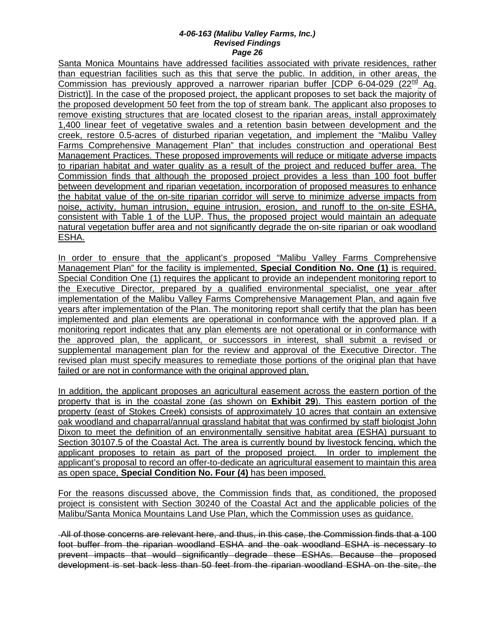Santa Monica Mountains have addressed facilities associated with private residences, rather than equestrian facilities such as this that serve the public. In addition, in other areas, the Commission has previously approved a narrower riparian buffer  $\text{ICDP}$  6-04-029 (22<sup>nd</sup> Ag. District)]. In the case of the proposed project, the applicant proposes to set back the majority of the proposed development 50 feet from the top of stream bank. The applicant also proposes to remove existing structures that are located closest to the riparian areas, install approximately 1,400 linear feet of vegetative swales and a retention basin between development and the creek, restore 0.5-acres of disturbed riparian vegetation, and implement the "Malibu Valley Farms Comprehensive Management Plan" that includes construction and operational Best Management Practices. These proposed improvements will reduce or mitigate adverse impacts to riparian habitat and water quality as a result of the project and reduced buffer area. The Commission finds that although the proposed project provides a less than 100 foot buffer between development and riparian vegetation, incorporation of proposed measures to enhance the habitat value of the on-site riparian corridor will serve to minimize adverse impacts from noise, activity, human intrusion, equine intrusion, erosion, and runoff to the on-site ESHA, consistent with Table 1 of the LUP. Thus, the proposed project would maintain an adequate natural vegetation buffer area and not significantly degrade the on-site riparian or oak woodland ESHA.

In order to ensure that the applicant's proposed "Malibu Valley Farms Comprehensive Management Plan" for the facility is implemented, **Special Condition No. One (1)** is required. Special Condition One (1) requires the applicant to provide an independent monitoring report to the Executive Director, prepared by a qualified environmental specialist, one year after implementation of the Malibu Valley Farms Comprehensive Management Plan, and again five years after implementation of the Plan. The monitoring report shall certify that the plan has been implemented and plan elements are operational in conformance with the approved plan. If a monitoring report indicates that any plan elements are not operational or in conformance with the approved plan, the applicant, or successors in interest, shall submit a revised or supplemental management plan for the review and approval of the Executive Director. The revised plan must specify measures to remediate those portions of the original plan that have failed or are not in conformance with the original approved plan.

In addition, the applicant proposes an agricultural easement across the eastern portion of the property that is in the coastal zone (as shown on **Exhibit 29**). This eastern portion of the property (east of Stokes Creek) consists of approximately 10 acres that contain an extensive oak woodland and chaparral/annual grassland habitat that was confirmed by staff biologist John Dixon to meet the definition of an environmentally sensitive habitat area (ESHA) pursuant to Section 30107.5 of the Coastal Act. The area is currently bound by livestock fencing, which the applicant proposes to retain as part of the proposed project. In order to implement the applicant's proposal to record an offer-to-dedicate an agricultural easement to maintain this area as open space, **Special Condition No. Four (4)** has been imposed.

For the reasons discussed above, the Commission finds that, as conditioned, the proposed project is consistent with Section 30240 of the Coastal Act and the applicable policies of the Malibu/Santa Monica Mountains Land Use Plan, which the Commission uses as guidance.

All of those concerns are relevant here, and thus, in this case, the Commission finds that a 100 foot buffer from the riparian woodland ESHA and the oak woodland ESHA is necessary to prevent impacts that would significantly degrade these ESHAs. Because the proposed development is set back less than 50 feet from the riparian woodland ESHA on the site, the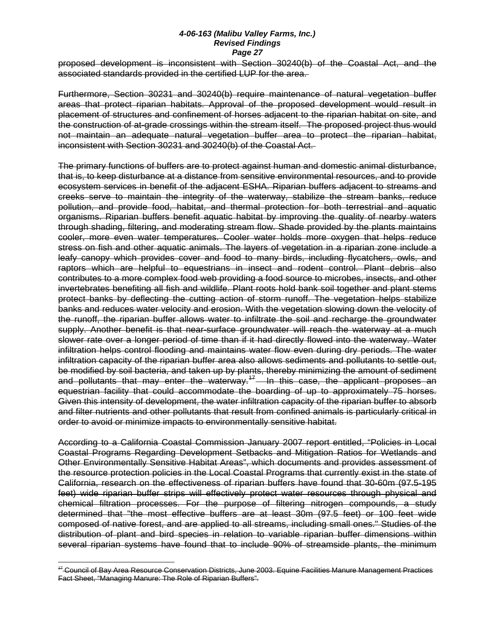proposed development is inconsistent with Section 30240(b) of the Coastal Act, and the associated standards provided in the certified LUP for the area.

Furthermore, Section 30231 and 30240(b) require maintenance of natural vegetation buffer areas that protect riparian habitats. Approval of the proposed development would result in placement of structures and confinement of horses adjacent to the riparian habitat on site, and the construction of at-grade crossings within the stream itself. The proposed project thus would not maintain an adequate natural vegetation buffer area to protect the riparian habitat, inconsistent with Section 30231 and 30240(b) of the Coastal Act.

The primary functions of buffers are to protect against human and domestic animal disturbance, that is, to keep disturbance at a distance from sensitive environmental resources, and to provide ecosystem services in benefit of the adjacent ESHA. Riparian buffers adjacent to streams and creeks serve to maintain the integrity of the waterway, stabilize the stream banks, reduce pollution, and provide food, habitat, and thermal protection for both terrestrial and aquatic organisms. Riparian buffers benefit aquatic habitat by improving the quality of nearby waters through shading, filtering, and moderating stream flow. Shade provided by the plants maintains cooler, more even water temperatures. Cooler water holds more oxygen that helps reduce stress on fish and other aquatic animals. The layers of vegetation in a riparian zone include a leafy canopy which provides cover and food to many birds, including flycatchers, owls, and raptors which are helpful to equestrians in insect and rodent control. Plant debris also contributes to a more complex food web providing a food source to microbes, insects, and other invertebrates benefiting all fish and wildlife. Plant roots hold bank soil together and plant stems protect banks by deflecting the cutting action of storm runoff. The vegetation helps stabilize banks and reduces water velocity and erosion. With the vegetation slowing down the velocity of the runoff, the riparian buffer allows water to infiltrate the soil and recharge the groundwater supply. Another benefit is that near-surface groundwater will reach the waterway at a much slower rate over a longer period of time than if it had directly flowed into the waterway. Water infiltration helps control flooding and maintains water flow even during dry periods. The water infiltration capacity of the riparian buffer area also allows sediments and pollutants to settle out, be modified by soil bacteria, and taken up by plants, thereby minimizing the amount of sediment and pollutants that may enter the waterway.<sup>47</sup> In this case, the applicant proposes an equestrian facility that could accommodate the boarding of up to approximately 75 horses. Given this intensity of development, the water infiltration capacity of the riparian buffer to absorb and filter nutrients and other pollutants that result from confined animals is particularly critical in order to avoid or minimize impacts to environmentally sensitive habitat.

According to a California Coastal Commission January 2007 report entitled, "Policies in Local Coastal Programs Regarding Development Setbacks and Mitigation Ratios for Wetlands and Other Environmentally Sensitive Habitat Areas", which documents and provides assessment of the resource protection policies in the Local Coastal Programs that currently exist in the state of California, research on the effectiveness of riparian buffers have found that 30-60m (97.5-195 feet) wide riparian buffer strips will effectively protect water resources through physical and chemical filtration processes. For the purpose of filtering nitrogen compounds, a study determined that "the most effective buffers are at least 30m (97.5 feet) or 100 feet wide composed of native forest, and are applied to all streams, including small ones." Studies of the distribution of plant and bird species in relation to variable riparian buffer dimensions within several riparian systems have found that to include 90% of streamside plants, the minimum

 $\overline{a}$ 

<span id="page-50-0"></span><sup>&</sup>lt;sup>17</sup> Council of Bay Area Resource Conservation Districts, June 2003. Equine Facilities Manure Management Practices Fact Sheet, "Managing Manure: The Role of Riparian Buffers".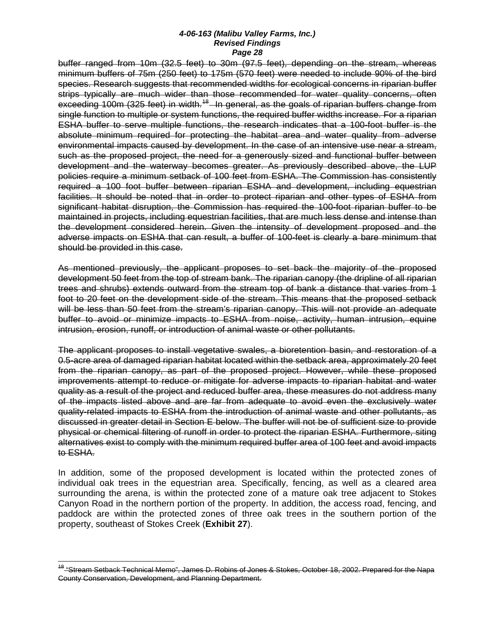buffer ranged from 10m (32.5 feet) to 30m (97.5 feet), depending on the stream, whereas minimum buffers of 75m (250 feet) to 175m (570 feet) were needed to include 90% of the bird species. Research suggests that recommended widths for ecological concerns in riparian buffer strips typically are much wider than those recommended for water quality concerns, often exceeding 100m (325 feet) in width.<sup>[18](#page-51-0)</sup> In general, as the goals of riparian buffers change from single function to multiple or system functions, the required buffer widths increase. For a riparian ESHA buffer to serve multiple functions, the research indicates that a 100-foot buffer is the absolute minimum required for protecting the habitat area and water quality from adverse environmental impacts caused by development. In the case of an intensive use near a stream, such as the proposed project, the need for a generously sized and functional buffer between development and the waterway becomes greater. As previously described above, the LUP policies require a minimum setback of 100 feet from ESHA. The Commission has consistently required a 100 foot buffer between riparian ESHA and development, including equestrian facilities. It should be noted that in order to protect riparian and other types of ESHA from significant habitat disruption, the Commission has required the 100-foot riparian buffer to be maintained in projects, including equestrian facilities, that are much less dense and intense than the development considered herein. Given the intensity of development proposed and the adverse impacts on ESHA that can result, a buffer of 100-feet is clearly a bare minimum that should be provided in this case.

As mentioned previously, the applicant proposes to set back the majority of the proposed development 50 feet from the top of stream bank. The riparian canopy (the dripline of all riparian trees and shrubs) extends outward from the stream top of bank a distance that varies from 1 foot to 20 feet on the development side of the stream. This means that the proposed setback will be less than 50 feet from the stream's riparian canopy. This will not provide an adequate buffer to avoid or minimize impacts to ESHA from noise, activity, human intrusion, equine intrusion, erosion, runoff, or introduction of animal waste or other pollutants.

The applicant proposes to install vegetative swales, a bioretention basin, and restoration of a 0.5-acre area of damaged riparian habitat located within the setback area, approximately 20 feet from the riparian canopy, as part of the proposed project. However, while these proposed improvements attempt to reduce or mitigate for adverse impacts to riparian habitat and water quality as a result of the project and reduced buffer area, these measures do not address many of the impacts listed above and are far from adequate to avoid even the exclusively water quality-related impacts to ESHA from the introduction of animal waste and other pollutants, as discussed in greater detail in Section E below. The buffer will not be of sufficient size to provide physical or chemical filtering of runoff in order to protect the riparian ESHA. Furthermore, siting alternatives exist to comply with the minimum required buffer area of 100 feet and avoid impacts to ESHA.

In addition, some of the proposed development is located within the protected zones of individual oak trees in the equestrian area. Specifically, fencing, as well as a cleared area surrounding the arena, is within the protected zone of a mature oak tree adjacent to Stokes Canyon Road in the northern portion of the property. In addition, the access road, fencing, and paddock are within the protected zones of three oak trees in the southern portion of the property, southeast of Stokes Creek (**Exhibit 27**).

 $\overline{a}$ 

<span id="page-51-0"></span><sup>18</sup> "Stream Setback Technical Memo", James D. Robins of Jones & Stokes, October 18, 2002. Prepared for the Napa County Conservation, Development, and Planning Department.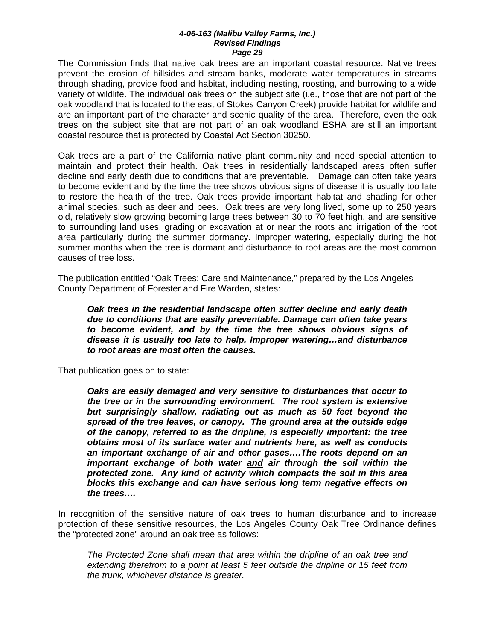The Commission finds that native oak trees are an important coastal resource. Native trees prevent the erosion of hillsides and stream banks, moderate water temperatures in streams through shading, provide food and habitat, including nesting, roosting, and burrowing to a wide variety of wildlife. The individual oak trees on the subject site (i.e., those that are not part of the oak woodland that is located to the east of Stokes Canyon Creek) provide habitat for wildlife and are an important part of the character and scenic quality of the area. Therefore, even the oak trees on the subject site that are not part of an oak woodland ESHA are still an important coastal resource that is protected by Coastal Act Section 30250.

Oak trees are a part of the California native plant community and need special attention to maintain and protect their health. Oak trees in residentially landscaped areas often suffer decline and early death due to conditions that are preventable. Damage can often take years to become evident and by the time the tree shows obvious signs of disease it is usually too late to restore the health of the tree. Oak trees provide important habitat and shading for other animal species, such as deer and bees. Oak trees are very long lived, some up to 250 years old, relatively slow growing becoming large trees between 30 to 70 feet high, and are sensitive to surrounding land uses, grading or excavation at or near the roots and irrigation of the root area particularly during the summer dormancy. Improper watering, especially during the hot summer months when the tree is dormant and disturbance to root areas are the most common causes of tree loss.

The publication entitled "Oak Trees: Care and Maintenance," prepared by the Los Angeles County Department of Forester and Fire Warden, states:

*Oak trees in the residential landscape often suffer decline and early death due to conditions that are easily preventable. Damage can often take years to become evident, and by the time the tree shows obvious signs of disease it is usually too late to help. Improper watering…and disturbance to root areas are most often the causes.* 

That publication goes on to state:

*Oaks are easily damaged and very sensitive to disturbances that occur to the tree or in the surrounding environment. The root system is extensive but surprisingly shallow, radiating out as much as 50 feet beyond the spread of the tree leaves, or canopy. The ground area at the outside edge of the canopy, referred to as the dripline, is especially important: the tree obtains most of its surface water and nutrients here, as well as conducts an important exchange of air and other gases….The roots depend on an important exchange of both water and air through the soil within the protected zone. Any kind of activity which compacts the soil in this area blocks this exchange and can have serious long term negative effects on the trees….* 

In recognition of the sensitive nature of oak trees to human disturbance and to increase protection of these sensitive resources, the Los Angeles County Oak Tree Ordinance defines the "protected zone" around an oak tree as follows:

*The Protected Zone shall mean that area within the dripline of an oak tree and extending therefrom to a point at least 5 feet outside the dripline or 15 feet from the trunk, whichever distance is greater.*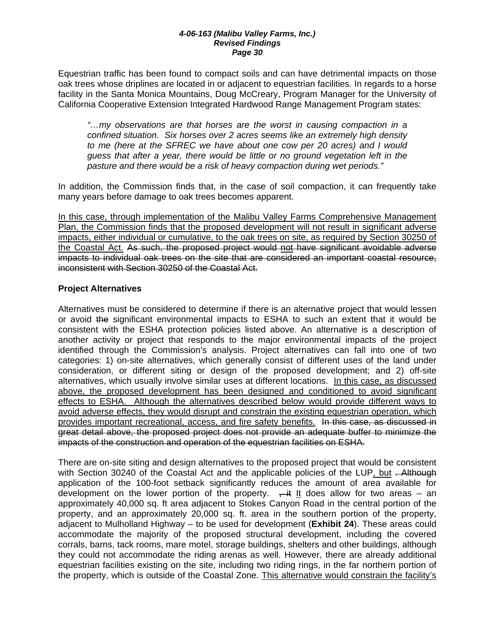Equestrian traffic has been found to compact soils and can have detrimental impacts on those oak trees whose driplines are located in or adjacent to equestrian facilities. In regards to a horse facility in the Santa Monica Mountains, Doug McCreary, Program Manager for the University of California Cooperative Extension Integrated Hardwood Range Management Program states:

*"…my observations are that horses are the worst in causing compaction in a confined situation. Six horses over 2 acres seems like an extremely high density to me (here at the SFREC we have about one cow per 20 acres) and I would guess that after a year, there would be little or no ground vegetation left in the pasture and there would be a risk of heavy compaction during wet periods."* 

In addition, the Commission finds that, in the case of soil compaction, it can frequently take many years before damage to oak trees becomes apparent.

In this case, through implementation of the Malibu Valley Farms Comprehensive Management Plan, the Commission finds that the proposed development will not result in significant adverse impacts, either individual or cumulative, to the oak trees on site, as required by Section 30250 of the Coastal Act. As such, the proposed project would not have significant avoidable adverse impacts to individual oak trees on the site that are considered an important coastal resource, inconsistent with Section 30250 of the Coastal Act.

### **Project Alternatives**

Alternatives must be considered to determine if there is an alternative project that would lessen or avoid the significant environmental impacts to ESHA to such an extent that it would be consistent with the ESHA protection policies listed above. An alternative is a description of another activity or project that responds to the major environmental impacts of the project identified through the Commission's analysis. Project alternatives can fall into one of two categories: 1) on-site alternatives, which generally consist of different uses of the land under consideration, or different siting or design of the proposed development; and 2) off-site alternatives, which usually involve similar uses at different locations. In this case, as discussed above, the proposed development has been designed and conditioned to avoid significant effects to ESHA. Although the alternatives described below would provide different ways to avoid adverse effects, they would disrupt and constrain the existing equestrian operation, which provides important recreational, access, and fire safety benefits. In this case, as discussed in great detail above, the proposed project does not provide an adequate buffer to minimize the impacts of the construction and operation of the equestrian facilities on ESHA.

There are on-site siting and design alternatives to the proposed project that would be consistent with Section 30240 of the Coastal Act and the applicable policies of the LUP, but - Although application of the 100-foot setback significantly reduces the amount of area available for development on the lower portion of the property.  $\frac{1}{x}$  at low for two areas – an approximately 40,000 sq. ft area adjacent to Stokes Canyon Road in the central portion of the property, and an approximately 20,000 sq. ft. area in the southern portion of the property, adjacent to Mulholland Highway – to be used for development (**Exhibit 24**). These areas could accommodate the majority of the proposed structural development, including the covered corrals, barns, tack rooms, mare motel, storage buildings, shelters and other buildings, although they could not accommodate the riding arenas as well. However, there are already additional equestrian facilities existing on the site, including two riding rings, in the far northern portion of the property, which is outside of the Coastal Zone. This alternative would constrain the facility's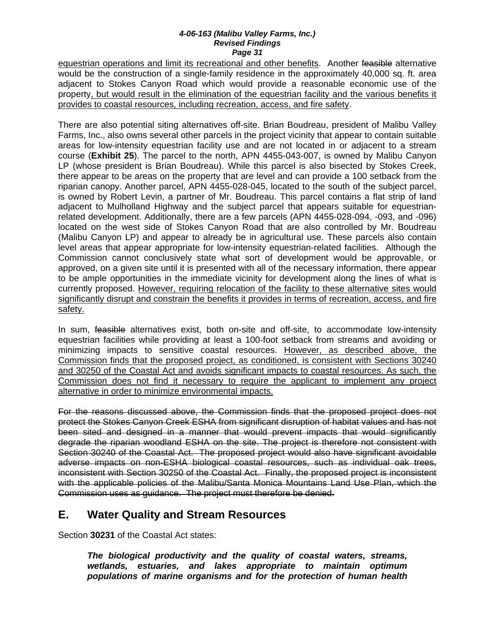equestrian operations and limit its recreational and other benefits. Another feasible alternative would be the construction of a single-family residence in the approximately 40,000 sq. ft. area adjacent to Stokes Canyon Road which would provide a reasonable economic use of the property, but would result in the elimination of the equestrian facility and the various benefits it provides to coastal resources, including recreation, access, and fire safety.

There are also potential siting alternatives off-site. Brian Boudreau, president of Malibu Valley Farms, Inc., also owns several other parcels in the project vicinity that appear to contain suitable areas for low-intensity equestrian facility use and are not located in or adjacent to a stream course (**Exhibit 25**). The parcel to the north, APN 4455-043-007, is owned by Malibu Canyon LP (whose president is Brian Boudreau). While this parcel is also bisected by Stokes Creek, there appear to be areas on the property that are level and can provide a 100 setback from the riparian canopy. Another parcel, APN 4455-028-045, located to the south of the subject parcel, is owned by Robert Levin, a partner of Mr. Boudreau. This parcel contains a flat strip of land adjacent to Mulholland Highway and the subject parcel that appears suitable for equestrianrelated development. Additionally, there are a few parcels (APN 4455-028-094, -093, and -096) located on the west side of Stokes Canyon Road that are also controlled by Mr. Boudreau (Malibu Canyon LP) and appear to already be in agricultural use. These parcels also contain level areas that appear appropriate for low-intensity equestrian-related facilities. Although the Commission cannot conclusively state what sort of development would be approvable, or approved, on a given site until it is presented with all of the necessary information, there appear to be ample opportunities in the immediate vicinity for development along the lines of what is currently proposed. However, requiring relocation of the facility to these alternative sites would significantly disrupt and constrain the benefits it provides in terms of recreation, access, and fire safety.

In sum, feasible alternatives exist, both on-site and off-site, to accommodate low-intensity equestrian facilities while providing at least a 100-foot setback from streams and avoiding or minimizing impacts to sensitive coastal resources. However, as described above, the Commission finds that the proposed project, as conditioned, is consistent with Sections 30240 and 30250 of the Coastal Act and avoids significant impacts to coastal resources. As such, the Commission does not find it necessary to require the applicant to implement any project alternative in order to minimize environmental impacts.

For the reasons discussed above, the Commission finds that the proposed project does not protect the Stokes Canyon Creek ESHA from significant disruption of habitat values and has not been sited and designed in a manner that would prevent impacts that would significantly degrade the riparian woodland ESHA on the site. The project is therefore not consistent with Section 30240 of the Coastal Act. The proposed project would also have significant avoidable adverse impacts on non-ESHA biological coastal resources, such as individual oak trees, inconsistent with Section 30250 of the Coastal Act. Finally, the proposed project is inconsistent with the applicable policies of the Malibu/Santa Monica Mountains Land Use Plan, which the Commission uses as guidance. The project must therefore be denied.

# **E. Water Quality and Stream Resources**

Section **30231** of the Coastal Act states:

*The biological productivity and the quality of coastal waters, streams, wetlands, estuaries, and lakes appropriate to maintain optimum populations of marine organisms and for the protection of human health*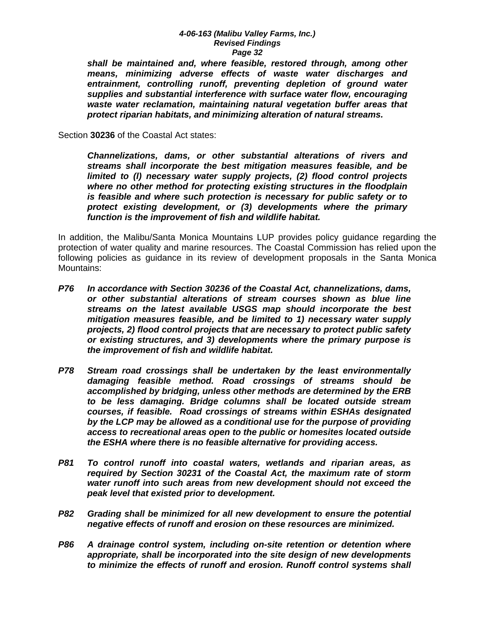*shall be maintained and, where feasible, restored through, among other means, minimizing adverse effects of waste water discharges and entrainment, controlling runoff, preventing depletion of ground water supplies and substantial interference with surface water flow, encouraging waste water reclamation, maintaining natural vegetation buffer areas that protect riparian habitats, and minimizing alteration of natural streams.* 

Section **30236** of the Coastal Act states:

*Channelizations, dams, or other substantial alterations of rivers and streams shall incorporate the best mitigation measures feasible, and be limited to (l) necessary water supply projects, (2) flood control projects where no other method for protecting existing structures in the floodplain is feasible and where such protection is necessary for public safety or to protect existing development, or (3) developments where the primary function is the improvement of fish and wildlife habitat.* 

In addition, the Malibu/Santa Monica Mountains LUP provides policy guidance regarding the protection of water quality and marine resources. The Coastal Commission has relied upon the following policies as guidance in its review of development proposals in the Santa Monica Mountains:

- *P76 In accordance with Section 30236 of the Coastal Act, channelizations, dams, or other substantial alterations of stream courses shown as blue line streams on the latest available USGS map should incorporate the best mitigation measures feasible, and be limited to 1) necessary water supply projects, 2) flood control projects that are necessary to protect public safety or existing structures, and 3) developments where the primary purpose is the improvement of fish and wildlife habitat.*
- *P78 Stream road crossings shall be undertaken by the least environmentally damaging feasible method. Road crossings of streams should be accomplished by bridging, unless other methods are determined by the ERB to be less damaging. Bridge columns shall be located outside stream courses, if feasible. Road crossings of streams within ESHAs designated by the LCP may be allowed as a conditional use for the purpose of providing access to recreational areas open to the public or homesites located outside the ESHA where there is no feasible alternative for providing access.*
- *P81 To control runoff into coastal waters, wetlands and riparian areas, as required by Section 30231 of the Coastal Act, the maximum rate of storm water runoff into such areas from new development should not exceed the peak level that existed prior to development.*
- *P82 Grading shall be minimized for all new development to ensure the potential negative effects of runoff and erosion on these resources are minimized.*
- *P86 A drainage control system, including on-site retention or detention where appropriate, shall be incorporated into the site design of new developments to minimize the effects of runoff and erosion. Runoff control systems shall*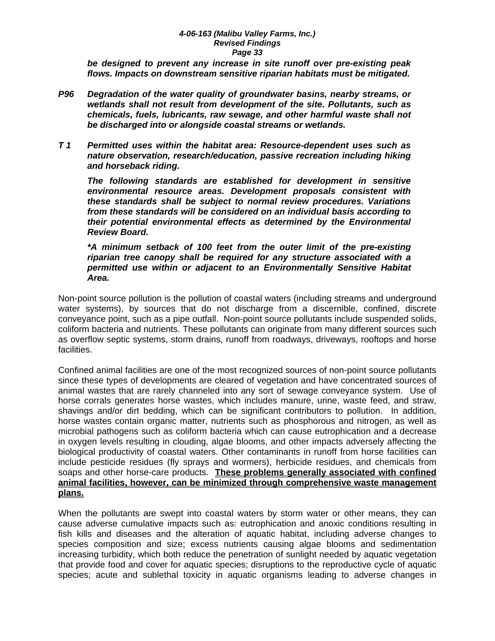*be designed to prevent any increase in site runoff over pre-existing peak flows. Impacts on downstream sensitive riparian habitats must be mitigated.* 

- *P96 Degradation of the water quality of groundwater basins, nearby streams, or wetlands shall not result from development of the site. Pollutants, such as chemicals, fuels, lubricants, raw sewage, and other harmful waste shall not be discharged into or alongside coastal streams or wetlands.*
- *T 1 Permitted uses within the habitat area: Resource-dependent uses such as nature observation, research/education, passive recreation including hiking and horseback riding.*

 *The following standards are established for development in sensitive environmental resource areas. Development proposals consistent with these standards shall be subject to normal review procedures. Variations from these standards will be considered on an individual basis according to their potential environmental effects as determined by the Environmental Review Board.* 

*\*A minimum setback of 100 feet from the outer limit of the pre-existing riparian tree canopy shall be required for any structure associated with a permitted use within or adjacent to an Environmentally Sensitive Habitat Area.* 

Non-point source pollution is the pollution of coastal waters (including streams and underground water systems), by sources that do not discharge from a discernible, confined, discrete conveyance point, such as a pipe outfall. Non-point source pollutants include suspended solids, coliform bacteria and nutrients. These pollutants can originate from many different sources such as overflow septic systems, storm drains, runoff from roadways, driveways, rooftops and horse facilities.

Confined animal facilities are one of the most recognized sources of non-point source pollutants since these types of developments are cleared of vegetation and have concentrated sources of animal wastes that are rarely channeled into any sort of sewage conveyance system. Use of horse corrals generates horse wastes, which includes manure, urine, waste feed, and straw, shavings and/or dirt bedding, which can be significant contributors to pollution. In addition, horse wastes contain organic matter, nutrients such as phosphorous and nitrogen, as well as microbial pathogens such as coliform bacteria which can cause eutrophication and a decrease in oxygen levels resulting in clouding, algae blooms, and other impacts adversely affecting the biological productivity of coastal waters. Other contaminants in runoff from horse facilities can include pesticide residues (fly sprays and wormers), herbicide residues, and chemicals from soaps and other horse-care products. **These problems generally associated with confined animal facilities, however, can be minimized through comprehensive waste management plans.**

When the pollutants are swept into coastal waters by storm water or other means, they can cause adverse cumulative impacts such as: eutrophication and anoxic conditions resulting in fish kills and diseases and the alteration of aquatic habitat, including adverse changes to species composition and size; excess nutrients causing algae blooms and sedimentation increasing turbidity, which both reduce the penetration of sunlight needed by aquatic vegetation that provide food and cover for aquatic species; disruptions to the reproductive cycle of aquatic species; acute and sublethal toxicity in aquatic organisms leading to adverse changes in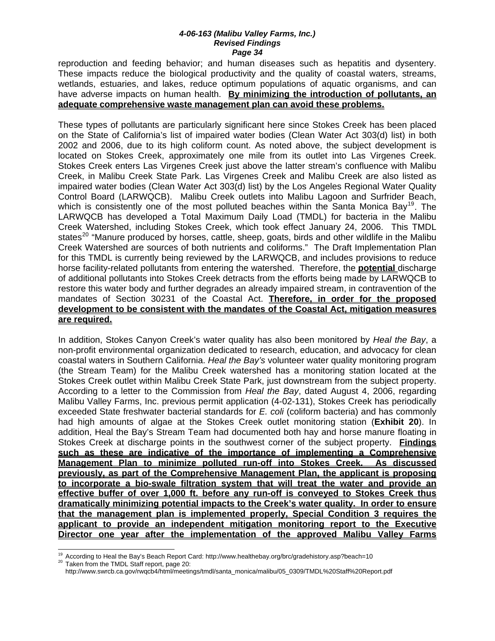reproduction and feeding behavior; and human diseases such as hepatitis and dysentery. These impacts reduce the biological productivity and the quality of coastal waters, streams, wetlands, estuaries, and lakes, reduce optimum populations of aquatic organisms, and can have adverse impacts on human health. **By minimizing the introduction of pollutants, an adequate comprehensive waste management plan can avoid these problems.**

These types of pollutants are particularly significant here since Stokes Creek has been placed on the State of California's list of impaired water bodies (Clean Water Act 303(d) list) in both 2002 and 2006, due to its high coliform count. As noted above, the subject development is located on Stokes Creek, approximately one mile from its outlet into Las Virgenes Creek. Stokes Creek enters Las Virgenes Creek just above the latter stream's confluence with Malibu Creek, in Malibu Creek State Park. Las Virgenes Creek and Malibu Creek are also listed as impaired water bodies (Clean Water Act 303(d) list) by the Los Angeles Regional Water Quality Control Board (LARWQCB). Malibu Creek outlets into Malibu Lagoon and Surfrider Beach, which is consistently one of the most polluted beaches within the Santa Monica Bay<sup>[19](#page-57-0)</sup>. The LARWQCB has developed a Total Maximum Daily Load (TMDL) for bacteria in the Malibu Creek Watershed, including Stokes Creek, which took effect January 24, 2006. This TMDL states<sup>[20](#page-57-1)</sup> "Manure produced by horses, cattle, sheep, goats, birds and other wildlife in the Malibu Creek Watershed are sources of both nutrients and coliforms." The Draft Implementation Plan for this TMDL is currently being reviewed by the LARWQCB, and includes provisions to reduce horse facility-related pollutants from entering the watershed. Therefore, the **potential** discharge of additional pollutants into Stokes Creek detracts from the efforts being made by LARWQCB to restore this water body and further degrades an already impaired stream, in contravention of the mandates of Section 30231 of the Coastal Act. **Therefore, in order for the proposed development to be consistent with the mandates of the Coastal Act, mitigation measures are required.**

In addition, Stokes Canyon Creek's water quality has also been monitored by *Heal the Bay*, a non-profit environmental organization dedicated to research, education, and advocacy for clean coastal waters in Southern California. *Heal the Bay's* volunteer water quality monitoring program (the Stream Team) for the Malibu Creek watershed has a monitoring station located at the Stokes Creek outlet within Malibu Creek State Park, just downstream from the subject property. According to a letter to the Commission from *Heal the Bay*, dated August 4, 2006, regarding Malibu Valley Farms, Inc. previous permit application (4-02-131), Stokes Creek has periodically exceeded State freshwater bacterial standards for *E. coli* (coliform bacteria) and has commonly had high amounts of algae at the Stokes Creek outlet monitoring station (**Exhibit 20**). In addition, Heal the Bay's Stream Team had documented both hay and horse manure floating in Stokes Creek at discharge points in the southwest corner of the subject property. **Findings such as these are indicative of the importance of implementing a Comprehensive Management Plan to minimize polluted run-off into Stokes Creek. As discussed previously, as part of the Comprehensive Management Plan, the applicant is proposing to incorporate a bio-swale filtration system that will treat the water and provide an effective buffer of over 1,000 ft. before any run-off is conveyed to Stokes Creek thus dramatically minimizing potential impacts to the Creek's water quality. In order to ensure that the management plan is implemented properly, Special Condition 3 requires the applicant to provide an independent mitigation monitoring report to the Executive Director one year after the implementation of the approved Malibu Valley Farms** 

 $\overline{a}$ 

<span id="page-57-1"></span><span id="page-57-0"></span><sup>&</sup>lt;sup>19</sup> According to Heal the Bay's Beach Report Card:<http://www.healthebay.org/brc/gradehistory.asp?beach=10><br><sup>20</sup> Taken from the TMDL Staff report, page 20:

[http://www.swrcb.ca.gov/rwqcb4/html/meetings/tmdl/santa\\_monica/malibu/05\\_0309/TMDL%20Staff%20Report.pdf](http://www.swrcb.ca.gov/rwqcb4/html/meetings/tmdl/santa_monica/malibu/05_0309/TMDL%20Staff%20Report.pdf)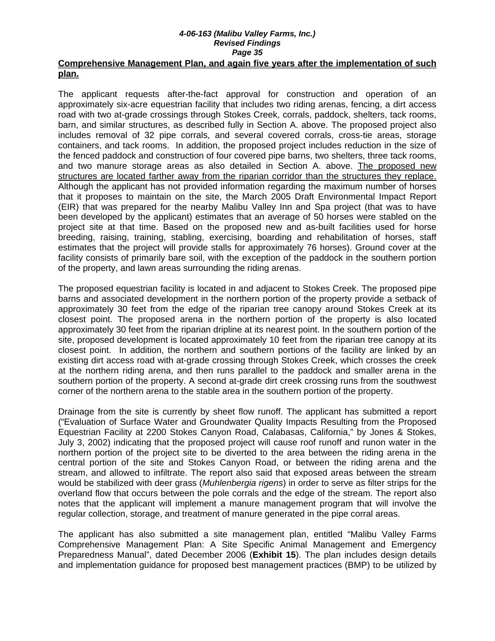### **Comprehensive Management Plan, and again five years after the implementation of such plan.**

The applicant requests after-the-fact approval for construction and operation of an approximately six-acre equestrian facility that includes two riding arenas, fencing, a dirt access road with two at-grade crossings through Stokes Creek, corrals, paddock, shelters, tack rooms, barn, and similar structures, as described fully in Section A. above. The proposed project also includes removal of 32 pipe corrals, and several covered corrals, cross-tie areas, storage containers, and tack rooms. In addition, the proposed project includes reduction in the size of the fenced paddock and construction of four covered pipe barns, two shelters, three tack rooms, and two manure storage areas as also detailed in Section A. above. The proposed new structures are located farther away from the riparian corridor than the structures they replace. Although the applicant has not provided information regarding the maximum number of horses that it proposes to maintain on the site, the March 2005 Draft Environmental Impact Report (EIR) that was prepared for the nearby Malibu Valley Inn and Spa project (that was to have been developed by the applicant) estimates that an average of 50 horses were stabled on the project site at that time. Based on the proposed new and as-built facilities used for horse breeding, raising, training, stabling, exercising, boarding and rehabilitation of horses, staff estimates that the project will provide stalls for approximately 76 horses). Ground cover at the facility consists of primarily bare soil, with the exception of the paddock in the southern portion of the property, and lawn areas surrounding the riding arenas.

The proposed equestrian facility is located in and adjacent to Stokes Creek. The proposed pipe barns and associated development in the northern portion of the property provide a setback of approximately 30 feet from the edge of the riparian tree canopy around Stokes Creek at its closest point. The proposed arena in the northern portion of the property is also located approximately 30 feet from the riparian dripline at its nearest point. In the southern portion of the site, proposed development is located approximately 10 feet from the riparian tree canopy at its closest point. In addition, the northern and southern portions of the facility are linked by an existing dirt access road with at-grade crossing through Stokes Creek, which crosses the creek at the northern riding arena, and then runs parallel to the paddock and smaller arena in the southern portion of the property. A second at-grade dirt creek crossing runs from the southwest corner of the northern arena to the stable area in the southern portion of the property.

Drainage from the site is currently by sheet flow runoff. The applicant has submitted a report ("Evaluation of Surface Water and Groundwater Quality Impacts Resulting from the Proposed Equestrian Facility at 2200 Stokes Canyon Road, Calabasas, California," by Jones & Stokes, July 3, 2002) indicating that the proposed project will cause roof runoff and runon water in the northern portion of the project site to be diverted to the area between the riding arena in the central portion of the site and Stokes Canyon Road, or between the riding arena and the stream, and allowed to infiltrate. The report also said that exposed areas between the stream would be stabilized with deer grass (*Muhlenbergia rigens*) in order to serve as filter strips for the overland flow that occurs between the pole corrals and the edge of the stream. The report also notes that the applicant will implement a manure management program that will involve the regular collection, storage, and treatment of manure generated in the pipe corral areas.

The applicant has also submitted a site management plan, entitled "Malibu Valley Farms Comprehensive Management Plan: A Site Specific Animal Management and Emergency Preparedness Manual", dated December 2006 (**Exhibit 15**). The plan includes design details and implementation guidance for proposed best management practices (BMP) to be utilized by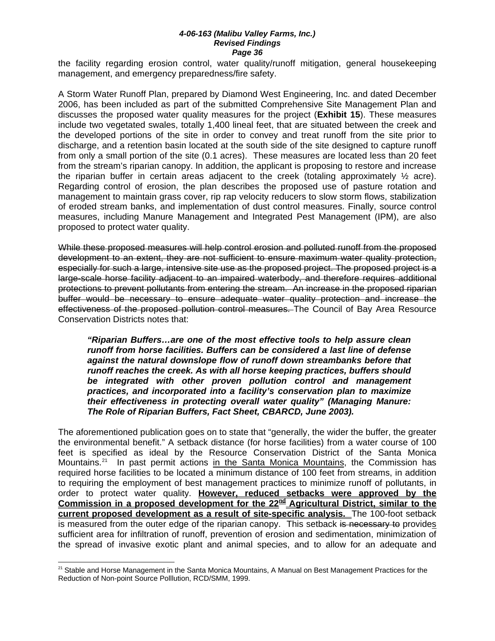the facility regarding erosion control, water quality/runoff mitigation, general housekeeping management, and emergency preparedness/fire safety.

A Storm Water Runoff Plan, prepared by Diamond West Engineering, Inc. and dated December 2006, has been included as part of the submitted Comprehensive Site Management Plan and discusses the proposed water quality measures for the project (**Exhibit 15**). These measures include two vegetated swales, totally 1,400 lineal feet, that are situated between the creek and the developed portions of the site in order to convey and treat runoff from the site prior to discharge, and a retention basin located at the south side of the site designed to capture runoff from only a small portion of the site (0.1 acres). These measures are located less than 20 feet from the stream's riparian canopy. In addition, the applicant is proposing to restore and increase the riparian buffer in certain areas adjacent to the creek (totaling approximately  $\frac{1}{2}$  acre). Regarding control of erosion, the plan describes the proposed use of pasture rotation and management to maintain grass cover, rip rap velocity reducers to slow storm flows, stabilization of eroded stream banks, and implementation of dust control measures. Finally, source control measures, including Manure Management and Integrated Pest Management (IPM), are also proposed to protect water quality.

While these proposed measures will help control erosion and polluted runoff from the proposed development to an extent, they are not sufficient to ensure maximum water quality protection, especially for such a large, intensive site use as the proposed project. The proposed project is a large-scale horse facility adjacent to an impaired waterbody, and therefore requires additional protections to prevent pollutants from entering the stream. An increase in the proposed riparian buffer would be necessary to ensure adequate water quality protection and increase the effectiveness of the proposed pollution control measures. The Council of Bay Area Resource Conservation Districts notes that:

*"Riparian Buffers…are one of the most effective tools to help assure clean runoff from horse facilities. Buffers can be considered a last line of defense against the natural downslope flow of runoff down streambanks before that runoff reaches the creek. As with all horse keeping practices, buffers should be integrated with other proven pollution control and management practices, and incorporated into a facility's conservation plan to maximize their effectiveness in protecting overall water quality" (Managing Manure: The Role of Riparian Buffers, Fact Sheet, CBARCD, June 2003).* 

The aforementioned publication goes on to state that "generally, the wider the buffer, the greater the environmental benefit." A setback distance (for horse facilities) from a water course of 100 feet is specified as ideal by the Resource Conservation District of the Santa Monica Mountains.<sup>[21](#page-59-0)</sup> In past permit actions in the Santa Monica Mountains, the Commission has required horse facilities to be located a minimum distance of 100 feet from streams, in addition to requiring the employment of best management practices to minimize runoff of pollutants, in order to protect water quality. **However, reduced setbacks were approved by the Commission in a proposed development for the 22nd Agricultural District, similar to the current proposed development as a result of site-specific analysis.** The 100-foot setback is measured from the outer edge of the riparian canopy. This setback is necessary to provides sufficient area for infiltration of runoff, prevention of erosion and sedimentation, minimization of the spread of invasive exotic plant and animal species, and to allow for an adequate and

 $\overline{a}$ 

<span id="page-59-0"></span><sup>&</sup>lt;sup>21</sup> Stable and Horse Management in the Santa Monica Mountains, A Manual on Best Management Practices for the Reduction of Non-point Source Polllution, RCD/SMM, 1999.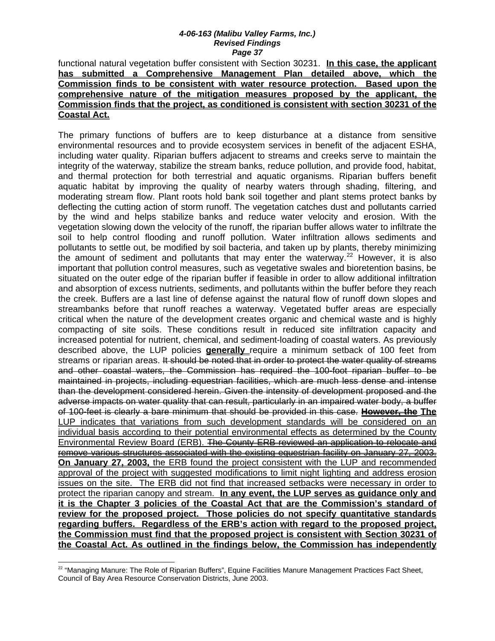functional natural vegetation buffer consistent with Section 30231. **In this case, the applicant has submitted a Comprehensive Management Plan detailed above, which the Commission finds to be consistent with water resource protection. Based upon the comprehensive nature of the mitigation measures proposed by the applicant, the Commission finds that the project, as conditioned is consistent with section 30231 of the Coastal Act.**

The primary functions of buffers are to keep disturbance at a distance from sensitive environmental resources and to provide ecosystem services in benefit of the adjacent ESHA, including water quality. Riparian buffers adjacent to streams and creeks serve to maintain the integrity of the waterway, stabilize the stream banks, reduce pollution, and provide food, habitat, and thermal protection for both terrestrial and aquatic organisms. Riparian buffers benefit aquatic habitat by improving the quality of nearby waters through shading, filtering, and moderating stream flow. Plant roots hold bank soil together and plant stems protect banks by deflecting the cutting action of storm runoff. The vegetation catches dust and pollutants carried by the wind and helps stabilize banks and reduce water velocity and erosion. With the vegetation slowing down the velocity of the runoff, the riparian buffer allows water to infiltrate the soil to help control flooding and runoff pollution. Water infiltration allows sediments and pollutants to settle out, be modified by soil bacteria, and taken up by plants, thereby minimizing the amount of sediment and pollutants that may enter the waterway.<sup>[22](#page-60-0)</sup> However, it is also important that pollution control measures, such as vegetative swales and bioretention basins, be situated on the outer edge of the riparian buffer if feasible in order to allow additional infiltration and absorption of excess nutrients, sediments, and pollutants within the buffer before they reach the creek. Buffers are a last line of defense against the natural flow of runoff down slopes and streambanks before that runoff reaches a waterway. Vegetated buffer areas are especially critical when the nature of the development creates organic and chemical waste and is highly compacting of site soils. These conditions result in reduced site infiltration capacity and increased potential for nutrient, chemical, and sediment-loading of coastal waters. As previously described above, the LUP policies **generally** require a minimum setback of 100 feet from streams or riparian areas. It should be noted that in order to protect the water quality of streams and other coastal waters, the Commission has required the 100-foot riparian buffer to be maintained in projects, including equestrian facilities, which are much less dense and intense than the development considered herein. Given the intensity of development proposed and the adverse impacts on water quality that can result, particularly in an impaired water body, a buffer of 100-feet is clearly a bare minimum that should be provided in this case. **However, the The** LUP indicates that variations from such development standards will be considered on an individual basis according to their potential environmental effects as determined by the County Environmental Review Board (ERB). The County ERB reviewed an application to relocate and remove various structures associated with the existing equestrian facility on January 27, 2003. **On January 27, 2003,** the ERB found the project consistent with the LUP and recommended approval of the project with suggested modifications to limit night lighting and address erosion issues on the site. The ERB did not find that increased setbacks were necessary in order to protect the riparian canopy and stream. **In any event, the LUP serves as guidance only and it is the Chapter 3 policies of the Coastal Act that are the Commission's standard of review for the proposed project. Those policies do not specify quantitative standards regarding buffers. Regardless of the ERB's action with regard to the proposed project, the Commission must find that the proposed project is consistent with Section 30231 of the Coastal Act. As outlined in the findings below, the Commission has independently** 

 $\overline{a}$ 

<span id="page-60-0"></span> $^{22}$  "Managing Manure: The Role of Riparian Buffers", Equine Facilities Manure Management Practices Fact Sheet, Council of Bay Area Resource Conservation Districts, June 2003.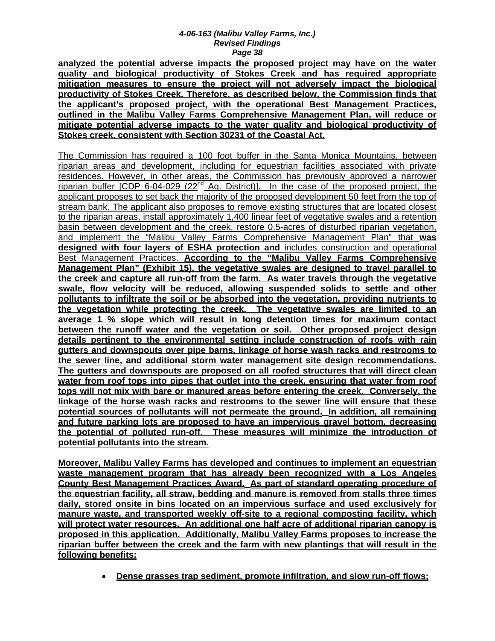**analyzed the potential adverse impacts the proposed project may have on the water quality and biological productivity of Stokes Creek and has required appropriate mitigation measures to ensure the project will not adversely impact the biological productivity of Stokes Creek. Therefore, as described below, the Commission finds that the applicant's proposed project, with the operational Best Management Practices, outlined in the Malibu Valley Farms Comprehensive Management Plan, will reduce or mitigate potential adverse impacts to the water quality and biological productivity of Stokes creek, consistent with Section 30231 of the Coastal Act.**

The Commission has required a 100 foot buffer in the Santa Monica Mountains, between riparian areas and development, including for equestrian facilities associated with private residences. However, in other areas, the Commission has previously approved a narrower riparian buffer  $[CDP 6-04-029 (22<sup>nd</sup> Ag. District)].$  In the case of the proposed project, the applicant proposes to set back the majority of the proposed development 50 feet from the top of stream bank. The applicant also proposes to remove existing structures that are located closest to the riparian areas, install approximately 1,400 linear feet of vegetative swales and a retention basin between development and the creek, restore 0.5-acres of disturbed riparian vegetation, and implement the "Malibu Valley Farms Comprehensive Management Plan" that **was designed with four layers of ESHA protection and** includes construction and operational Best Management Practices. **According to the "Malibu Valley Farms Comprehensive Management Plan" (Exhibit 15), the vegetative swales are designed to travel parallel to the creek and capture all run-off from the farm. As water travels through the vegetative swale, flow velocity will be reduced, allowing suspended solids to settle and other pollutants to infiltrate the soil or be absorbed into the vegetation, providing nutrients to the vegetation while protecting the creek. The vegetative swales are limited to an average 1 % slope which will result in long detention times for maximum contact between the runoff water and the vegetation or soil. Other proposed project design details pertinent to the environmental setting include construction of roofs with rain gutters and downspouts over pipe barns, linkage of horse wash racks and restrooms to the sewer line, and additional storm water management site design recommendations. The gutters and downspouts are proposed on all roofed structures that will direct clean water from roof tops into pipes that outlet into the creek, ensuring that water from roof tops will not mix with bare or manured areas before entering the creek. Conversely, the linkage of the horse wash racks and restrooms to the sewer line will ensure that these potential sources of pollutants will not permeate the ground. In addition, all remaining and future parking lots are proposed to have an impervious gravel bottom, decreasing the potential of polluted run-off. These measures will minimize the introduction of potential pollutants into the stream.**

**Moreover, Malibu Valley Farms has developed and continues to implement an equestrian waste management program that has already been recognized with a Los Angeles County Best Management Practices Award. As part of standard operating procedure of the equestrian facility, all straw, bedding and manure is removed from stalls three times daily, stored onsite in bins located on an impervious surface and used exclusively for manure waste, and transported weekly off-site to a regional composting facility, which will protect water resources. An additional one half acre of additional riparian canopy is proposed in this application. Additionally, Malibu Valley Farms proposes to increase the riparian buffer between the creek and the farm with new plantings that will result in the following benefits:**

• **Dense grasses trap sediment, promote infiltration, and slow run-off flows;**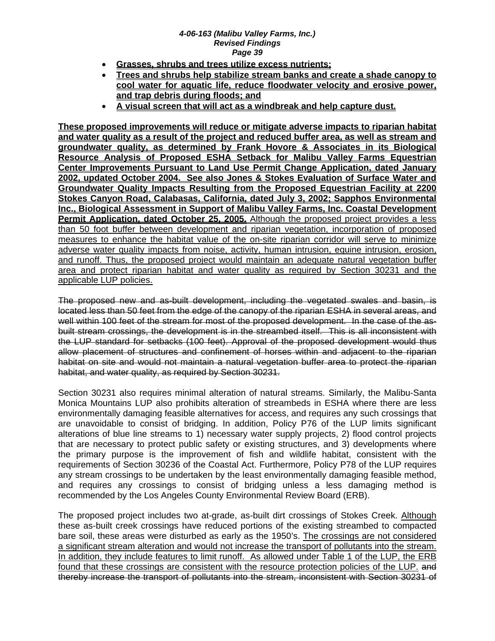- **Grasses, shrubs and trees utilize excess nutrients;**
- **Trees and shrubs help stabilize stream banks and create a shade canopy to cool water for aquatic life, reduce floodwater velocity and erosive power, and trap debris during floods; and**
- **A visual screen that will act as a windbreak and help capture dust.**

**These proposed improvements will reduce or mitigate adverse impacts to riparian habitat and water quality as a result of the project and reduced buffer area, as well as stream and groundwater quality, as determined by Frank Hovore & Associates in its Biological Resource Analysis of Proposed ESHA Setback for Malibu Valley Farms Equestrian Center Improvements Pursuant to Land Use Permit Change Application, dated January 2002, updated October 2004. See also Jones & Stokes Evaluation of Surface Water and Groundwater Quality Impacts Resulting from the Proposed Equestrian Facility at 2200 Stokes Canyon Road, Calabasas, California, dated July 3, 2002; Sapphos Environmental Inc., Biological Assessment in Support of Malibu Valley Farms, Inc. Coastal Development Permit Application, dated October 25, 2005.** Although the proposed project provides a less than 50 foot buffer between development and riparian vegetation, incorporation of proposed measures to enhance the habitat value of the on-site riparian corridor will serve to minimize adverse water quality impacts from noise, activity, human intrusion, equine intrusion, erosion, and runoff. Thus, the proposed project would maintain an adequate natural vegetation buffer area and protect riparian habitat and water quality as required by Section 30231 and the applicable LUP policies.

The proposed new and as-built development, including the vegetated swales and basin, is located less than 50 feet from the edge of the canopy of the riparian ESHA in several areas, and well within 100 feet of the stream for most of the proposed development. In the case of the asbuilt stream crossings, the development is in the streambed itself. This is all inconsistent with the LUP standard for setbacks (100 feet). Approval of the proposed development would thus allow placement of structures and confinement of horses within and adjacent to the riparian habitat on site and would not maintain a natural vegetation buffer area to protect the riparian habitat, and water quality, as required by Section 30231.

Section 30231 also requires minimal alteration of natural streams. Similarly, the Malibu-Santa Monica Mountains LUP also prohibits alteration of streambeds in ESHA where there are less environmentally damaging feasible alternatives for access, and requires any such crossings that are unavoidable to consist of bridging. In addition, Policy P76 of the LUP limits significant alterations of blue line streams to 1) necessary water supply projects, 2) flood control projects that are necessary to protect public safety or existing structures, and 3) developments where the primary purpose is the improvement of fish and wildlife habitat, consistent with the requirements of Section 30236 of the Coastal Act. Furthermore, Policy P78 of the LUP requires any stream crossings to be undertaken by the least environmentally damaging feasible method, and requires any crossings to consist of bridging unless a less damaging method is recommended by the Los Angeles County Environmental Review Board (ERB).

The proposed project includes two at-grade, as-built dirt crossings of Stokes Creek. Although these as-built creek crossings have reduced portions of the existing streambed to compacted bare soil, these areas were disturbed as early as the 1950's. The crossings are not considered a significant stream alteration and would not increase the transport of pollutants into the stream. In addition, they include features to limit runoff. As allowed under Table 1 of the LUP, the ERB found that these crossings are consistent with the resource protection policies of the LUP. and thereby increase the transport of pollutants into the stream, inconsistent with Section 30231 of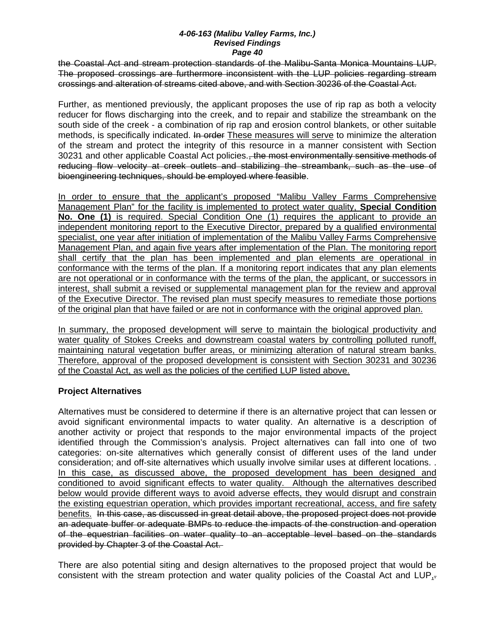the Coastal Act and stream protection standards of the Malibu-Santa Monica Mountains LUP. The proposed crossings are furthermore inconsistent with the LUP policies regarding stream crossings and alteration of streams cited above, and with Section 30236 of the Coastal Act.

Further, as mentioned previously, the applicant proposes the use of rip rap as both a velocity reducer for flows discharging into the creek, and to repair and stabilize the streambank on the south side of the creek - a combination of rip rap and erosion control blankets, or other suitable methods, is specifically indicated. In order These measures will serve to minimize the alteration of the stream and protect the integrity of this resource in a manner consistent with Section 30231 and other applicable Coastal Act policies. the most environmentally sensitive methods of reducing flow velocity at creek outlets and stabilizing the streambank, such as the use of bioengineering techniques, should be employed where feasible.

In order to ensure that the applicant's proposed "Malibu Valley Farms Comprehensive Management Plan" for the facility is implemented to protect water quality, **Special Condition No. One (1)** is required. Special Condition One (1) requires the applicant to provide an independent monitoring report to the Executive Director, prepared by a qualified environmental specialist, one year after initiation of implementation of the Malibu Valley Farms Comprehensive Management Plan, and again five years after implementation of the Plan. The monitoring report shall certify that the plan has been implemented and plan elements are operational in conformance with the terms of the plan. If a monitoring report indicates that any plan elements are not operational or in conformance with the terms of the plan, the applicant, or successors in interest, shall submit a revised or supplemental management plan for the review and approval of the Executive Director. The revised plan must specify measures to remediate those portions of the original plan that have failed or are not in conformance with the original approved plan.

In summary, the proposed development will serve to maintain the biological productivity and water quality of Stokes Creeks and downstream coastal waters by controlling polluted runoff, maintaining natural vegetation buffer areas, or minimizing alteration of natural stream banks. Therefore, approval of the proposed development is consistent with Section 30231 and 30236 of the Coastal Act, as well as the policies of the certified LUP listed above.

### **Project Alternatives**

Alternatives must be considered to determine if there is an alternative project that can lessen or avoid significant environmental impacts to water quality. An alternative is a description of another activity or project that responds to the major environmental impacts of the project identified through the Commission's analysis. Project alternatives can fall into one of two categories: on-site alternatives which generally consist of different uses of the land under consideration; and off-site alternatives which usually involve similar uses at different locations. . In this case, as discussed above, the proposed development has been designed and conditioned to avoid significant effects to water quality. Although the alternatives described below would provide different ways to avoid adverse effects, they would disrupt and constrain the existing equestrian operation, which provides important recreational, access, and fire safety benefits. In this case, as discussed in great detail above, the proposed project does not provide an adequate buffer or adequate BMPs to reduce the impacts of the construction and operation of the equestrian facilities on water quality to an acceptable level based on the standards provided by Chapter 3 of the Coastal Act.

There are also potential siting and design alternatives to the proposed project that would be consistent with the stream protection and water quality policies of the Coastal Act and LUP, $\frac{1}{2}$ .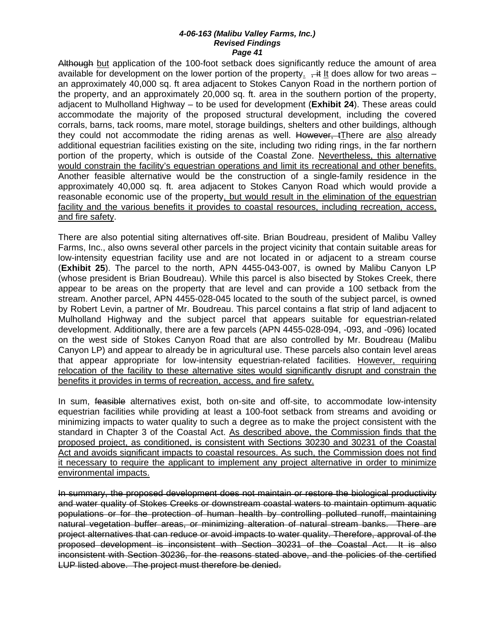Although but application of the 100-foot setback does significantly reduce the amount of area available for development on the lower portion of the property.  $+$ it It does allow for two areas – an approximately 40,000 sq. ft area adjacent to Stokes Canyon Road in the northern portion of the property, and an approximately 20,000 sq. ft. area in the southern portion of the property, adjacent to Mulholland Highway – to be used for development (**Exhibit 24**). These areas could accommodate the majority of the proposed structural development, including the covered corrals, barns, tack rooms, mare motel, storage buildings, shelters and other buildings, although they could not accommodate the riding arenas as well. However, tThere are also already additional equestrian facilities existing on the site, including two riding rings, in the far northern portion of the property, which is outside of the Coastal Zone. Nevertheless, this alternative would constrain the facility's equestrian operations and limit its recreational and other benefits. Another feasible alternative would be the construction of a single-family residence in the approximately 40,000 sq. ft. area adjacent to Stokes Canyon Road which would provide a reasonable economic use of the property, but would result in the elimination of the equestrian facility and the various benefits it provides to coastal resources, including recreation, access, and fire safety.

There are also potential siting alternatives off-site. Brian Boudreau, president of Malibu Valley Farms, Inc., also owns several other parcels in the project vicinity that contain suitable areas for low-intensity equestrian facility use and are not located in or adjacent to a stream course (**Exhibit 25**). The parcel to the north, APN 4455-043-007, is owned by Malibu Canyon LP (whose president is Brian Boudreau). While this parcel is also bisected by Stokes Creek, there appear to be areas on the property that are level and can provide a 100 setback from the stream. Another parcel, APN 4455-028-045 located to the south of the subject parcel, is owned by Robert Levin, a partner of Mr. Boudreau. This parcel contains a flat strip of land adjacent to Mulholland Highway and the subject parcel that appears suitable for equestrian-related development. Additionally, there are a few parcels (APN 4455-028-094, -093, and -096) located on the west side of Stokes Canyon Road that are also controlled by Mr. Boudreau (Malibu Canyon LP) and appear to already be in agricultural use. These parcels also contain level areas that appear appropriate for low-intensity equestrian-related facilities. However, requiring relocation of the facility to these alternative sites would significantly disrupt and constrain the benefits it provides in terms of recreation, access, and fire safety.

In sum, feasible alternatives exist, both on-site and off-site, to accommodate low-intensity equestrian facilities while providing at least a 100-foot setback from streams and avoiding or minimizing impacts to water quality to such a degree as to make the project consistent with the standard in Chapter 3 of the Coastal Act. As described above, the Commission finds that the proposed project, as conditioned, is consistent with Sections 30230 and 30231 of the Coastal Act and avoids significant impacts to coastal resources. As such, the Commission does not find it necessary to require the applicant to implement any project alternative in order to minimize environmental impacts.

In summary, the proposed development does not maintain or restore the biological productivity and water quality of Stokes Creeks or downstream coastal waters to maintain optimum aquatic populations or for the protection of human health by controlling polluted runoff, maintaining natural vegetation buffer areas, or minimizing alteration of natural stream banks. There are project alternatives that can reduce or avoid impacts to water quality. Therefore, approval of the proposed development is inconsistent with Section 30231 of the Coastal Act. It is also inconsistent with Section 30236, for the reasons stated above, and the policies of the certified LUP listed above. The project must therefore be denied.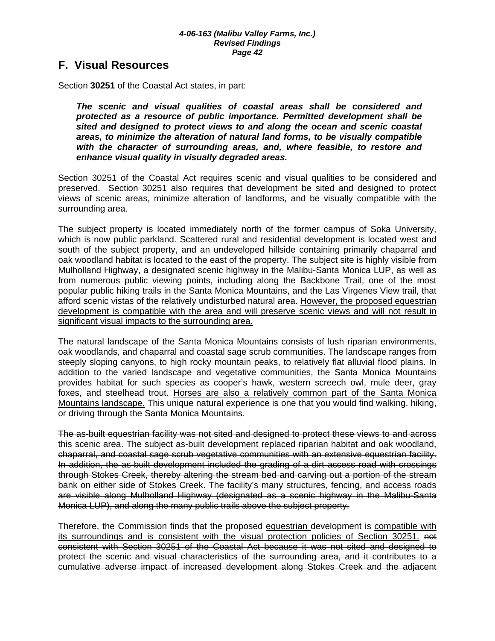### **F. Visual Resources**

Section **30251** of the Coastal Act states, in part:

*The scenic and visual qualities of coastal areas shall be considered and protected as a resource of public importance. Permitted development shall be sited and designed to protect views to and along the ocean and scenic coastal areas, to minimize the alteration of natural land forms, to be visually compatible with the character of surrounding areas, and, where feasible, to restore and enhance visual quality in visually degraded areas.* 

Section 30251 of the Coastal Act requires scenic and visual qualities to be considered and preserved. Section 30251 also requires that development be sited and designed to protect views of scenic areas, minimize alteration of landforms, and be visually compatible with the surrounding area.

The subject property is located immediately north of the former campus of Soka University, which is now public parkland. Scattered rural and residential development is located west and south of the subject property, and an undeveloped hillside containing primarily chaparral and oak woodland habitat is located to the east of the property. The subject site is highly visible from Mulholland Highway, a designated scenic highway in the Malibu-Santa Monica LUP, as well as from numerous public viewing points, including along the Backbone Trail, one of the most popular public hiking trails in the Santa Monica Mountains, and the Las Virgenes View trail, that afford scenic vistas of the relatively undisturbed natural area. However, the proposed equestrian development is compatible with the area and will preserve scenic views and will not result in significant visual impacts to the surrounding area.

The natural landscape of the Santa Monica Mountains consists of lush riparian environments, oak woodlands, and chaparral and coastal sage scrub communities. The landscape ranges from steeply sloping canyons, to high rocky mountain peaks, to relatively flat alluvial flood plains. In addition to the varied landscape and vegetative communities, the Santa Monica Mountains provides habitat for such species as cooper's hawk, western screech owl, mule deer, gray foxes, and steelhead trout. Horses are also a relatively common part of the Santa Monica Mountains landscape. This unique natural experience is one that you would find walking, hiking, or driving through the Santa Monica Mountains.

The as-built equestrian facility was not sited and designed to protect these views to and across this scenic area. The subject as-built development replaced riparian habitat and oak woodland, chaparral, and coastal sage scrub vegetative communities with an extensive equestrian facility. In addition, the as-built development included the grading of a dirt access road with crossings through Stokes Creek, thereby altering the stream bed and carving out a portion of the stream bank on either side of Stokes Creek. The facility's many structures, fencing, and access roads are visible along Mulholland Highway (designated as a scenic highway in the Malibu-Santa Monica LUP), and along the many public trails above the subject property.

Therefore, the Commission finds that the proposed equestrian development is compatible with its surroundings and is consistent with the visual protection policies of Section 30251. not consistent with Section 30251 of the Coastal Act because it was not sited and designed to protect the scenic and visual characteristics of the surrounding area, and it contributes to a cumulative adverse impact of increased development along Stokes Creek and the adjacent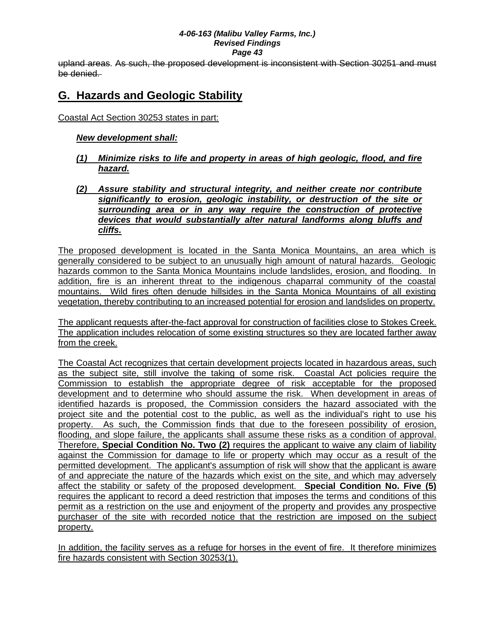upland areas. As such, the proposed development is inconsistent with Section 30251 and must be denied.

# **G. Hazards and Geologic Stability**

Coastal Act Section 30253 states in part:

### *New development shall:*

- *(1) Minimize risks to life and property in areas of high geologic, flood, and fire hazard.*
- *(2) Assure stability and structural integrity, and neither create nor contribute significantly to erosion, geologic instability, or destruction of the site or surrounding area or in any way require the construction of protective devices that would substantially alter natural landforms along bluffs and cliffs.*

The proposed development is located in the Santa Monica Mountains, an area which is generally considered to be subject to an unusually high amount of natural hazards. Geologic hazards common to the Santa Monica Mountains include landslides, erosion, and flooding. In addition, fire is an inherent threat to the indigenous chaparral community of the coastal mountains. Wild fires often denude hillsides in the Santa Monica Mountains of all existing vegetation, thereby contributing to an increased potential for erosion and landslides on property.

The applicant requests after-the-fact approval for construction of facilities close to Stokes Creek. The application includes relocation of some existing structures so they are located farther away from the creek.

The Coastal Act recognizes that certain development projects located in hazardous areas, such as the subject site, still involve the taking of some risk. Coastal Act policies require the Commission to establish the appropriate degree of risk acceptable for the proposed development and to determine who should assume the risk. When development in areas of identified hazards is proposed, the Commission considers the hazard associated with the project site and the potential cost to the public, as well as the individual's right to use his property. As such, the Commission finds that due to the foreseen possibility of erosion, flooding, and slope failure, the applicants shall assume these risks as a condition of approval. Therefore, **Special Condition No. Two (2)** requires the applicant to waive any claim of liability against the Commission for damage to life or property which may occur as a result of the permitted development. The applicant's assumption of risk will show that the applicant is aware of and appreciate the nature of the hazards which exist on the site, and which may adversely affect the stability or safety of the proposed development. **Special Condition No. Five (5)** requires the applicant to record a deed restriction that imposes the terms and conditions of this permit as a restriction on the use and enjoyment of the property and provides any prospective purchaser of the site with recorded notice that the restriction are imposed on the subject property.

In addition, the facility serves as a refuge for horses in the event of fire. It therefore minimizes fire hazards consistent with Section 30253(1).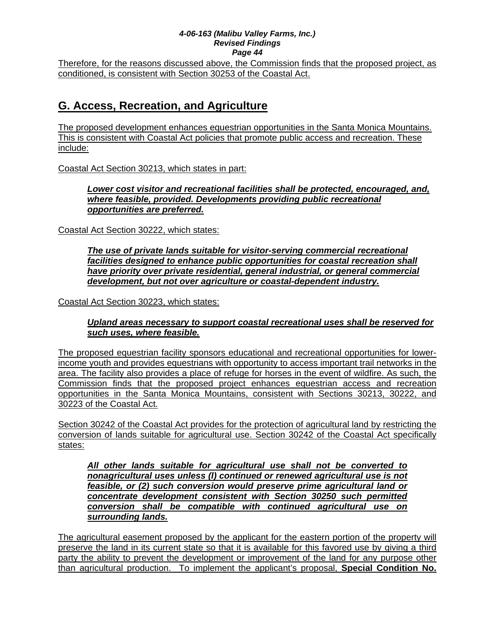Therefore, for the reasons discussed above, the Commission finds that the proposed project, as conditioned, is consistent with Section 30253 of the Coastal Act.

# **G. Access, Recreation, and Agriculture**

The proposed development enhances equestrian opportunities in the Santa Monica Mountains. This is consistent with Coastal Act policies that promote public access and recreation. These include:

Coastal Act Section 30213, which states in part:

*Lower cost visitor and recreational facilities shall be protected, encouraged, and, where feasible, provided. Developments providing public recreational opportunities are preferred.* 

Coastal Act Section 30222, which states:

*The use of private lands suitable for visitor-serving commercial recreational*  facilities designed to enhance public opportunities for coastal recreation shall *have priority over private residential, general industrial, or general commercial development, but not over agriculture or coastal-dependent industry.* 

Coastal Act Section 30223, which states:

*Upland areas necessary to support coastal recreational uses shall be reserved for such uses, where feasible.* 

The proposed equestrian facility sponsors educational and recreational opportunities for lowerincome youth and provides equestrians with opportunity to access important trail networks in the area. The facility also provides a place of refuge for horses in the event of wildfire. As such, the Commission finds that the proposed project enhances equestrian access and recreation opportunities in the Santa Monica Mountains, consistent with Sections 30213, 30222, and 30223 of the Coastal Act.

Section 30242 of the Coastal Act provides for the protection of agricultural land by restricting the conversion of lands suitable for agricultural use. Section 30242 of the Coastal Act specifically states:

*All other lands suitable for agricultural use shall not be converted to nonagricultural uses unless (l) continued or renewed agricultural use is not feasible, or (2) such conversion would preserve prime agricultural land or concentrate development consistent with Section 30250 such permitted conversion shall be compatible with continued agricultural use on surrounding lands.*

The agricultural easement proposed by the applicant for the eastern portion of the property will preserve the land in its current state so that it is available for this favored use by giving a third party the ability to prevent the development or improvement of the land for any purpose other than agricultural production. To implement the applicant's proposal, **Special Condition No.**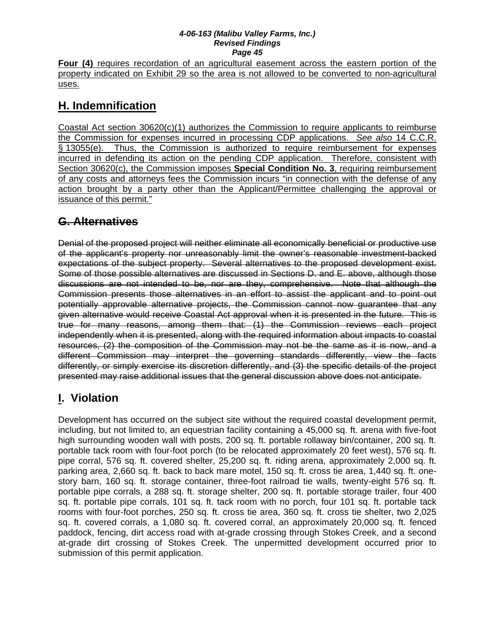**Four (4)** requires recordation of an agricultural easement across the eastern portion of the property indicated on Exhibit 29 so the area is not allowed to be converted to non-agricultural uses.

# **H. Indemnification**

Coastal Act section 30620(c)(1) authorizes the Commission to require applicants to reimburse the Commission for expenses incurred in processing CDP applications. *See also* 14 C.C.R. § 13055(e). Thus, the Commission is authorized to require reimbursement for expenses incurred in defending its action on the pending CDP application. Therefore, consistent with Section 30620(c), the Commission imposes **Special Condition No. 3**, requiring reimbursement of any costs and attorneys fees the Commission incurs "in connection with the defense of any action brought by a party other than the Applicant/Permittee challenging the approval or issuance of this permit."

# **G. Alternatives**

Denial of the proposed project will neither eliminate all economically beneficial or productive use of the applicant's property nor unreasonably limit the owner's reasonable investment-backed expectations of the subject property. Several alternatives to the proposed development exist. Some of those possible alternatives are discussed in Sections D. and E. above, although those discussions are not intended to be, nor are they, comprehensive. Note that although the Commission presents those alternatives in an effort to assist the applicant and to point out potentially approvable alternative projects, the Commission cannot now guarantee that any given alternative would receive Coastal Act approval when it is presented in the future. This is true for many reasons, among them that: (1) the Commission reviews each project independently when it is presented, along with the required information about impacts to coastal resources, (2) the composition of the Commission may not be the same as it is now, and a different Commission may interpret the governing standards differently, view the facts differently, or simply exercise its discretion differently, and (3) the specific details of the project presented may raise additional issues that the general discussion above does not anticipate.

# **I. Violation**

Development has occurred on the subject site without the required coastal development permit, including, but not limited to, an equestrian facility containing a 45,000 sq. ft. arena with five-foot high surrounding wooden wall with posts, 200 sq. ft. portable rollaway bin/container, 200 sq. ft. portable tack room with four-foot porch (to be relocated approximately 20 feet west), 576 sq. ft. pipe corral, 576 sq. ft. covered shelter, 25,200 sq. ft. riding arena, approximately 2,000 sq. ft. parking area, 2,660 sq. ft. back to back mare motel, 150 sq. ft. cross tie area, 1,440 sq. ft. onestory barn, 160 sq. ft. storage container, three-foot railroad tie walls, twenty-eight 576 sq. ft. portable pipe corrals, a 288 sq. ft. storage shelter, 200 sq. ft. portable storage trailer, four 400 sq. ft. portable pipe corrals, 101 sq. ft. tack room with no porch, four 101 sq. ft. portable tack rooms with four-foot porches, 250 sq. ft. cross tie area, 360 sq. ft. cross tie shelter, two 2,025 sq. ft. covered corrals, a 1,080 sq. ft. covered corral, an approximately 20,000 sq. ft. fenced paddock, fencing, dirt access road with at-grade crossing through Stokes Creek, and a second at-grade dirt crossing of Stokes Creek. The unpermitted development occurred prior to submission of this permit application.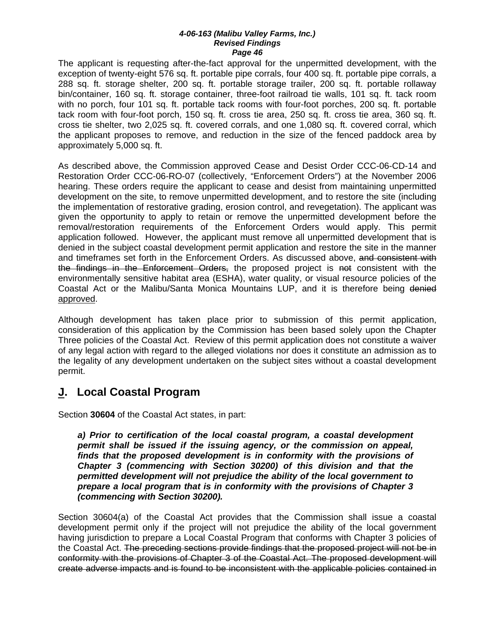The applicant is requesting after-the-fact approval for the unpermitted development, with the exception of twenty-eight 576 sq. ft. portable pipe corrals, four 400 sq. ft. portable pipe corrals, a 288 sq. ft. storage shelter, 200 sq. ft. portable storage trailer, 200 sq. ft. portable rollaway bin/container, 160 sq. ft. storage container, three-foot railroad tie walls, 101 sq. ft. tack room with no porch, four 101 sq. ft. portable tack rooms with four-foot porches, 200 sq. ft. portable tack room with four-foot porch, 150 sq. ft. cross tie area, 250 sq. ft. cross tie area, 360 sq. ft. cross tie shelter, two 2,025 sq. ft. covered corrals, and one 1,080 sq. ft. covered corral, which the applicant proposes to remove, and reduction in the size of the fenced paddock area by approximately 5,000 sq. ft.

As described above, the Commission approved Cease and Desist Order CCC-06-CD-14 and Restoration Order CCC-06-RO-07 (collectively, "Enforcement Orders") at the November 2006 hearing. These orders require the applicant to cease and desist from maintaining unpermitted development on the site, to remove unpermitted development, and to restore the site (including the implementation of restorative grading, erosion control, and revegetation). The applicant was given the opportunity to apply to retain or remove the unpermitted development before the removal/restoration requirements of the Enforcement Orders would apply. This permit application followed. However, the applicant must remove all unpermitted development that is denied in the subject coastal development permit application and restore the site in the manner and timeframes set forth in the Enforcement Orders. As discussed above, and consistent with the findings in the Enforcement Orders, the proposed project is not consistent with the environmentally sensitive habitat area (ESHA), water quality, or visual resource policies of the Coastal Act or the Malibu/Santa Monica Mountains LUP, and it is therefore being denied approved.

Although development has taken place prior to submission of this permit application, consideration of this application by the Commission has been based solely upon the Chapter Three policies of the Coastal Act. Review of this permit application does not constitute a waiver of any legal action with regard to the alleged violations nor does it constitute an admission as to the legality of any development undertaken on the subject sites without a coastal development permit.

# **J. Local Coastal Program**

Section **30604** of the Coastal Act states, in part:

*a) Prior to certification of the local coastal program, a coastal development permit shall be issued if the issuing agency, or the commission on appeal,*  finds that the proposed development is in conformity with the provisions of *Chapter 3 (commencing with Section 30200) of this division and that the permitted development will not prejudice the ability of the local government to prepare a local program that is in conformity with the provisions of Chapter 3 (commencing with Section 30200).* 

Section 30604(a) of the Coastal Act provides that the Commission shall issue a coastal development permit only if the project will not prejudice the ability of the local government having jurisdiction to prepare a Local Coastal Program that conforms with Chapter 3 policies of the Coastal Act. The preceding sections provide findings that the proposed project will not be in conformity with the provisions of Chapter 3 of the Coastal Act. The proposed development will create adverse impacts and is found to be inconsistent with the applicable policies contained in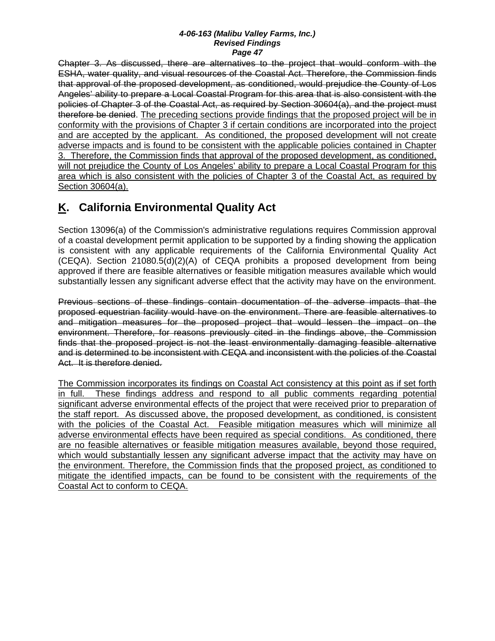Chapter 3. As discussed, there are alternatives to the project that would conform with the ESHA, water quality, and visual resources of the Coastal Act. Therefore, the Commission finds that approval of the proposed development, as conditioned, would prejudice the County of Los Angeles' ability to prepare a Local Coastal Program for this area that is also consistent with the policies of Chapter 3 of the Coastal Act, as required by Section 30604(a), and the project must therefore be denied. The preceding sections provide findings that the proposed project will be in conformity with the provisions of Chapter 3 if certain conditions are incorporated into the project and are accepted by the applicant. As conditioned, the proposed development will not create adverse impacts and is found to be consistent with the applicable policies contained in Chapter 3. Therefore, the Commission finds that approval of the proposed development, as conditioned, will not prejudice the County of Los Angeles' ability to prepare a Local Coastal Program for this area which is also consistent with the policies of Chapter 3 of the Coastal Act, as required by Section 30604(a).

# **K. California Environmental Quality Act**

Section 13096(a) of the Commission's administrative regulations requires Commission approval of a coastal development permit application to be supported by a finding showing the application is consistent with any applicable requirements of the California Environmental Quality Act (CEQA). Section 21080.5(d)(2)(A) of CEQA prohibits a proposed development from being approved if there are feasible alternatives or feasible mitigation measures available which would substantially lessen any significant adverse effect that the activity may have on the environment.

Previous sections of these findings contain documentation of the adverse impacts that the proposed equestrian facility would have on the environment. There are feasible alternatives to and mitigation measures for the proposed project that would lessen the impact on the environment. Therefore, for reasons previously cited in the findings above, the Commission finds that the proposed project is not the least environmentally damaging feasible alternative and is determined to be inconsistent with CEQA and inconsistent with the policies of the Coastal Act. It is therefore denied.

The Commission incorporates its findings on Coastal Act consistency at this point as if set forth in full. These findings address and respond to all public comments regarding potential significant adverse environmental effects of the project that were received prior to preparation of the staff report. As discussed above, the proposed development, as conditioned, is consistent with the policies of the Coastal Act. Feasible mitigation measures which will minimize all adverse environmental effects have been required as special conditions. As conditioned, there are no feasible alternatives or feasible mitigation measures available, beyond those required, which would substantially lessen any significant adverse impact that the activity may have on the environment. Therefore, the Commission finds that the proposed project, as conditioned to mitigate the identified impacts, can be found to be consistent with the requirements of the Coastal Act to conform to CEQA.